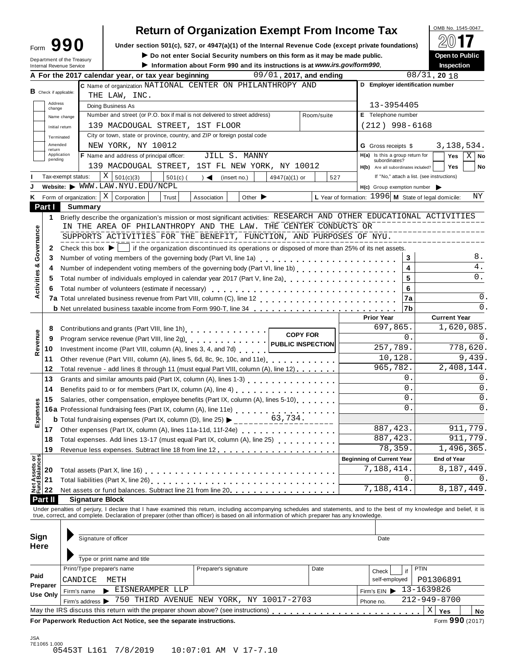| Form                            |  | 90                         |
|---------------------------------|--|----------------------------|
| <b>Internal Revenue Service</b> |  | Department of the Treasury |

### **Return of Organization Exempt From Income Tax**

**Under section 501(c), 527, or 4947(a)(1)** of the Internal Revenue Code (except private foundations) **Form 990 E**<br>Do not enter Social Security numbers on this form as it may be made public. Open to Public

 $\blacktriangleright$  Do not enter Social Security numbers on this form as it may be made public.

Information about Form 990 and its instructions is at www.irs.gov/form990.

|                                      | 09/01, 2017, and ending<br>A For the 2017 calendar year, or tax year beginning                                                                                                                                                                        |                                                        | $08/31$ , 20 18     |  |  |  |  |  |  |  |
|--------------------------------------|-------------------------------------------------------------------------------------------------------------------------------------------------------------------------------------------------------------------------------------------------------|--------------------------------------------------------|---------------------|--|--|--|--|--|--|--|
|                                      | C Name of organization NATIONAL CENTER ON PHILANTHROPY AND                                                                                                                                                                                            | D Employer identification number                       |                     |  |  |  |  |  |  |  |
| <b>B</b> Check if applicable:        | THE LAW, INC.                                                                                                                                                                                                                                         |                                                        |                     |  |  |  |  |  |  |  |
| Address<br>change                    | Doing Business As                                                                                                                                                                                                                                     | 13-3954405                                             |                     |  |  |  |  |  |  |  |
|                                      | Number and street (or P.O. box if mail is not delivered to street address)<br>Room/suite<br>Name change                                                                                                                                               | E Telephone number                                     |                     |  |  |  |  |  |  |  |
|                                      | 139 MACDOUGAL STREET, 1ST FLOOR<br>Initial return                                                                                                                                                                                                     | $(212)$ 998-6168                                       |                     |  |  |  |  |  |  |  |
|                                      | City or town, state or province, country, and ZIP or foreign postal code<br>Terminated                                                                                                                                                                |                                                        |                     |  |  |  |  |  |  |  |
| return                               | Amended<br>NEW YORK, NY 10012                                                                                                                                                                                                                         | <b>G</b> Gross receipts \$                             | 3, 138, 534.        |  |  |  |  |  |  |  |
| pending                              | F Name and address of principal officer:<br>Application<br>JILL S. MANNY                                                                                                                                                                              | $H(a)$ Is this a group return for<br>subordinates?     | $X \mid$ No<br>Yes  |  |  |  |  |  |  |  |
|                                      | 139 MACDOUGAL STREET, 1ST FL NEW YORK, NY 10012                                                                                                                                                                                                       | H(b) Are all subordinates included?                    | <b>Yes</b><br>No    |  |  |  |  |  |  |  |
|                                      | $X \big  501(c)(3)$<br>$501(c)$ (<br>Tax-exempt status:<br>$) \triangleleft$ (insert no.)<br>4947(a)(1) or<br>527                                                                                                                                     | If "No," attach a list. (see instructions)             |                     |  |  |  |  |  |  |  |
|                                      | Website: WWW.LAW.NYU.EDU/NCPL                                                                                                                                                                                                                         | $H(c)$ Group exemption number $\triangleright$         |                     |  |  |  |  |  |  |  |
|                                      | Form of organization: $\mid X \mid$ Corporation<br>Other $\blacktriangleright$<br>Trust<br>Association                                                                                                                                                | L Year of formation: $1996$ M State of legal domicile: | ΝY                  |  |  |  |  |  |  |  |
| Part I                               | Summary                                                                                                                                                                                                                                               |                                                        |                     |  |  |  |  |  |  |  |
| 1.                                   | Briefly describe the organization's mission or most significant activities: RESEARCH AND OTHER EDUCATIONAL ACTIVITIES                                                                                                                                 |                                                        |                     |  |  |  |  |  |  |  |
|                                      | IN THE AREA OF PHILANTHROPY AND THE LAW. THE CENTER CONDUCTS OR                                                                                                                                                                                       |                                                        |                     |  |  |  |  |  |  |  |
| Governance                           | SUPPORTS ACTIVITIES FOR THE BENEFIT, FUNCTION, AND PURPOSES OF NYU.                                                                                                                                                                                   |                                                        |                     |  |  |  |  |  |  |  |
| $\mathbf{2}$                         | Check this box $\blacktriangleright$   if the organization discontinued its operations or disposed of more than 25% of its net assets.                                                                                                                |                                                        |                     |  |  |  |  |  |  |  |
| 3                                    | Number of voting members of the governing body (Part VI, line 1a)<br>                                                                                                                                                                                 | 3                                                      | 8.                  |  |  |  |  |  |  |  |
| ಳ<br>4                               |                                                                                                                                                                                                                                                       | 4                                                      | 4.                  |  |  |  |  |  |  |  |
| Activities<br>5                      | Total number of individuals employed in calendar year 2017 (Part V, line 2a)<br>The 2a)                                                                                                                                                               | 5                                                      | 0.                  |  |  |  |  |  |  |  |
| 6                                    |                                                                                                                                                                                                                                                       | 6                                                      |                     |  |  |  |  |  |  |  |
|                                      |                                                                                                                                                                                                                                                       | 7a                                                     | 0.                  |  |  |  |  |  |  |  |
|                                      | <b>b</b> Net unrelated business taxable income from Form 990-T, line 34 <b>100 cm at all as a contract</b> business taxable                                                                                                                           | l7b                                                    | 0.                  |  |  |  |  |  |  |  |
|                                      |                                                                                                                                                                                                                                                       | <b>Prior Year</b>                                      | <b>Current Year</b> |  |  |  |  |  |  |  |
| 8                                    | Contributions and grants (Part VIII, line 1h)<br>1997 - Part 1: 1997 - Part 1: 1998 - Part 1: 1999 - Part 1: 1999 - Part 1: 1999 - Part 1: 1999 - Part 1: 1999 - Part 1: 1999 - Part 1: 1999 - Part 1: 1999 - Part 1: 1999 - Par                      | 697,865.                                               | 1,620,085.          |  |  |  |  |  |  |  |
| Revenue<br>9                         | <b>COPY FOR</b>                                                                                                                                                                                                                                       | 0.                                                     | 0.                  |  |  |  |  |  |  |  |
| 10                                   | Investment income (Part VIII, column (A), lines 3, 4, and 7d)                                                                                                                                                                                         | 257,789.                                               | 778,620.            |  |  |  |  |  |  |  |
| 11                                   | Other revenue (Part VIII, column (A), lines 5, 6d, 8c, 9c, 10c, and 11e)                                                                                                                                                                              | 10, 128.                                               | 9,439.              |  |  |  |  |  |  |  |
| 12                                   | Total revenue - add lines 8 through 11 (must equal Part VIII, column (A), line 12)                                                                                                                                                                    | 965,782.                                               | 2,408,144.          |  |  |  |  |  |  |  |
| 13                                   |                                                                                                                                                                                                                                                       | 0.                                                     | 0.                  |  |  |  |  |  |  |  |
| 14                                   | Benefits paid to or for members (Part IX, column (A), line 4)<br>                                                                                                                                                                                     | 0.                                                     | 0.                  |  |  |  |  |  |  |  |
| 15                                   | Salaries, other compensation, employee benefits (Part IX, column (A), lines 5-10)                                                                                                                                                                     | 0.                                                     | 0.                  |  |  |  |  |  |  |  |
| Expenses                             |                                                                                                                                                                                                                                                       | $\Omega$ .                                             | 0.                  |  |  |  |  |  |  |  |
|                                      | <b>16a</b> Professional fundraising fees (Part IX, column (A), line 11e)<br><b>b</b> Total fundraising expenses (Part IX, column (D), line 25)<br>$\begin{array}{ccc}\n & 63,734. \\  & - & - & - & - & - & - & - & - & - & - \\ \hline\n\end{array}$ |                                                        |                     |  |  |  |  |  |  |  |
|                                      | 17 Other expenses (Part IX, column (A), lines 11a-11d, 11f-24e) [10] Cherry Lines and Theory Cherry Lines and T                                                                                                                                       | 887, 423.                                              | 911,779.            |  |  |  |  |  |  |  |
| 18                                   | Total expenses. Add lines 13-17 (must equal Part IX, column (A), line 25) [ [ [ [ ]                                                                                                                                                                   | 887, 423.                                              | 911,779.            |  |  |  |  |  |  |  |
| 19                                   | Revenue less expenses. Subtract line 18 from line 12                                                                                                                                                                                                  | 78,359.                                                | 1,496,365.          |  |  |  |  |  |  |  |
|                                      |                                                                                                                                                                                                                                                       | <b>Beginning of Current Year</b>                       | <b>End of Year</b>  |  |  |  |  |  |  |  |
| 20                                   |                                                                                                                                                                                                                                                       | 7,188,414.                                             | 8,187,449.          |  |  |  |  |  |  |  |
| Net Assets or<br>Fund Balances<br>21 | Total liabilities (Part X, line 26)<br>1.                                                                                                                                                                                                             | 0                                                      | 0.                  |  |  |  |  |  |  |  |
| 22                                   | Net assets or fund balances. Subtract line 21 from line 20                                                                                                                                                                                            | 7,188,414.                                             | 8,187,449.          |  |  |  |  |  |  |  |
| Part II                              | <b>Signature Block</b>                                                                                                                                                                                                                                |                                                        |                     |  |  |  |  |  |  |  |
|                                      | Under penalties of perjury, I declare that I have examined this return, including accompanying schedules and statements, and to the best of my knowledge and belief, it is                                                                            |                                                        |                     |  |  |  |  |  |  |  |
|                                      | true, correct, and complete. Declaration of preparer (other than officer) is based on all information of which preparer has any knowledge.                                                                                                            |                                                        |                     |  |  |  |  |  |  |  |
|                                      |                                                                                                                                                                                                                                                       |                                                        |                     |  |  |  |  |  |  |  |
| Sign                                 | Signature of officer                                                                                                                                                                                                                                  | Date                                                   |                     |  |  |  |  |  |  |  |
| <b>Here</b>                          |                                                                                                                                                                                                                                                       |                                                        |                     |  |  |  |  |  |  |  |
|                                      | Type or print name and title                                                                                                                                                                                                                          |                                                        |                     |  |  |  |  |  |  |  |
|                                      | Print/Type preparer's name<br>Preparer's signature<br>Date                                                                                                                                                                                            | <b>PTIN</b><br>if<br>Check                             |                     |  |  |  |  |  |  |  |
|                                      | P01306891<br>self-employed                                                                                                                                                                                                                            |                                                        |                     |  |  |  |  |  |  |  |
|                                      | CANDICE<br>METH                                                                                                                                                                                                                                       |                                                        |                     |  |  |  |  |  |  |  |
|                                      | EISNERAMPER LLP<br>Firm's name                                                                                                                                                                                                                        | Firm's EIN                                             | 13-1639826          |  |  |  |  |  |  |  |
| Paid<br>Preparer<br>Use Only         | Firm's address > 750 THIRD AVENUE NEW YORK, NY 10017-2703                                                                                                                                                                                             | Phone no.                                              | 212-949-8700        |  |  |  |  |  |  |  |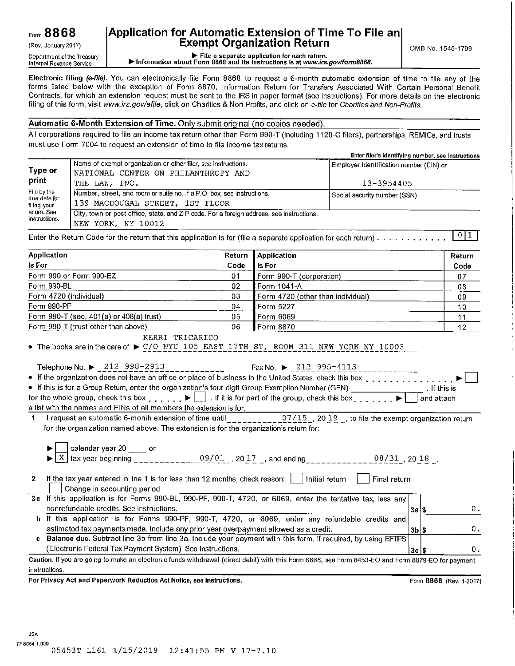(Rev. January 2017) Department of the Treasury Internal Revenue Service

### **Application for Automatic Extension of Time To File an Exempt Organization Return**

0MB No. 1545-1709

► File a separate application for each return. ► Information about Form 8868 and its instructions is at *www.irs.gov/form8868.* 

**Electronic filing** *(e-file).* You can electronically file Form 8868 to request a 6-month automatic extension of time to file any of the forms listed below with the exception of Form 8870, Information Return for Transfers Associated With Certain Personal Benefit Contracts, for which an extension request must be sent to the IRS in paper format (see instructions). For more details on the electronic filing of this form, visit *www.irs.gov/efile,* click on Charities & Non-Profits, and click on *e-file* for *Charities and Non-Profits.* 

#### **Automatic 6-Month Extension of Time.** Only submit original (no copies needed).

All corporations required to file an income tax return other than Form 990-T (including 1120-C filers), partnerships, REMICs, and trusts must use Form 7004 to request an extension of time to file income tax returns.

|                                            |                                                                                                                | Enter filer's identifying number, see instructions |
|--------------------------------------------|----------------------------------------------------------------------------------------------------------------|----------------------------------------------------|
| <b>Type or</b>                             | Name of exempt organization or other filer, see instructions.<br>NATIONAL CENTER ON PHILANTHROPY AND           | Employer identification number (EIN) or            |
| print                                      | THE LAW. INC.                                                                                                  | 13-3954405                                         |
| File by the<br>due date for<br>filing your | Number, street, and room or suite no. If a P.O. box, see instructions.<br>139 MACDOUGAL STREET, 1ST FLOOR      | Social security number (SSN)                       |
| retum. See<br>instructions.                | City, town or post office, state, and ZIP code. For a foreign address, see instructions.<br>NEW YORK, NY 10012 |                                                    |
|                                            |                                                                                                                |                                                    |

Enter the Return Code for the return that this application is for (file a separate application for each return) . <sup>I</sup>o I 1 <sup>I</sup>

| Application                                                                                                                                                                                                                                                                                                                                                        | Return | Application                          | Return                  |
|--------------------------------------------------------------------------------------------------------------------------------------------------------------------------------------------------------------------------------------------------------------------------------------------------------------------------------------------------------------------|--------|--------------------------------------|-------------------------|
| <b>Is For</b>                                                                                                                                                                                                                                                                                                                                                      | Code   | <b>Is For</b>                        | Code                    |
| Form 990 or Form 990-EZ                                                                                                                                                                                                                                                                                                                                            | 01     | Form 990-T (corporation)             | 07                      |
| Form 990-BL                                                                                                                                                                                                                                                                                                                                                        | 02     | Form 1041-A                          | 03                      |
| Form 4720 (individual)                                                                                                                                                                                                                                                                                                                                             | 03     | Form 4720 (other than individual)    | 09                      |
| Form 990-PF                                                                                                                                                                                                                                                                                                                                                        | 04     | Form 5227                            | 10                      |
| Form 990-T (sec. 401(a) or 408(a) trust)                                                                                                                                                                                                                                                                                                                           | 05     | Form 6069                            | 11                      |
| Form 990-T (trust other than above)                                                                                                                                                                                                                                                                                                                                | 06     | Form 8870                            | 12                      |
| KERRI TRICARICO<br>• The books are in the care of $\triangleright$ C/O NYU 105 EAST 17TH ST, ROOM 311 NEW YORK NY 10003<br>Telephone No. ▶ 212 998-2913                                                                                                                                                                                                            |        | $Fax No.$ $\rightarrow$ 212 995-4113 |                         |
| • If the organization does not have an office or place of business in the United States, check this box                                                                                                                                                                                                                                                            |        |                                      |                         |
| • If this is for a Group Return, enter the organization's four digit Group Exemption Number (GEN)                                                                                                                                                                                                                                                                  |        |                                      | . If this is            |
| for the whole group, check this box $\begin{matrix} \cdot & \cdot & \cdot \\ \cdot & \cdot & \cdot \\ \cdot & \cdot & \cdot \end{matrix}$ . If it is for part of the group, check this box $\begin{matrix} \cdot & \cdot & \cdot \\ \cdot & \cdot & \cdot & \cdot \\ \cdot & \cdot & \cdot & \cdot \end{matrix}$                                                   |        |                                      | and attach              |
| a list with the names and EINs of all members the extension is for.                                                                                                                                                                                                                                                                                                |        |                                      |                         |
| 1 I request an automatic 6-month extension of time until __________07/15_, 20 19 _, to file the exempt organization return<br>for the organization named above. The extension is for the organization's return for:<br>__ <b>_</b> calendar year 20 _____ or<br><u>X</u> tax year beginning _____________09/01 _, 20 17 _, and ending ____________08/31 , 20 18 _. |        |                                      |                         |
| If the tax year entered in line 1 is for less than 12 months, check reason:     Initial return<br>$\mathbf{2}$<br>Change in accounting period                                                                                                                                                                                                                      |        | Final return                         |                         |
| 3a If this application is for Forms 990-BL, 990-PF, 990-T, 4720, or 6069, enter the tentative tax, less any                                                                                                                                                                                                                                                        |        |                                      |                         |
| nonrefundable credits. See instructions.                                                                                                                                                                                                                                                                                                                           |        |                                      | 0.<br>3a S              |
| b If this application is for Forms 990-PF, 990-T, 4720, or 6069, enter any refundable credits and                                                                                                                                                                                                                                                                  |        |                                      |                         |
| estimated tax payments made. Include any prior year overpayment allowed as a credit.                                                                                                                                                                                                                                                                               |        |                                      | 0.<br>$3b$ $s$          |
| c Balance due. Subtract line 3b from line 3a. Include your payment with this form, if required, by using EFTPS                                                                                                                                                                                                                                                     |        |                                      |                         |
| (Electronic Federal Tax Payment System). See instructions.                                                                                                                                                                                                                                                                                                         |        |                                      | 0.<br>$3c$ $s$          |
| Caution. If you are going to make an electronic funds withdrawal (direct debit) with this Form 8868, see Form 8453-EO and Form 8879-EO for payment                                                                                                                                                                                                                 |        |                                      |                         |
| instructions.                                                                                                                                                                                                                                                                                                                                                      |        |                                      |                         |
| For Privacy Act and Paperwork Reduction Act Notice, see instructions.                                                                                                                                                                                                                                                                                              |        |                                      | Form 8868 (Rev. 1-2017) |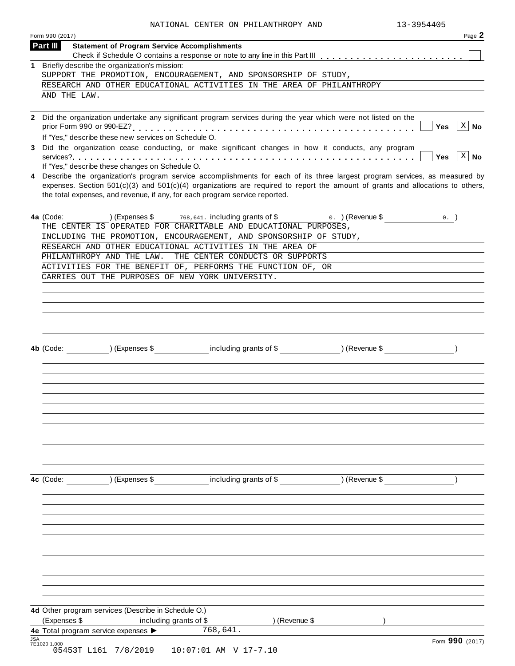| Form 990 (2017)                                                                                                                                                                                                                                                                                                                                   | Page 2          |
|---------------------------------------------------------------------------------------------------------------------------------------------------------------------------------------------------------------------------------------------------------------------------------------------------------------------------------------------------|-----------------|
| Part III<br><b>Statement of Program Service Accomplishments</b>                                                                                                                                                                                                                                                                                   |                 |
| 1 Briefly describe the organization's mission:                                                                                                                                                                                                                                                                                                    |                 |
| SUPPORT THE PROMOTION, ENCOURAGEMENT, AND SPONSORSHIP OF STUDY,                                                                                                                                                                                                                                                                                   |                 |
| RESEARCH AND OTHER EDUCATIONAL ACTIVITIES IN THE AREA OF PHILANTHROPY                                                                                                                                                                                                                                                                             |                 |
| AND THE LAW.                                                                                                                                                                                                                                                                                                                                      |                 |
| 2 Did the organization undertake any significant program services during the year which were not listed on the<br>If "Yes," describe these new services on Schedule O.                                                                                                                                                                            | $ X $ No<br>Yes |
| Did the organization cease conducting, or make significant changes in how it conducts, any program<br>If "Yes," describe these changes on Schedule O.                                                                                                                                                                                             | $ X $ No<br>Yes |
| 4 Describe the organization's program service accomplishments for each of its three largest program services, as measured by<br>expenses. Section $501(c)(3)$ and $501(c)(4)$ organizations are required to report the amount of grants and allocations to others,<br>the total expenses, and revenue, if any, for each program service reported. |                 |
| $(Express $ 5$ 768, 641. including grants of \$<br>$0.$ ) (Revenue \$<br>4a (Code:<br>THE CENTER IS OPERATED FOR CHARITABLE AND EDUCATIONAL PURPOSES,                                                                                                                                                                                             | 0.              |
| INCLUDING THE PROMOTION, ENCOURAGEMENT, AND SPONSORSHIP OF STUDY,                                                                                                                                                                                                                                                                                 |                 |
| RESEARCH AND OTHER EDUCATIONAL ACTIVITIES IN THE AREA OF                                                                                                                                                                                                                                                                                          |                 |
| PHILANTHROPY AND THE LAW.<br>THE CENTER CONDUCTS OR SUPPORTS                                                                                                                                                                                                                                                                                      |                 |
| ACTIVITIES FOR THE BENEFIT OF, PERFORMS THE FUNCTION OF, OR                                                                                                                                                                                                                                                                                       |                 |
| CARRIES OUT THE PURPOSES OF NEW YORK UNIVERSITY.                                                                                                                                                                                                                                                                                                  |                 |
|                                                                                                                                                                                                                                                                                                                                                   |                 |
|                                                                                                                                                                                                                                                                                                                                                   |                 |
|                                                                                                                                                                                                                                                                                                                                                   |                 |
|                                                                                                                                                                                                                                                                                                                                                   |                 |
| including grants of \$ (Revenue \$)<br>4b (Code: ) (Expenses \$                                                                                                                                                                                                                                                                                   |                 |
|                                                                                                                                                                                                                                                                                                                                                   |                 |
|                                                                                                                                                                                                                                                                                                                                                   |                 |
|                                                                                                                                                                                                                                                                                                                                                   |                 |
|                                                                                                                                                                                                                                                                                                                                                   |                 |
|                                                                                                                                                                                                                                                                                                                                                   |                 |
| including grants of \$ (Revenue \$)<br>) (Expenses \$<br>4c (Code:                                                                                                                                                                                                                                                                                |                 |
|                                                                                                                                                                                                                                                                                                                                                   |                 |
|                                                                                                                                                                                                                                                                                                                                                   |                 |
|                                                                                                                                                                                                                                                                                                                                                   |                 |
|                                                                                                                                                                                                                                                                                                                                                   |                 |
|                                                                                                                                                                                                                                                                                                                                                   |                 |
|                                                                                                                                                                                                                                                                                                                                                   |                 |
|                                                                                                                                                                                                                                                                                                                                                   |                 |
| 4d Other program services (Describe in Schedule O.)                                                                                                                                                                                                                                                                                               |                 |
| (Expenses \$<br>including grants of \$<br>) (Revenue \$<br>768,641.<br>4e Total program service expenses >                                                                                                                                                                                                                                        |                 |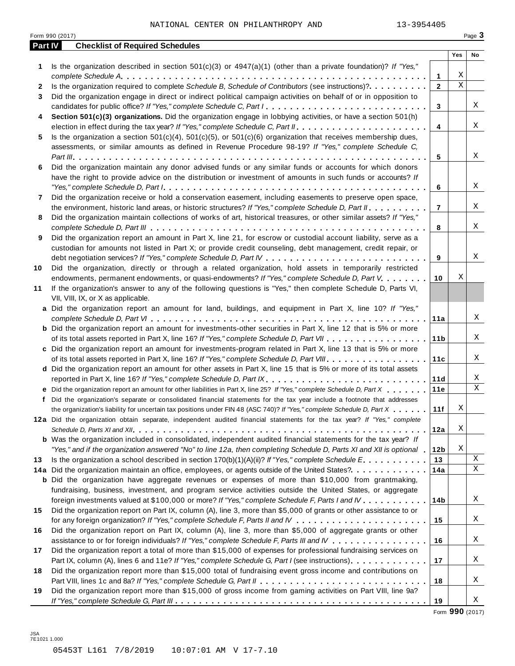|         | Form 990 (2017)                                                                                                           |                 |                  | Page 3      |
|---------|---------------------------------------------------------------------------------------------------------------------------|-----------------|------------------|-------------|
| Part IV | <b>Checklist of Required Schedules</b>                                                                                    |                 |                  |             |
|         |                                                                                                                           |                 | Yes              | No          |
| 1       | Is the organization described in section $501(c)(3)$ or $4947(a)(1)$ (other than a private foundation)? If "Yes,"         |                 |                  |             |
|         |                                                                                                                           | 1               | Χ<br>$\mathbf X$ |             |
| 2       | Is the organization required to complete Schedule B, Schedule of Contributors (see instructions)?.                        | $\mathbf{2}$    |                  |             |
| 3       | Did the organization engage in direct or indirect political campaign activities on behalf of or in opposition to          |                 |                  |             |
|         | candidates for public office? If "Yes," complete Schedule C, Part I.                                                      | 3               |                  | Χ           |
| 4       | Section 501(c)(3) organizations. Did the organization engage in lobbying activities, or have a section 501(h)             |                 |                  | Χ           |
|         |                                                                                                                           | $\overline{4}$  |                  |             |
| 5       | Is the organization a section $501(c)(4)$ , $501(c)(5)$ , or $501(c)(6)$ organization that receives membership dues,      |                 |                  |             |
|         | assessments, or similar amounts as defined in Revenue Procedure 98-19? If "Yes," complete Schedule C,                     |                 |                  | Χ           |
|         |                                                                                                                           | 5               |                  |             |
| 6       | Did the organization maintain any donor advised funds or any similar funds or accounts for which donors                   |                 |                  |             |
|         | have the right to provide advice on the distribution or investment of amounts in such funds or accounts? If               |                 |                  |             |
|         |                                                                                                                           | 6               |                  | Χ           |
| 7       | Did the organization receive or hold a conservation easement, including easements to preserve open space,                 |                 |                  |             |
|         | the environment, historic land areas, or historic structures? If "Yes," complete Schedule D, Part II.                     | $\overline{7}$  |                  | Χ           |
| 8       | Did the organization maintain collections of works of art, historical treasures, or other similar assets? If "Yes,"       |                 |                  |             |
|         |                                                                                                                           | 8               |                  | Χ           |
| 9       | Did the organization report an amount in Part X, line 21, for escrow or custodial account liability, serve as a           |                 |                  |             |
|         | custodian for amounts not listed in Part X; or provide credit counseling, debt management, credit repair, or              |                 |                  |             |
|         |                                                                                                                           | 9               |                  | Χ           |
| 10      | Did the organization, directly or through a related organization, hold assets in temporarily restricted                   |                 |                  |             |
|         | endowments, permanent endowments, or quasi-endowments? If "Yes," complete Schedule D, Part V.                             | 10              | Χ                |             |
| 11      | If the organization's answer to any of the following questions is "Yes," then complete Schedule D, Parts VI,              |                 |                  |             |
|         | VII, VIII, IX, or X as applicable.                                                                                        |                 |                  |             |
|         | a Did the organization report an amount for land, buildings, and equipment in Part X, line 10? If "Yes,"                  |                 |                  |             |
|         |                                                                                                                           | 11a             |                  | Χ           |
|         | <b>b</b> Did the organization report an amount for investments-other securities in Part X, line 12 that is 5% or more     |                 |                  | Χ           |
|         |                                                                                                                           | 11 <sub>b</sub> |                  |             |
|         | c Did the organization report an amount for investments-program related in Part X, line 13 that is 5% or more             |                 |                  | Χ           |
|         |                                                                                                                           | 11c             |                  |             |
|         | d Did the organization report an amount for other assets in Part X, line 15 that is 5% or more of its total assets        |                 |                  |             |
|         | reported in Part X, line 16? If "Yes," complete Schedule D, Part IX.                                                      | 11d             |                  | Χ<br>X      |
|         | e Did the organization report an amount for other liabilities in Part X, line 25? If "Yes," complete Schedule D, Part X   | 11e             |                  |             |
|         | f Did the organization's separate or consolidated financial statements for the tax year include a footnote that addresses |                 |                  |             |
|         | the organization's liability for uncertain tax positions under FIN 48 (ASC 740)? If "Yes," complete Schedule D, Part X    | 11f             | Χ                |             |
|         | 12a Did the organization obtain separate, independent audited financial statements for the tax year? If "Yes," complete   |                 | Χ                |             |
|         |                                                                                                                           | 12a             |                  |             |
|         | <b>b</b> Was the organization included in consolidated, independent audited financial statements for the tax year? If     |                 | Χ                |             |
|         | "Yes," and if the organization answered "No" to line 12a, then completing Schedule D, Parts XI and XII is optional 1      | 12 <sub>b</sub> |                  | X           |
| 13      | Is the organization a school described in section $170(b)(1)(A)(ii)?$ If "Yes," complete Schedule E.                      | 13              |                  | $\mathbf X$ |
|         | 14a Did the organization maintain an office, employees, or agents outside of the United States?.                          | 14a             |                  |             |
|         | <b>b</b> Did the organization have aggregate revenues or expenses of more than \$10,000 from grantmaking,                 |                 |                  |             |
|         | fundraising, business, investment, and program service activities outside the United States, or aggregate                 |                 |                  | Χ           |
|         | foreign investments valued at \$100,000 or more? If "Yes," complete Schedule F, Parts I and IV                            | 14 <sub>b</sub> |                  |             |
| 15      | Did the organization report on Part IX, column (A), line 3, more than \$5,000 of grants or other assistance to or         |                 |                  |             |
|         |                                                                                                                           | 15              |                  | Χ           |
| 16      | Did the organization report on Part IX, column (A), line 3, more than \$5,000 of aggregate grants or other                |                 |                  |             |
|         | assistance to or for foreign individuals? If "Yes," complete Schedule F, Parts III and IV                                 | 16              |                  | Χ           |
| 17      | Did the organization report a total of more than \$15,000 of expenses for professional fundraising services on            |                 |                  |             |
|         | Part IX, column (A), lines 6 and 11e? If "Yes," complete Schedule G, Part I (see instructions)                            | 17              |                  | Χ           |
| 18      | Did the organization report more than \$15,000 total of fundraising event gross income and contributions on               |                 |                  |             |
|         |                                                                                                                           | 18              |                  | Χ           |
| 19      | Did the organization report more than \$15,000 of gross income from gaming activities on Part VIII, line 9a?              |                 |                  | Χ           |
|         |                                                                                                                           | 19              |                  |             |

Form **990** (2017)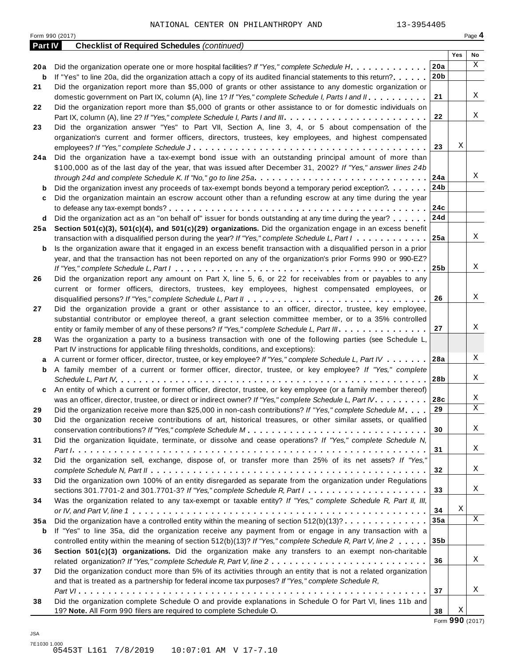|         | Form 990 (2017)                                                                                                                                                                                                                  |                 |     | Page 4 |
|---------|----------------------------------------------------------------------------------------------------------------------------------------------------------------------------------------------------------------------------------|-----------------|-----|--------|
| Part IV | <b>Checklist of Required Schedules (continued)</b>                                                                                                                                                                               |                 |     |        |
|         |                                                                                                                                                                                                                                  |                 | Yes | No     |
| 20 a    | Did the organization operate one or more hospital facilities? If "Yes," complete Schedule H.                                                                                                                                     | 20a             |     | X      |
| b       | If "Yes" to line 20a, did the organization attach a copy of its audited financial statements to this return?                                                                                                                     | 20 <sub>b</sub> |     |        |
| 21      | Did the organization report more than \$5,000 of grants or other assistance to any domestic organization or                                                                                                                      |                 |     |        |
|         | domestic government on Part IX, column (A), line 1? If "Yes," complete Schedule I, Parts I and II.                                                                                                                               | 21              |     | Χ      |
| 22      | Did the organization report more than \$5,000 of grants or other assistance to or for domestic individuals on                                                                                                                    |                 |     |        |
|         |                                                                                                                                                                                                                                  | 22              |     | Χ      |
| 23      | Did the organization answer "Yes" to Part VII, Section A, line 3, 4, or 5 about compensation of the                                                                                                                              |                 |     |        |
|         | organization's current and former officers, directors, trustees, key employees, and highest compensated                                                                                                                          |                 |     |        |
|         |                                                                                                                                                                                                                                  | 23              | Χ   |        |
| 24 a    | Did the organization have a tax-exempt bond issue with an outstanding principal amount of more than                                                                                                                              |                 |     |        |
|         | \$100,000 as of the last day of the year, that was issued after December 31, 2002? If "Yes," answer lines 24b                                                                                                                    |                 |     | Χ      |
|         | through 24d and complete Schedule K. If "No," go to line 25a. $\ldots \ldots \ldots \ldots \ldots \ldots \ldots \ldots \ldots \ldots \ldots$                                                                                     | 24a             |     |        |
| b       | Did the organization invest any proceeds of tax-exempt bonds beyond a temporary period exception?                                                                                                                                | 24b             |     |        |
| c       | Did the organization maintain an escrow account other than a refunding escrow at any time during the year                                                                                                                        |                 |     |        |
|         |                                                                                                                                                                                                                                  | 24c             |     |        |
| d       | Did the organization act as an "on behalf of" issuer for bonds outstanding at any time during the year?                                                                                                                          | 24d             |     |        |
| 25 a    | Section 501(c)(3), 501(c)(4), and 501(c)(29) organizations. Did the organization engage in an excess benefit<br>transaction with a disqualified person during the year? If "Yes," complete Schedule L, Part I                    | 25a             |     | Χ      |
|         |                                                                                                                                                                                                                                  |                 |     |        |
| b       | Is the organization aware that it engaged in an excess benefit transaction with a disqualified person in a prior<br>year, and that the transaction has not been reported on any of the organization's prior Forms 990 or 990-EZ? |                 |     |        |
|         |                                                                                                                                                                                                                                  | 25 <sub>b</sub> |     | X      |
| 26      | Did the organization report any amount on Part X, line 5, 6, or 22 for receivables from or payables to any                                                                                                                       |                 |     |        |
|         | current or former officers, directors, trustees, key employees, highest compensated employees, or                                                                                                                                |                 |     |        |
|         |                                                                                                                                                                                                                                  | 26              |     | Χ      |
| 27      | Did the organization provide a grant or other assistance to an officer, director, trustee, key employee,                                                                                                                         |                 |     |        |
|         | substantial contributor or employee thereof, a grant selection committee member, or to a 35% controlled                                                                                                                          |                 |     |        |
|         | entity or family member of any of these persons? If "Yes," complete Schedule L, Part III.                                                                                                                                        | 27              |     | Χ      |
| 28      | Was the organization a party to a business transaction with one of the following parties (see Schedule L,                                                                                                                        |                 |     |        |
|         | Part IV instructions for applicable filing thresholds, conditions, and exceptions):                                                                                                                                              |                 |     |        |
| а       | A current or former officer, director, trustee, or key employee? If "Yes," complete Schedule L, Part IV                                                                                                                          | 28a             |     | Χ      |
| b       | A family member of a current or former officer, director, trustee, or key employee? If "Yes," complete                                                                                                                           |                 |     |        |
|         |                                                                                                                                                                                                                                  | 28b             |     | Χ      |
| c       | An entity of which a current or former officer, director, trustee, or key employee (or a family member thereof)                                                                                                                  |                 |     |        |
|         | was an officer, director, trustee, or direct or indirect owner? If "Yes," complete Schedule L, Part IV.                                                                                                                          | 28c             |     | Χ      |
| 29      | Did the organization receive more than \$25,000 in non-cash contributions? If "Yes," complete Schedule M                                                                                                                         | 29              |     | X      |
| 30      | Did the organization receive contributions of art, historical treasures, or other similar assets, or qualified                                                                                                                   |                 |     |        |
|         |                                                                                                                                                                                                                                  | 30              |     | Χ      |
| 31      | Did the organization liquidate, terminate, or dissolve and cease operations? If "Yes," complete Schedule N,                                                                                                                      |                 |     |        |
|         |                                                                                                                                                                                                                                  | 31              |     | Χ      |
| 32      | Did the organization sell, exchange, dispose of, or transfer more than 25% of its net assets? If "Yes,"                                                                                                                          |                 |     |        |
|         |                                                                                                                                                                                                                                  | 32              |     | Χ      |
| 33      | Did the organization own 100% of an entity disregarded as separate from the organization under Regulations                                                                                                                       |                 |     |        |
|         | sections 301.7701-2 and 301.7701-3? If "Yes," complete Schedule R, Part $1, \ldots, \ldots, \ldots, \ldots, \ldots, \ldots$                                                                                                      | 33              |     | Χ      |
| 34      | Was the organization related to any tax-exempt or taxable entity? If "Yes," complete Schedule R, Part II, III,                                                                                                                   |                 |     |        |
|         |                                                                                                                                                                                                                                  | 34              | Χ   |        |
| 35a     | Did the organization have a controlled entity within the meaning of section $512(b)(13)? \ldots \ldots \ldots \ldots$                                                                                                            | 35a             |     | X      |
| b       | If "Yes" to line 35a, did the organization receive any payment from or engage in any transaction with a                                                                                                                          |                 |     |        |
|         | controlled entity within the meaning of section 512(b)(13)? If "Yes," complete Schedule R, Part V, line 2                                                                                                                        | 35 <sub>b</sub> |     |        |
| 36      | Section 501(c)(3) organizations. Did the organization make any transfers to an exempt non-charitable                                                                                                                             |                 |     |        |
|         |                                                                                                                                                                                                                                  | 36              |     | Χ      |
| 37      | Did the organization conduct more than 5% of its activities through an entity that is not a related organization                                                                                                                 |                 |     |        |
|         | and that is treated as a partnership for federal income tax purposes? If "Yes," complete Schedule R,                                                                                                                             |                 |     |        |
|         |                                                                                                                                                                                                                                  | 37              |     | Χ      |
| 38      | Did the organization complete Schedule O and provide explanations in Schedule O for Part VI, lines 11b and                                                                                                                       |                 |     |        |
|         | 19? Note. All Form 990 filers are required to complete Schedule O.                                                                                                                                                               | 38              | Χ   |        |

JSA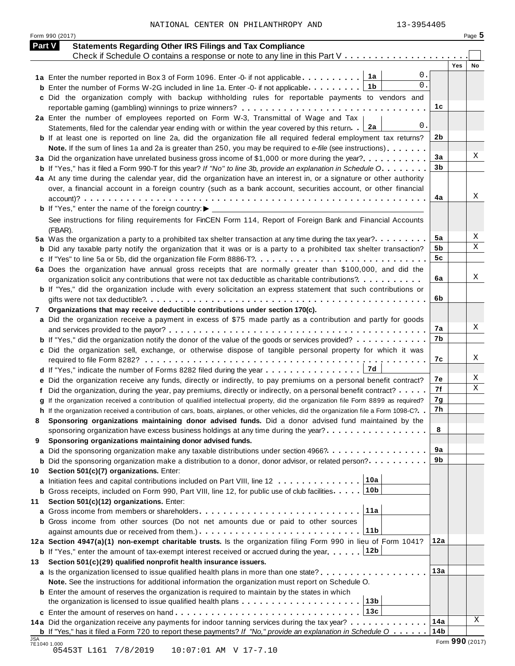NATIONAL CENTER ON PHILANTHROPY AND 13-3954405

Form <sup>990</sup> (2017) Page **5**

|     | <b>Statements Regarding Other IRS Filings and Tax Compliance</b><br><b>Part V</b>                                                       |                      |                 |
|-----|-----------------------------------------------------------------------------------------------------------------------------------------|----------------------|-----------------|
|     | Check if Schedule O contains a response or note to any line in this Part V                                                              |                      |                 |
|     | 0.                                                                                                                                      |                      | Yes<br>No       |
|     | 1а<br>1a Enter the number reported in Box 3 of Form 1096. Enter -0- if not applicable<br>0.<br>1b                                       |                      |                 |
|     | <b>b</b> Enter the number of Forms W-2G included in line 1a. Enter -0- if not applicable                                                |                      |                 |
|     | c Did the organization comply with backup withholding rules for reportable payments to vendors and                                      |                      |                 |
|     |                                                                                                                                         | 1c                   |                 |
|     | 2a Enter the number of employees reported on Form W-3, Transmittal of Wage and Tax<br>0.                                                |                      |                 |
|     | 2a<br>Statements, filed for the calendar year ending with or within the year covered by this return.                                    | 2 <sub>b</sub>       |                 |
|     | <b>b</b> If at least one is reported on line 2a, did the organization file all required federal employment tax returns?                 |                      |                 |
|     | Note. If the sum of lines 1a and 2a is greater than 250, you may be required to e-file (see instructions)                               |                      | X               |
|     | 3a Did the organization have unrelated business gross income of \$1,000 or more during the year?                                        | 3a<br>3 <sub>b</sub> |                 |
|     | <b>b</b> If "Yes," has it filed a Form 990-T for this year? If "No" to line 3b, provide an explanation in Schedule O                    |                      |                 |
|     | 4a At any time during the calendar year, did the organization have an interest in, or a signature or other authority                    |                      |                 |
|     | over, a financial account in a foreign country (such as a bank account, securities account, or other financial                          |                      | Х               |
|     |                                                                                                                                         | 4a                   |                 |
|     |                                                                                                                                         |                      |                 |
|     | See instructions for filing requirements for FinCEN Form 114, Report of Foreign Bank and Financial Accounts                             |                      |                 |
|     | (FBAR).                                                                                                                                 |                      |                 |
|     | 5a Was the organization a party to a prohibited tax shelter transaction at any time during the tax year?                                | 5a                   | Χ               |
|     | <b>b</b> Did any taxable party notify the organization that it was or is a party to a prohibited tax shelter transaction?               | 5b                   | Χ               |
|     |                                                                                                                                         | 5c                   |                 |
|     | 6a Does the organization have annual gross receipts that are normally greater than \$100,000, and did the                               |                      |                 |
|     | organization solicit any contributions that were not tax deductible as charitable contributions?                                        | 6a                   | Χ               |
|     | <b>b</b> If "Yes," did the organization include with every solicitation an express statement that such contributions or                 |                      |                 |
|     |                                                                                                                                         | 6b                   |                 |
| 7   | Organizations that may receive deductible contributions under section 170(c).                                                           |                      |                 |
|     | a Did the organization receive a payment in excess of \$75 made partly as a contribution and partly for goods                           |                      |                 |
|     |                                                                                                                                         | 7a                   | X               |
|     | <b>b</b> If "Yes," did the organization notify the donor of the value of the goods or services provided?                                | 7b                   |                 |
|     | c Did the organization sell, exchange, or otherwise dispose of tangible personal property for which it was                              |                      |                 |
|     |                                                                                                                                         | 7c                   | X               |
|     | 7d<br>d If "Yes," indicate the number of Forms 8282 filed during the year                                                               |                      |                 |
|     | e Did the organization receive any funds, directly or indirectly, to pay premiums on a personal benefit contract?                       | 7е                   | Χ               |
|     | f Did the organization, during the year, pay premiums, directly or indirectly, on a personal benefit contract?                          | 7f                   | X               |
|     | q If the organization received a contribution of qualified intellectual property, did the organization file Form 8899 as required?      | 7g                   |                 |
|     | h If the organization received a contribution of cars, boats, airplanes, or other vehicles, did the organization file a Form 1098-C?. . | 7h                   |                 |
|     | Sponsoring organizations maintaining donor advised funds. Did a donor advised fund maintained by the                                    |                      |                 |
|     | sponsoring organization have excess business holdings at any time during the year?                                                      | 8                    |                 |
| 9   | Sponsoring organizations maintaining donor advised funds.                                                                               |                      |                 |
|     | a Did the sponsoring organization make any taxable distributions under section 4966?                                                    | 9а                   |                 |
|     | <b>b</b> Did the sponsoring organization make a distribution to a donor, donor advisor, or related person?                              | 9b                   |                 |
| 10  | Section 501(c)(7) organizations. Enter:                                                                                                 |                      |                 |
|     | 10a<br>a Initiation fees and capital contributions included on Part VIII, line 12                                                       |                      |                 |
|     | 10 <sub>b</sub><br><b>b</b> Gross receipts, included on Form 990, Part VIII, line 12, for public use of club facilities                 |                      |                 |
| 11  | Section 501(c)(12) organizations. Enter:                                                                                                |                      |                 |
|     | 11a                                                                                                                                     |                      |                 |
|     | <b>b</b> Gross income from other sources (Do not net amounts due or paid to other sources                                               |                      |                 |
|     | 11 <sub>b</sub>                                                                                                                         |                      |                 |
|     | 12a Section 4947(a)(1) non-exempt charitable trusts. Is the organization filing Form 990 in lieu of Form 1041?                          | 12a                  |                 |
|     | 12b<br><b>b</b> If "Yes," enter the amount of tax-exempt interest received or accrued during the year                                   |                      |                 |
| 13. | Section 501(c)(29) qualified nonprofit health insurance issuers.                                                                        |                      |                 |
|     | <b>a</b> Is the organization licensed to issue qualified health plans in more than one state?                                           | 13a                  |                 |
|     | Note. See the instructions for additional information the organization must report on Schedule O.                                       |                      |                 |
|     | <b>b</b> Enter the amount of reserves the organization is required to maintain by the states in which                                   |                      |                 |
|     | 13 <sub>b</sub><br>the organization is licensed to issue qualified health plans                                                         |                      |                 |
|     | 13c                                                                                                                                     |                      |                 |
|     | 14a Did the organization receive any payments for indoor tanning services during the tax year?                                          | 14a                  | Χ               |
|     | <b>b</b> If "Yes," has it filed a Form 720 to report these payments? If "No," provide an explanation in Schedule O                      | 14 <sub>b</sub>      |                 |
| JSA | 7E1040 1.000                                                                                                                            |                      | Form 990 (2017) |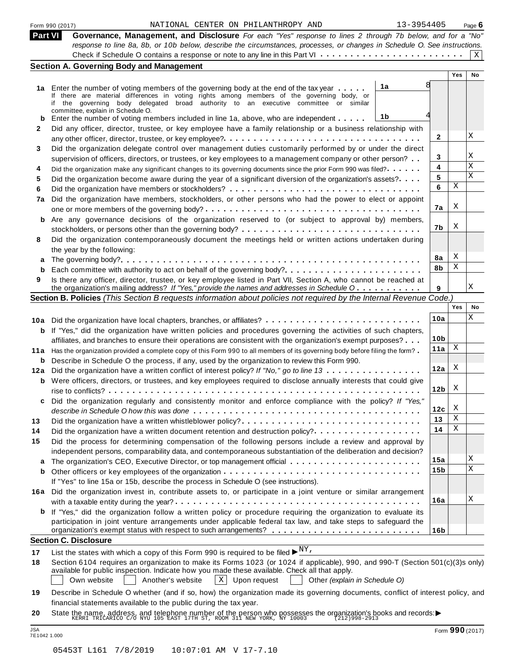| NATIONAL CENTER ON PHILANTHROPY AND<br>Form 990 (2017)                                                                                                                                             |                                                                                                                                                                                                                                                                                                                                                                                                                                                                                                                                                                                                                                                                                                                                                                                                                                                                                                                                                                                                                                                                                                                                                                                                                                                                                                                                                                                                                                                                                                                                                                                                                                                                                                                                                                                                                                                                                                                                                                                                                                                                                                                                                                                                                                                                                                                                                                                                                                                                                                                                                                                                                                                 |                                                                                                                                       | Page $6$                                                                                                                                                                                                                                                                                                                                                                                                                              |
|----------------------------------------------------------------------------------------------------------------------------------------------------------------------------------------------------|-------------------------------------------------------------------------------------------------------------------------------------------------------------------------------------------------------------------------------------------------------------------------------------------------------------------------------------------------------------------------------------------------------------------------------------------------------------------------------------------------------------------------------------------------------------------------------------------------------------------------------------------------------------------------------------------------------------------------------------------------------------------------------------------------------------------------------------------------------------------------------------------------------------------------------------------------------------------------------------------------------------------------------------------------------------------------------------------------------------------------------------------------------------------------------------------------------------------------------------------------------------------------------------------------------------------------------------------------------------------------------------------------------------------------------------------------------------------------------------------------------------------------------------------------------------------------------------------------------------------------------------------------------------------------------------------------------------------------------------------------------------------------------------------------------------------------------------------------------------------------------------------------------------------------------------------------------------------------------------------------------------------------------------------------------------------------------------------------------------------------------------------------------------------------------------------------------------------------------------------------------------------------------------------------------------------------------------------------------------------------------------------------------------------------------------------------------------------------------------------------------------------------------------------------------------------------------------------------------------------------------------------------|---------------------------------------------------------------------------------------------------------------------------------------|---------------------------------------------------------------------------------------------------------------------------------------------------------------------------------------------------------------------------------------------------------------------------------------------------------------------------------------------------------------------------------------------------------------------------------------|
|                                                                                                                                                                                                    |                                                                                                                                                                                                                                                                                                                                                                                                                                                                                                                                                                                                                                                                                                                                                                                                                                                                                                                                                                                                                                                                                                                                                                                                                                                                                                                                                                                                                                                                                                                                                                                                                                                                                                                                                                                                                                                                                                                                                                                                                                                                                                                                                                                                                                                                                                                                                                                                                                                                                                                                                                                                                                                 |                                                                                                                                       |                                                                                                                                                                                                                                                                                                                                                                                                                                       |
|                                                                                                                                                                                                    |                                                                                                                                                                                                                                                                                                                                                                                                                                                                                                                                                                                                                                                                                                                                                                                                                                                                                                                                                                                                                                                                                                                                                                                                                                                                                                                                                                                                                                                                                                                                                                                                                                                                                                                                                                                                                                                                                                                                                                                                                                                                                                                                                                                                                                                                                                                                                                                                                                                                                                                                                                                                                                                 |                                                                                                                                       |                                                                                                                                                                                                                                                                                                                                                                                                                                       |
|                                                                                                                                                                                                    |                                                                                                                                                                                                                                                                                                                                                                                                                                                                                                                                                                                                                                                                                                                                                                                                                                                                                                                                                                                                                                                                                                                                                                                                                                                                                                                                                                                                                                                                                                                                                                                                                                                                                                                                                                                                                                                                                                                                                                                                                                                                                                                                                                                                                                                                                                                                                                                                                                                                                                                                                                                                                                                 |                                                                                                                                       | Χ                                                                                                                                                                                                                                                                                                                                                                                                                                     |
|                                                                                                                                                                                                    |                                                                                                                                                                                                                                                                                                                                                                                                                                                                                                                                                                                                                                                                                                                                                                                                                                                                                                                                                                                                                                                                                                                                                                                                                                                                                                                                                                                                                                                                                                                                                                                                                                                                                                                                                                                                                                                                                                                                                                                                                                                                                                                                                                                                                                                                                                                                                                                                                                                                                                                                                                                                                                                 |                                                                                                                                       |                                                                                                                                                                                                                                                                                                                                                                                                                                       |
|                                                                                                                                                                                                    |                                                                                                                                                                                                                                                                                                                                                                                                                                                                                                                                                                                                                                                                                                                                                                                                                                                                                                                                                                                                                                                                                                                                                                                                                                                                                                                                                                                                                                                                                                                                                                                                                                                                                                                                                                                                                                                                                                                                                                                                                                                                                                                                                                                                                                                                                                                                                                                                                                                                                                                                                                                                                                                 |                                                                                                                                       | No.                                                                                                                                                                                                                                                                                                                                                                                                                                   |
| 1a                                                                                                                                                                                                 |                                                                                                                                                                                                                                                                                                                                                                                                                                                                                                                                                                                                                                                                                                                                                                                                                                                                                                                                                                                                                                                                                                                                                                                                                                                                                                                                                                                                                                                                                                                                                                                                                                                                                                                                                                                                                                                                                                                                                                                                                                                                                                                                                                                                                                                                                                                                                                                                                                                                                                                                                                                                                                                 |                                                                                                                                       |                                                                                                                                                                                                                                                                                                                                                                                                                                       |
|                                                                                                                                                                                                    |                                                                                                                                                                                                                                                                                                                                                                                                                                                                                                                                                                                                                                                                                                                                                                                                                                                                                                                                                                                                                                                                                                                                                                                                                                                                                                                                                                                                                                                                                                                                                                                                                                                                                                                                                                                                                                                                                                                                                                                                                                                                                                                                                                                                                                                                                                                                                                                                                                                                                                                                                                                                                                                 |                                                                                                                                       |                                                                                                                                                                                                                                                                                                                                                                                                                                       |
|                                                                                                                                                                                                    |                                                                                                                                                                                                                                                                                                                                                                                                                                                                                                                                                                                                                                                                                                                                                                                                                                                                                                                                                                                                                                                                                                                                                                                                                                                                                                                                                                                                                                                                                                                                                                                                                                                                                                                                                                                                                                                                                                                                                                                                                                                                                                                                                                                                                                                                                                                                                                                                                                                                                                                                                                                                                                                 |                                                                                                                                       |                                                                                                                                                                                                                                                                                                                                                                                                                                       |
| 1b                                                                                                                                                                                                 |                                                                                                                                                                                                                                                                                                                                                                                                                                                                                                                                                                                                                                                                                                                                                                                                                                                                                                                                                                                                                                                                                                                                                                                                                                                                                                                                                                                                                                                                                                                                                                                                                                                                                                                                                                                                                                                                                                                                                                                                                                                                                                                                                                                                                                                                                                                                                                                                                                                                                                                                                                                                                                                 |                                                                                                                                       |                                                                                                                                                                                                                                                                                                                                                                                                                                       |
| Did any officer, director, trustee, or key employee have a family relationship or a business relationship with                                                                                     |                                                                                                                                                                                                                                                                                                                                                                                                                                                                                                                                                                                                                                                                                                                                                                                                                                                                                                                                                                                                                                                                                                                                                                                                                                                                                                                                                                                                                                                                                                                                                                                                                                                                                                                                                                                                                                                                                                                                                                                                                                                                                                                                                                                                                                                                                                                                                                                                                                                                                                                                                                                                                                                 |                                                                                                                                       |                                                                                                                                                                                                                                                                                                                                                                                                                                       |
|                                                                                                                                                                                                    | 2                                                                                                                                                                                                                                                                                                                                                                                                                                                                                                                                                                                                                                                                                                                                                                                                                                                                                                                                                                                                                                                                                                                                                                                                                                                                                                                                                                                                                                                                                                                                                                                                                                                                                                                                                                                                                                                                                                                                                                                                                                                                                                                                                                                                                                                                                                                                                                                                                                                                                                                                                                                                                                               |                                                                                                                                       | X                                                                                                                                                                                                                                                                                                                                                                                                                                     |
|                                                                                                                                                                                                    |                                                                                                                                                                                                                                                                                                                                                                                                                                                                                                                                                                                                                                                                                                                                                                                                                                                                                                                                                                                                                                                                                                                                                                                                                                                                                                                                                                                                                                                                                                                                                                                                                                                                                                                                                                                                                                                                                                                                                                                                                                                                                                                                                                                                                                                                                                                                                                                                                                                                                                                                                                                                                                                 |                                                                                                                                       |                                                                                                                                                                                                                                                                                                                                                                                                                                       |
| supervision of officers, directors, or trustees, or key employees to a management company or other person?                                                                                         | 3                                                                                                                                                                                                                                                                                                                                                                                                                                                                                                                                                                                                                                                                                                                                                                                                                                                                                                                                                                                                                                                                                                                                                                                                                                                                                                                                                                                                                                                                                                                                                                                                                                                                                                                                                                                                                                                                                                                                                                                                                                                                                                                                                                                                                                                                                                                                                                                                                                                                                                                                                                                                                                               |                                                                                                                                       | Χ                                                                                                                                                                                                                                                                                                                                                                                                                                     |
| Did the organization make any significant changes to its governing documents since the prior Form 990 was filed?                                                                                   | 4                                                                                                                                                                                                                                                                                                                                                                                                                                                                                                                                                                                                                                                                                                                                                                                                                                                                                                                                                                                                                                                                                                                                                                                                                                                                                                                                                                                                                                                                                                                                                                                                                                                                                                                                                                                                                                                                                                                                                                                                                                                                                                                                                                                                                                                                                                                                                                                                                                                                                                                                                                                                                                               |                                                                                                                                       | Χ                                                                                                                                                                                                                                                                                                                                                                                                                                     |
| Did the organization become aware during the year of a significant diversion of the organization's assets?                                                                                         | 5                                                                                                                                                                                                                                                                                                                                                                                                                                                                                                                                                                                                                                                                                                                                                                                                                                                                                                                                                                                                                                                                                                                                                                                                                                                                                                                                                                                                                                                                                                                                                                                                                                                                                                                                                                                                                                                                                                                                                                                                                                                                                                                                                                                                                                                                                                                                                                                                                                                                                                                                                                                                                                               |                                                                                                                                       | X                                                                                                                                                                                                                                                                                                                                                                                                                                     |
|                                                                                                                                                                                                    | 6                                                                                                                                                                                                                                                                                                                                                                                                                                                                                                                                                                                                                                                                                                                                                                                                                                                                                                                                                                                                                                                                                                                                                                                                                                                                                                                                                                                                                                                                                                                                                                                                                                                                                                                                                                                                                                                                                                                                                                                                                                                                                                                                                                                                                                                                                                                                                                                                                                                                                                                                                                                                                                               |                                                                                                                                       |                                                                                                                                                                                                                                                                                                                                                                                                                                       |
| Did the organization have members, stockholders, or other persons who had the power to elect or appoint                                                                                            |                                                                                                                                                                                                                                                                                                                                                                                                                                                                                                                                                                                                                                                                                                                                                                                                                                                                                                                                                                                                                                                                                                                                                                                                                                                                                                                                                                                                                                                                                                                                                                                                                                                                                                                                                                                                                                                                                                                                                                                                                                                                                                                                                                                                                                                                                                                                                                                                                                                                                                                                                                                                                                                 |                                                                                                                                       |                                                                                                                                                                                                                                                                                                                                                                                                                                       |
|                                                                                                                                                                                                    | 7a                                                                                                                                                                                                                                                                                                                                                                                                                                                                                                                                                                                                                                                                                                                                                                                                                                                                                                                                                                                                                                                                                                                                                                                                                                                                                                                                                                                                                                                                                                                                                                                                                                                                                                                                                                                                                                                                                                                                                                                                                                                                                                                                                                                                                                                                                                                                                                                                                                                                                                                                                                                                                                              | Χ                                                                                                                                     |                                                                                                                                                                                                                                                                                                                                                                                                                                       |
|                                                                                                                                                                                                    |                                                                                                                                                                                                                                                                                                                                                                                                                                                                                                                                                                                                                                                                                                                                                                                                                                                                                                                                                                                                                                                                                                                                                                                                                                                                                                                                                                                                                                                                                                                                                                                                                                                                                                                                                                                                                                                                                                                                                                                                                                                                                                                                                                                                                                                                                                                                                                                                                                                                                                                                                                                                                                                 |                                                                                                                                       |                                                                                                                                                                                                                                                                                                                                                                                                                                       |
|                                                                                                                                                                                                    | 7b                                                                                                                                                                                                                                                                                                                                                                                                                                                                                                                                                                                                                                                                                                                                                                                                                                                                                                                                                                                                                                                                                                                                                                                                                                                                                                                                                                                                                                                                                                                                                                                                                                                                                                                                                                                                                                                                                                                                                                                                                                                                                                                                                                                                                                                                                                                                                                                                                                                                                                                                                                                                                                              |                                                                                                                                       |                                                                                                                                                                                                                                                                                                                                                                                                                                       |
| Did the organization contemporaneously document the meetings held or written actions undertaken during                                                                                             |                                                                                                                                                                                                                                                                                                                                                                                                                                                                                                                                                                                                                                                                                                                                                                                                                                                                                                                                                                                                                                                                                                                                                                                                                                                                                                                                                                                                                                                                                                                                                                                                                                                                                                                                                                                                                                                                                                                                                                                                                                                                                                                                                                                                                                                                                                                                                                                                                                                                                                                                                                                                                                                 |                                                                                                                                       |                                                                                                                                                                                                                                                                                                                                                                                                                                       |
| the year by the following:                                                                                                                                                                         |                                                                                                                                                                                                                                                                                                                                                                                                                                                                                                                                                                                                                                                                                                                                                                                                                                                                                                                                                                                                                                                                                                                                                                                                                                                                                                                                                                                                                                                                                                                                                                                                                                                                                                                                                                                                                                                                                                                                                                                                                                                                                                                                                                                                                                                                                                                                                                                                                                                                                                                                                                                                                                                 |                                                                                                                                       |                                                                                                                                                                                                                                                                                                                                                                                                                                       |
|                                                                                                                                                                                                    | 8a                                                                                                                                                                                                                                                                                                                                                                                                                                                                                                                                                                                                                                                                                                                                                                                                                                                                                                                                                                                                                                                                                                                                                                                                                                                                                                                                                                                                                                                                                                                                                                                                                                                                                                                                                                                                                                                                                                                                                                                                                                                                                                                                                                                                                                                                                                                                                                                                                                                                                                                                                                                                                                              |                                                                                                                                       |                                                                                                                                                                                                                                                                                                                                                                                                                                       |
| Each committee with authority to act on behalf of the governing body?                                                                                                                              | 8b                                                                                                                                                                                                                                                                                                                                                                                                                                                                                                                                                                                                                                                                                                                                                                                                                                                                                                                                                                                                                                                                                                                                                                                                                                                                                                                                                                                                                                                                                                                                                                                                                                                                                                                                                                                                                                                                                                                                                                                                                                                                                                                                                                                                                                                                                                                                                                                                                                                                                                                                                                                                                                              |                                                                                                                                       |                                                                                                                                                                                                                                                                                                                                                                                                                                       |
|                                                                                                                                                                                                    |                                                                                                                                                                                                                                                                                                                                                                                                                                                                                                                                                                                                                                                                                                                                                                                                                                                                                                                                                                                                                                                                                                                                                                                                                                                                                                                                                                                                                                                                                                                                                                                                                                                                                                                                                                                                                                                                                                                                                                                                                                                                                                                                                                                                                                                                                                                                                                                                                                                                                                                                                                                                                                                 |                                                                                                                                       |                                                                                                                                                                                                                                                                                                                                                                                                                                       |
|                                                                                                                                                                                                    |                                                                                                                                                                                                                                                                                                                                                                                                                                                                                                                                                                                                                                                                                                                                                                                                                                                                                                                                                                                                                                                                                                                                                                                                                                                                                                                                                                                                                                                                                                                                                                                                                                                                                                                                                                                                                                                                                                                                                                                                                                                                                                                                                                                                                                                                                                                                                                                                                                                                                                                                                                                                                                                 |                                                                                                                                       | Χ                                                                                                                                                                                                                                                                                                                                                                                                                                     |
|                                                                                                                                                                                                    |                                                                                                                                                                                                                                                                                                                                                                                                                                                                                                                                                                                                                                                                                                                                                                                                                                                                                                                                                                                                                                                                                                                                                                                                                                                                                                                                                                                                                                                                                                                                                                                                                                                                                                                                                                                                                                                                                                                                                                                                                                                                                                                                                                                                                                                                                                                                                                                                                                                                                                                                                                                                                                                 |                                                                                                                                       |                                                                                                                                                                                                                                                                                                                                                                                                                                       |
|                                                                                                                                                                                                    |                                                                                                                                                                                                                                                                                                                                                                                                                                                                                                                                                                                                                                                                                                                                                                                                                                                                                                                                                                                                                                                                                                                                                                                                                                                                                                                                                                                                                                                                                                                                                                                                                                                                                                                                                                                                                                                                                                                                                                                                                                                                                                                                                                                                                                                                                                                                                                                                                                                                                                                                                                                                                                                 |                                                                                                                                       | No<br>Χ                                                                                                                                                                                                                                                                                                                                                                                                                               |
|                                                                                                                                                                                                    |                                                                                                                                                                                                                                                                                                                                                                                                                                                                                                                                                                                                                                                                                                                                                                                                                                                                                                                                                                                                                                                                                                                                                                                                                                                                                                                                                                                                                                                                                                                                                                                                                                                                                                                                                                                                                                                                                                                                                                                                                                                                                                                                                                                                                                                                                                                                                                                                                                                                                                                                                                                                                                                 |                                                                                                                                       |                                                                                                                                                                                                                                                                                                                                                                                                                                       |
|                                                                                                                                                                                                    |                                                                                                                                                                                                                                                                                                                                                                                                                                                                                                                                                                                                                                                                                                                                                                                                                                                                                                                                                                                                                                                                                                                                                                                                                                                                                                                                                                                                                                                                                                                                                                                                                                                                                                                                                                                                                                                                                                                                                                                                                                                                                                                                                                                                                                                                                                                                                                                                                                                                                                                                                                                                                                                 |                                                                                                                                       |                                                                                                                                                                                                                                                                                                                                                                                                                                       |
|                                                                                                                                                                                                    |                                                                                                                                                                                                                                                                                                                                                                                                                                                                                                                                                                                                                                                                                                                                                                                                                                                                                                                                                                                                                                                                                                                                                                                                                                                                                                                                                                                                                                                                                                                                                                                                                                                                                                                                                                                                                                                                                                                                                                                                                                                                                                                                                                                                                                                                                                                                                                                                                                                                                                                                                                                                                                                 |                                                                                                                                       |                                                                                                                                                                                                                                                                                                                                                                                                                                       |
|                                                                                                                                                                                                    |                                                                                                                                                                                                                                                                                                                                                                                                                                                                                                                                                                                                                                                                                                                                                                                                                                                                                                                                                                                                                                                                                                                                                                                                                                                                                                                                                                                                                                                                                                                                                                                                                                                                                                                                                                                                                                                                                                                                                                                                                                                                                                                                                                                                                                                                                                                                                                                                                                                                                                                                                                                                                                                 |                                                                                                                                       |                                                                                                                                                                                                                                                                                                                                                                                                                                       |
|                                                                                                                                                                                                    |                                                                                                                                                                                                                                                                                                                                                                                                                                                                                                                                                                                                                                                                                                                                                                                                                                                                                                                                                                                                                                                                                                                                                                                                                                                                                                                                                                                                                                                                                                                                                                                                                                                                                                                                                                                                                                                                                                                                                                                                                                                                                                                                                                                                                                                                                                                                                                                                                                                                                                                                                                                                                                                 |                                                                                                                                       |                                                                                                                                                                                                                                                                                                                                                                                                                                       |
|                                                                                                                                                                                                    |                                                                                                                                                                                                                                                                                                                                                                                                                                                                                                                                                                                                                                                                                                                                                                                                                                                                                                                                                                                                                                                                                                                                                                                                                                                                                                                                                                                                                                                                                                                                                                                                                                                                                                                                                                                                                                                                                                                                                                                                                                                                                                                                                                                                                                                                                                                                                                                                                                                                                                                                                                                                                                                 |                                                                                                                                       |                                                                                                                                                                                                                                                                                                                                                                                                                                       |
|                                                                                                                                                                                                    |                                                                                                                                                                                                                                                                                                                                                                                                                                                                                                                                                                                                                                                                                                                                                                                                                                                                                                                                                                                                                                                                                                                                                                                                                                                                                                                                                                                                                                                                                                                                                                                                                                                                                                                                                                                                                                                                                                                                                                                                                                                                                                                                                                                                                                                                                                                                                                                                                                                                                                                                                                                                                                                 |                                                                                                                                       |                                                                                                                                                                                                                                                                                                                                                                                                                                       |
|                                                                                                                                                                                                    |                                                                                                                                                                                                                                                                                                                                                                                                                                                                                                                                                                                                                                                                                                                                                                                                                                                                                                                                                                                                                                                                                                                                                                                                                                                                                                                                                                                                                                                                                                                                                                                                                                                                                                                                                                                                                                                                                                                                                                                                                                                                                                                                                                                                                                                                                                                                                                                                                                                                                                                                                                                                                                                 |                                                                                                                                       |                                                                                                                                                                                                                                                                                                                                                                                                                                       |
|                                                                                                                                                                                                    |                                                                                                                                                                                                                                                                                                                                                                                                                                                                                                                                                                                                                                                                                                                                                                                                                                                                                                                                                                                                                                                                                                                                                                                                                                                                                                                                                                                                                                                                                                                                                                                                                                                                                                                                                                                                                                                                                                                                                                                                                                                                                                                                                                                                                                                                                                                                                                                                                                                                                                                                                                                                                                                 |                                                                                                                                       |                                                                                                                                                                                                                                                                                                                                                                                                                                       |
|                                                                                                                                                                                                    |                                                                                                                                                                                                                                                                                                                                                                                                                                                                                                                                                                                                                                                                                                                                                                                                                                                                                                                                                                                                                                                                                                                                                                                                                                                                                                                                                                                                                                                                                                                                                                                                                                                                                                                                                                                                                                                                                                                                                                                                                                                                                                                                                                                                                                                                                                                                                                                                                                                                                                                                                                                                                                                 |                                                                                                                                       |                                                                                                                                                                                                                                                                                                                                                                                                                                       |
|                                                                                                                                                                                                    |                                                                                                                                                                                                                                                                                                                                                                                                                                                                                                                                                                                                                                                                                                                                                                                                                                                                                                                                                                                                                                                                                                                                                                                                                                                                                                                                                                                                                                                                                                                                                                                                                                                                                                                                                                                                                                                                                                                                                                                                                                                                                                                                                                                                                                                                                                                                                                                                                                                                                                                                                                                                                                                 |                                                                                                                                       |                                                                                                                                                                                                                                                                                                                                                                                                                                       |
|                                                                                                                                                                                                    |                                                                                                                                                                                                                                                                                                                                                                                                                                                                                                                                                                                                                                                                                                                                                                                                                                                                                                                                                                                                                                                                                                                                                                                                                                                                                                                                                                                                                                                                                                                                                                                                                                                                                                                                                                                                                                                                                                                                                                                                                                                                                                                                                                                                                                                                                                                                                                                                                                                                                                                                                                                                                                                 |                                                                                                                                       |                                                                                                                                                                                                                                                                                                                                                                                                                                       |
|                                                                                                                                                                                                    |                                                                                                                                                                                                                                                                                                                                                                                                                                                                                                                                                                                                                                                                                                                                                                                                                                                                                                                                                                                                                                                                                                                                                                                                                                                                                                                                                                                                                                                                                                                                                                                                                                                                                                                                                                                                                                                                                                                                                                                                                                                                                                                                                                                                                                                                                                                                                                                                                                                                                                                                                                                                                                                 |                                                                                                                                       |                                                                                                                                                                                                                                                                                                                                                                                                                                       |
|                                                                                                                                                                                                    |                                                                                                                                                                                                                                                                                                                                                                                                                                                                                                                                                                                                                                                                                                                                                                                                                                                                                                                                                                                                                                                                                                                                                                                                                                                                                                                                                                                                                                                                                                                                                                                                                                                                                                                                                                                                                                                                                                                                                                                                                                                                                                                                                                                                                                                                                                                                                                                                                                                                                                                                                                                                                                                 |                                                                                                                                       | Χ                                                                                                                                                                                                                                                                                                                                                                                                                                     |
|                                                                                                                                                                                                    |                                                                                                                                                                                                                                                                                                                                                                                                                                                                                                                                                                                                                                                                                                                                                                                                                                                                                                                                                                                                                                                                                                                                                                                                                                                                                                                                                                                                                                                                                                                                                                                                                                                                                                                                                                                                                                                                                                                                                                                                                                                                                                                                                                                                                                                                                                                                                                                                                                                                                                                                                                                                                                                 |                                                                                                                                       | X                                                                                                                                                                                                                                                                                                                                                                                                                                     |
|                                                                                                                                                                                                    |                                                                                                                                                                                                                                                                                                                                                                                                                                                                                                                                                                                                                                                                                                                                                                                                                                                                                                                                                                                                                                                                                                                                                                                                                                                                                                                                                                                                                                                                                                                                                                                                                                                                                                                                                                                                                                                                                                                                                                                                                                                                                                                                                                                                                                                                                                                                                                                                                                                                                                                                                                                                                                                 |                                                                                                                                       |                                                                                                                                                                                                                                                                                                                                                                                                                                       |
|                                                                                                                                                                                                    |                                                                                                                                                                                                                                                                                                                                                                                                                                                                                                                                                                                                                                                                                                                                                                                                                                                                                                                                                                                                                                                                                                                                                                                                                                                                                                                                                                                                                                                                                                                                                                                                                                                                                                                                                                                                                                                                                                                                                                                                                                                                                                                                                                                                                                                                                                                                                                                                                                                                                                                                                                                                                                                 |                                                                                                                                       |                                                                                                                                                                                                                                                                                                                                                                                                                                       |
|                                                                                                                                                                                                    |                                                                                                                                                                                                                                                                                                                                                                                                                                                                                                                                                                                                                                                                                                                                                                                                                                                                                                                                                                                                                                                                                                                                                                                                                                                                                                                                                                                                                                                                                                                                                                                                                                                                                                                                                                                                                                                                                                                                                                                                                                                                                                                                                                                                                                                                                                                                                                                                                                                                                                                                                                                                                                                 |                                                                                                                                       | X                                                                                                                                                                                                                                                                                                                                                                                                                                     |
|                                                                                                                                                                                                    |                                                                                                                                                                                                                                                                                                                                                                                                                                                                                                                                                                                                                                                                                                                                                                                                                                                                                                                                                                                                                                                                                                                                                                                                                                                                                                                                                                                                                                                                                                                                                                                                                                                                                                                                                                                                                                                                                                                                                                                                                                                                                                                                                                                                                                                                                                                                                                                                                                                                                                                                                                                                                                                 |                                                                                                                                       |                                                                                                                                                                                                                                                                                                                                                                                                                                       |
|                                                                                                                                                                                                    |                                                                                                                                                                                                                                                                                                                                                                                                                                                                                                                                                                                                                                                                                                                                                                                                                                                                                                                                                                                                                                                                                                                                                                                                                                                                                                                                                                                                                                                                                                                                                                                                                                                                                                                                                                                                                                                                                                                                                                                                                                                                                                                                                                                                                                                                                                                                                                                                                                                                                                                                                                                                                                                 |                                                                                                                                       |                                                                                                                                                                                                                                                                                                                                                                                                                                       |
|                                                                                                                                                                                                    |                                                                                                                                                                                                                                                                                                                                                                                                                                                                                                                                                                                                                                                                                                                                                                                                                                                                                                                                                                                                                                                                                                                                                                                                                                                                                                                                                                                                                                                                                                                                                                                                                                                                                                                                                                                                                                                                                                                                                                                                                                                                                                                                                                                                                                                                                                                                                                                                                                                                                                                                                                                                                                                 |                                                                                                                                       |                                                                                                                                                                                                                                                                                                                                                                                                                                       |
| <b>Section C. Disclosure</b>                                                                                                                                                                       |                                                                                                                                                                                                                                                                                                                                                                                                                                                                                                                                                                                                                                                                                                                                                                                                                                                                                                                                                                                                                                                                                                                                                                                                                                                                                                                                                                                                                                                                                                                                                                                                                                                                                                                                                                                                                                                                                                                                                                                                                                                                                                                                                                                                                                                                                                                                                                                                                                                                                                                                                                                                                                                 |                                                                                                                                       |                                                                                                                                                                                                                                                                                                                                                                                                                                       |
|                                                                                                                                                                                                    |                                                                                                                                                                                                                                                                                                                                                                                                                                                                                                                                                                                                                                                                                                                                                                                                                                                                                                                                                                                                                                                                                                                                                                                                                                                                                                                                                                                                                                                                                                                                                                                                                                                                                                                                                                                                                                                                                                                                                                                                                                                                                                                                                                                                                                                                                                                                                                                                                                                                                                                                                                                                                                                 |                                                                                                                                       |                                                                                                                                                                                                                                                                                                                                                                                                                                       |
|                                                                                                                                                                                                    |                                                                                                                                                                                                                                                                                                                                                                                                                                                                                                                                                                                                                                                                                                                                                                                                                                                                                                                                                                                                                                                                                                                                                                                                                                                                                                                                                                                                                                                                                                                                                                                                                                                                                                                                                                                                                                                                                                                                                                                                                                                                                                                                                                                                                                                                                                                                                                                                                                                                                                                                                                                                                                                 |                                                                                                                                       |                                                                                                                                                                                                                                                                                                                                                                                                                                       |
| List the states with which a copy of this Form 990 is required to be filed $\blacktriangleright^{\underline{NY}}$ .                                                                                |                                                                                                                                                                                                                                                                                                                                                                                                                                                                                                                                                                                                                                                                                                                                                                                                                                                                                                                                                                                                                                                                                                                                                                                                                                                                                                                                                                                                                                                                                                                                                                                                                                                                                                                                                                                                                                                                                                                                                                                                                                                                                                                                                                                                                                                                                                                                                                                                                                                                                                                                                                                                                                                 |                                                                                                                                       |                                                                                                                                                                                                                                                                                                                                                                                                                                       |
| Section 6104 requires an organization to make its Forms 1023 (or 1024 if applicable), 990, and 990-T (Section 501(c)(3)s only)                                                                     |                                                                                                                                                                                                                                                                                                                                                                                                                                                                                                                                                                                                                                                                                                                                                                                                                                                                                                                                                                                                                                                                                                                                                                                                                                                                                                                                                                                                                                                                                                                                                                                                                                                                                                                                                                                                                                                                                                                                                                                                                                                                                                                                                                                                                                                                                                                                                                                                                                                                                                                                                                                                                                                 |                                                                                                                                       |                                                                                                                                                                                                                                                                                                                                                                                                                                       |
| available for public inspection. Indicate how you made these available. Check all that apply.<br>$\mathbf{X}$<br>Own website<br>Another's website<br>Upon request<br>Other (explain in Schedule O) |                                                                                                                                                                                                                                                                                                                                                                                                                                                                                                                                                                                                                                                                                                                                                                                                                                                                                                                                                                                                                                                                                                                                                                                                                                                                                                                                                                                                                                                                                                                                                                                                                                                                                                                                                                                                                                                                                                                                                                                                                                                                                                                                                                                                                                                                                                                                                                                                                                                                                                                                                                                                                                                 |                                                                                                                                       |                                                                                                                                                                                                                                                                                                                                                                                                                                       |
| 11 a                                                                                                                                                                                               | Part VI<br><b>Section A. Governing Body and Management</b><br>1a Enter the number of voting members of the governing body at the end of the tax year<br>If there are material differences in voting rights among members of the governing body, or<br>if the governing body delegated broad authority to an executive committee or similar<br>committee, explain in Schedule O.<br>Enter the number of voting members included in line 1a, above, who are independent<br>Did the organization delegate control over management duties customarily performed by or under the direct<br><b>b</b> Are any governance decisions of the organization reserved to (or subject to approval by) members,<br>Is there any officer, director, trustee, or key employee listed in Part VII, Section A, who cannot be reached at<br>the organization's mailing address? If "Yes," provide the names and addresses in Schedule O<br>10a Did the organization have local chapters, branches, or affiliates?<br><b>b</b> If "Yes," did the organization have written policies and procedures governing the activities of such chapters,<br>affiliates, and branches to ensure their operations are consistent with the organization's exempt purposes?<br>Has the organization provided a complete copy of this Form 990 to all members of its governing body before filing the form?<br>Describe in Schedule O the process, if any, used by the organization to review this Form 990.<br>Did the organization have a written conflict of interest policy? If "No," go to line 13<br><b>b</b> Were officers, directors, or trustees, and key employees required to disclose annually interests that could give<br>Did the organization regularly and consistently monitor and enforce compliance with the policy? If "Yes,"<br>Did the organization have a written whistleblower policy?<br>Did the organization have a written document retention and destruction policy?<br>Did the process for determining compensation of the following persons include a review and approval by<br>independent persons, comparability data, and contemporaneous substantiation of the deliberation and decision?<br>If "Yes" to line 15a or 15b, describe the process in Schedule O (see instructions).<br>16a Did the organization invest in, contribute assets to, or participate in a joint venture or similar arrangement<br><b>b</b> If "Yes," did the organization follow a written policy or procedure requiring the organization to evaluate its<br>participation in joint venture arrangements under applicable federal tax law, and take steps to safeguard the | 13-3954405<br>9<br>10a<br>10 <sub>b</sub><br>11a<br>12a<br>12 <sub>b</sub><br>12c<br>13<br>14<br>15a<br>15b<br>16a<br>16 <sub>b</sub> | Governance, Management, and Disclosure For each "Yes" response to lines 2 through 7b below, and for a "No"<br>response to line 8a, 8b, or 10b below, describe the circumstances, processes, or changes in Schedule O. See instructions.<br><b>Yes</b><br>Χ<br>Χ<br>Χ<br>Χ<br>Section B. Policies (This Section B requests information about policies not required by the Internal Revenue Code.)<br>Yes<br>Χ<br>X<br>X<br>X<br>Χ<br>Χ |

**20** nnancial statements available to the public during the tax year.<br>State the name, address, and telephone number of the person who possesses the organization's books and records:<br>ERREAL TRICARICO C/O NYU 105 EAST 17TH ST, RO

financial statements available to the public during the tax year.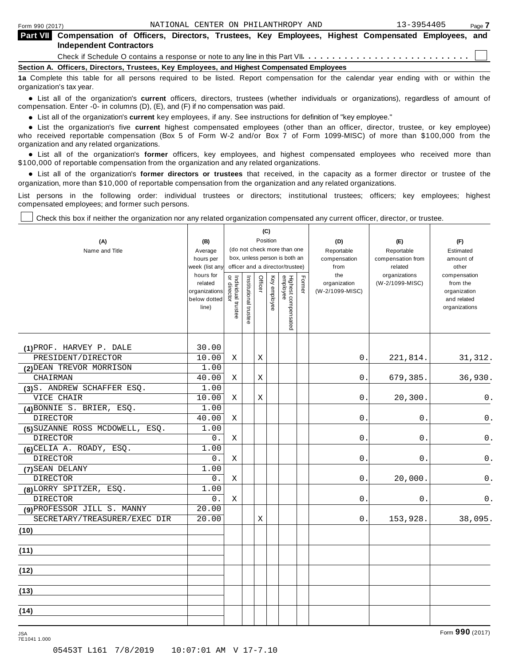⊤

| <b>Part VII</b> Compensation of Officers, Directors, Trustees, Key Employees, Highest Compensated Employees, and                  |
|-----------------------------------------------------------------------------------------------------------------------------------|
| <b>Independent Contractors</b>                                                                                                    |
|                                                                                                                                   |
| Section A. Officers, Directors, Trustees, Key Employees, and Highest Compensated Employees                                        |
| 1a Complete this table for all persons required to be listed. Report compensation for the calendar year ending with or within the |

organization's tax year. anization's lax year.<br>● List all of the organization's **current** officers, directors, trustees (whether individuals or organizations), regardless of amount of<br>nnensation Enter -0- in columns (D) (E) and (E) if no compensa compensation. Enter -0- in columns (D), (E), and (F) if no compensation was paid.

• List all of the organization's **current** key employees, if any. See instructions for definition of "key employee."<br>● List the experientials five expect highest expressed explores (other than an efficer director of

**Example in the organization's current** key employees, if any. See instructions for definition of key employee.<br>• List the organization's five **current** highest compensated employees (other than an officer, director, trust who received reportable compensation (Box 5 of Form W-2 and/or Box 7 of Form 1099-MISC) of more than \$100,000 from the

organization and any related organizations.<br>• List all of the organization's **former** officers, key employees, and highest compensated employees who received more than<br>\$1.00.000 of reportable componention from the erganiza \$100,000 of reportable compensation from the organization and any related organizations.

% List all of the organization's **former directors or trustees** that received, in the capacity as a former director or trustee of the organization, more than \$10,000 of reportable compensation from the organization and any related organizations.

List persons in the following order: individual trustees or directors; institutional trustees; officers; key employees; highest compensated employees; and former such persons.

┯

┬

Check this box if neither the organization nor any related organization compensated any current officer, director, or trustee.

┱

| (A)<br>Name and Title           | (B)<br>Average<br>hours per<br>week (list any<br>hours for<br>related<br>organizations<br>below dotted<br>line) | Individual trustee<br>  or director | Institutional trustee | Officer | (C)<br>Position<br>Key employee | (do not check more than one<br>box, unless person is both an<br>officer and a director/trustee)<br>Highest compensated<br>employee | Former | (D)<br>Reportable<br>compensation<br>from<br>the<br>organization<br>(W-2/1099-MISC) | (E)<br>Reportable<br>compensation from<br>related<br>organizations<br>(W-2/1099-MISC) | (F)<br>Estimated<br>amount of<br>other<br>compensation<br>from the<br>organization<br>and related<br>organizations |
|---------------------------------|-----------------------------------------------------------------------------------------------------------------|-------------------------------------|-----------------------|---------|---------------------------------|------------------------------------------------------------------------------------------------------------------------------------|--------|-------------------------------------------------------------------------------------|---------------------------------------------------------------------------------------|--------------------------------------------------------------------------------------------------------------------|
| (1) PROF. HARVEY P. DALE        | 30.00                                                                                                           |                                     |                       |         |                                 |                                                                                                                                    |        |                                                                                     |                                                                                       |                                                                                                                    |
| PRESIDENT/DIRECTOR              | 10.00                                                                                                           | X                                   |                       | X       |                                 |                                                                                                                                    |        | $0$ .                                                                               | 221,814.                                                                              | 31, 312.                                                                                                           |
| (2) DEAN TREVOR MORRISON        | 1.00                                                                                                            |                                     |                       |         |                                 |                                                                                                                                    |        |                                                                                     |                                                                                       |                                                                                                                    |
| CHAIRMAN                        | 40.00                                                                                                           | Χ                                   |                       | Χ       |                                 |                                                                                                                                    |        | 0.                                                                                  | 679,385.                                                                              | 36,930.                                                                                                            |
| (3) S. ANDREW SCHAFFER ESQ.     | 1.00                                                                                                            |                                     |                       |         |                                 |                                                                                                                                    |        |                                                                                     |                                                                                       |                                                                                                                    |
| VICE CHAIR                      | 10.00                                                                                                           | Χ                                   |                       | X       |                                 |                                                                                                                                    |        | 0.                                                                                  | 20,300.                                                                               | 0.                                                                                                                 |
| $(4)$ BONNIE S. BRIER, ESQ.     | 1.00                                                                                                            |                                     |                       |         |                                 |                                                                                                                                    |        |                                                                                     |                                                                                       |                                                                                                                    |
| <b>DIRECTOR</b>                 | 40.00                                                                                                           | Χ                                   |                       |         |                                 |                                                                                                                                    |        | 0.                                                                                  | 0.                                                                                    | 0.                                                                                                                 |
| (5) SUZANNE ROSS MCDOWELL, ESQ. | 1.00                                                                                                            |                                     |                       |         |                                 |                                                                                                                                    |        |                                                                                     |                                                                                       |                                                                                                                    |
| DIRECTOR                        | 0.                                                                                                              | Χ                                   |                       |         |                                 |                                                                                                                                    |        | 0.                                                                                  | 0.                                                                                    | $\mathsf 0$ .                                                                                                      |
| $(6)$ CELIA A. ROADY, ESQ.      | 1.00                                                                                                            |                                     |                       |         |                                 |                                                                                                                                    |        |                                                                                     |                                                                                       |                                                                                                                    |
| <b>DIRECTOR</b>                 | 0.                                                                                                              | X                                   |                       |         |                                 |                                                                                                                                    |        | 0.                                                                                  | 0.                                                                                    | 0.                                                                                                                 |
| (7) SEAN DELANY                 | 1.00                                                                                                            |                                     |                       |         |                                 |                                                                                                                                    |        |                                                                                     |                                                                                       |                                                                                                                    |
| <b>DIRECTOR</b>                 | 0.                                                                                                              | Χ                                   |                       |         |                                 |                                                                                                                                    |        | 0.                                                                                  | 20,000.                                                                               | 0.                                                                                                                 |
| (8) LORRY SPITZER, ESQ.         | 1.00                                                                                                            |                                     |                       |         |                                 |                                                                                                                                    |        |                                                                                     |                                                                                       |                                                                                                                    |
| <b>DIRECTOR</b>                 | 0.                                                                                                              | X                                   |                       |         |                                 |                                                                                                                                    |        | 0.                                                                                  | 0.                                                                                    | 0.                                                                                                                 |
| (9) PROFESSOR JILL S. MANNY     | 20.00                                                                                                           |                                     |                       |         |                                 |                                                                                                                                    |        |                                                                                     |                                                                                       |                                                                                                                    |
| SECRETARY/TREASURER/EXEC DIR    | 20.00                                                                                                           |                                     |                       | X       |                                 |                                                                                                                                    |        | 0.                                                                                  | 153,928.                                                                              | 38,095.                                                                                                            |
| (10)                            |                                                                                                                 |                                     |                       |         |                                 |                                                                                                                                    |        |                                                                                     |                                                                                       |                                                                                                                    |
|                                 |                                                                                                                 |                                     |                       |         |                                 |                                                                                                                                    |        |                                                                                     |                                                                                       |                                                                                                                    |
| (11)                            |                                                                                                                 |                                     |                       |         |                                 |                                                                                                                                    |        |                                                                                     |                                                                                       |                                                                                                                    |
| (12)                            |                                                                                                                 |                                     |                       |         |                                 |                                                                                                                                    |        |                                                                                     |                                                                                       |                                                                                                                    |
| (13)                            |                                                                                                                 |                                     |                       |         |                                 |                                                                                                                                    |        |                                                                                     |                                                                                       |                                                                                                                    |
| (14)                            |                                                                                                                 |                                     |                       |         |                                 |                                                                                                                                    |        |                                                                                     |                                                                                       |                                                                                                                    |

7E1041 1.000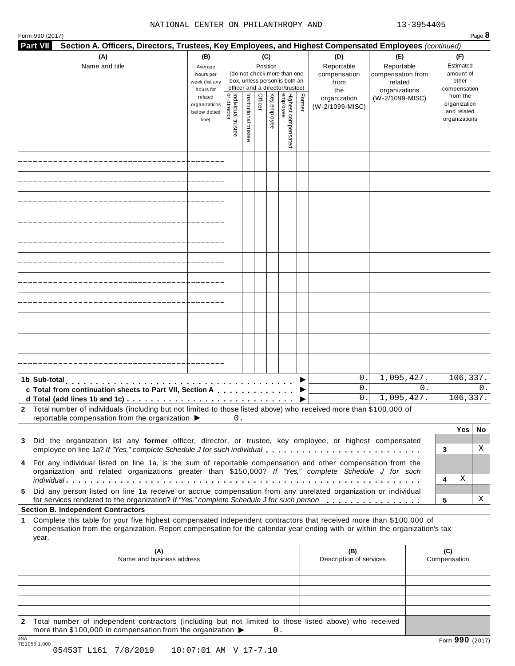#### NATIONAL CENTER ON PHILANTHROPY AND 13-3954405

| Form 990 (2017) |                                                                                                                                                                                                                                                                                                                                                                                                                                                                                                                                                                                                                           |                                                                                                                 |                    |                       |                            |              |                                                                                                                                    |        |                                                                                     |                                                                                       | Page 8                                                                                                             |
|-----------------|---------------------------------------------------------------------------------------------------------------------------------------------------------------------------------------------------------------------------------------------------------------------------------------------------------------------------------------------------------------------------------------------------------------------------------------------------------------------------------------------------------------------------------------------------------------------------------------------------------------------------|-----------------------------------------------------------------------------------------------------------------|--------------------|-----------------------|----------------------------|--------------|------------------------------------------------------------------------------------------------------------------------------------|--------|-------------------------------------------------------------------------------------|---------------------------------------------------------------------------------------|--------------------------------------------------------------------------------------------------------------------|
| <b>Part VII</b> | Section A. Officers, Directors, Trustees, Key Employees, and Highest Compensated Employees (continued)                                                                                                                                                                                                                                                                                                                                                                                                                                                                                                                    |                                                                                                                 |                    |                       |                            |              |                                                                                                                                    |        |                                                                                     |                                                                                       |                                                                                                                    |
|                 | (A)<br>Name and title                                                                                                                                                                                                                                                                                                                                                                                                                                                                                                                                                                                                     | (B)<br>Average<br>hours per<br>week (list any<br>hours for<br>related<br>organizations<br>below dotted<br>line) | Individual trustee | Institutional trustee | (C)<br>Position<br>Officer | Key employee | (do not check more than one<br>box, unless person is both an<br>officer and a director/trustee)<br>Highest compensated<br>employee | Former | (D)<br>Reportable<br>compensation<br>from<br>the<br>organization<br>(W-2/1099-MISC) | (E)<br>Reportable<br>compensation from<br>related<br>organizations<br>(W-2/1099-MISC) | (F)<br>Estimated<br>amount of<br>other<br>compensation<br>from the<br>organization<br>and related<br>organizations |
|                 |                                                                                                                                                                                                                                                                                                                                                                                                                                                                                                                                                                                                                           |                                                                                                                 |                    |                       |                            |              |                                                                                                                                    |        |                                                                                     |                                                                                       |                                                                                                                    |
|                 |                                                                                                                                                                                                                                                                                                                                                                                                                                                                                                                                                                                                                           |                                                                                                                 |                    |                       |                            |              |                                                                                                                                    |        |                                                                                     |                                                                                       |                                                                                                                    |
|                 |                                                                                                                                                                                                                                                                                                                                                                                                                                                                                                                                                                                                                           |                                                                                                                 |                    |                       |                            |              |                                                                                                                                    |        |                                                                                     |                                                                                       |                                                                                                                    |
|                 |                                                                                                                                                                                                                                                                                                                                                                                                                                                                                                                                                                                                                           |                                                                                                                 |                    |                       |                            |              |                                                                                                                                    |        |                                                                                     |                                                                                       |                                                                                                                    |
|                 |                                                                                                                                                                                                                                                                                                                                                                                                                                                                                                                                                                                                                           |                                                                                                                 |                    |                       |                            |              |                                                                                                                                    |        |                                                                                     |                                                                                       |                                                                                                                    |
|                 |                                                                                                                                                                                                                                                                                                                                                                                                                                                                                                                                                                                                                           |                                                                                                                 |                    |                       |                            |              |                                                                                                                                    |        |                                                                                     |                                                                                       |                                                                                                                    |
|                 |                                                                                                                                                                                                                                                                                                                                                                                                                                                                                                                                                                                                                           |                                                                                                                 |                    |                       |                            |              |                                                                                                                                    |        |                                                                                     |                                                                                       |                                                                                                                    |
|                 |                                                                                                                                                                                                                                                                                                                                                                                                                                                                                                                                                                                                                           |                                                                                                                 |                    |                       |                            |              |                                                                                                                                    |        |                                                                                     |                                                                                       |                                                                                                                    |
|                 |                                                                                                                                                                                                                                                                                                                                                                                                                                                                                                                                                                                                                           |                                                                                                                 |                    |                       |                            |              |                                                                                                                                    |        |                                                                                     |                                                                                       |                                                                                                                    |
|                 |                                                                                                                                                                                                                                                                                                                                                                                                                                                                                                                                                                                                                           |                                                                                                                 |                    |                       |                            |              |                                                                                                                                    |        |                                                                                     |                                                                                       |                                                                                                                    |
|                 |                                                                                                                                                                                                                                                                                                                                                                                                                                                                                                                                                                                                                           |                                                                                                                 |                    |                       |                            |              |                                                                                                                                    |        |                                                                                     |                                                                                       |                                                                                                                    |
| 1b Sub-total    | .<br>c Total from continuation sheets to Part VII, Section A<br>2 Total number of individuals (including but not limited to those listed above) who received more than \$100,000 of                                                                                                                                                                                                                                                                                                                                                                                                                                       |                                                                                                                 |                    |                       |                            |              |                                                                                                                                    |        | 0.<br>0.<br>0.                                                                      | 1,095,427.<br>$\Omega$ .<br>1,095,427.                                                | 106,337.<br>$\Omega$ .<br>106,337.                                                                                 |
|                 | reportable compensation from the organization ▶                                                                                                                                                                                                                                                                                                                                                                                                                                                                                                                                                                           |                                                                                                                 | 0.                 |                       |                            |              |                                                                                                                                    |        |                                                                                     |                                                                                       |                                                                                                                    |
| 3<br>5          | Did the organization list any former officer, director, or trustee, key employee, or highest compensated<br>employee on line 1a? If "Yes," complete Schedule J for such individual<br>4 For any individual listed on line 1a, is the sum of reportable compensation and other compensation from the<br>organization and related organizations greater than \$150,000? If "Yes," complete Schedule J for such<br>Did any person listed on line 1a receive or accrue compensation from any unrelated organization or individual<br>for services rendered to the organization? If "Yes," complete Schedule J for such person |                                                                                                                 |                    |                       |                            |              |                                                                                                                                    |        |                                                                                     |                                                                                       | Yes <sub>1</sub><br>No<br>Χ<br>3<br>Χ<br>4<br>х<br>5                                                               |
|                 | <b>Section B. Independent Contractors</b>                                                                                                                                                                                                                                                                                                                                                                                                                                                                                                                                                                                 |                                                                                                                 |                    |                       |                            |              |                                                                                                                                    |        |                                                                                     |                                                                                       |                                                                                                                    |
| year.           | 1 Complete this table for your five highest compensated independent contractors that received more than \$100,000 of<br>compensation from the organization. Report compensation for the calendar year ending with or within the organization's tax                                                                                                                                                                                                                                                                                                                                                                        |                                                                                                                 |                    |                       |                            |              |                                                                                                                                    |        |                                                                                     |                                                                                       |                                                                                                                    |
|                 | (A)<br>Name and business address                                                                                                                                                                                                                                                                                                                                                                                                                                                                                                                                                                                          |                                                                                                                 |                    |                       |                            |              |                                                                                                                                    |        | (B)<br>Description of services                                                      |                                                                                       | (C)<br>Compensation                                                                                                |
|                 |                                                                                                                                                                                                                                                                                                                                                                                                                                                                                                                                                                                                                           |                                                                                                                 |                    |                       |                            |              |                                                                                                                                    |        |                                                                                     |                                                                                       |                                                                                                                    |
|                 |                                                                                                                                                                                                                                                                                                                                                                                                                                                                                                                                                                                                                           |                                                                                                                 |                    |                       |                            |              |                                                                                                                                    |        |                                                                                     |                                                                                       |                                                                                                                    |
|                 | 2 Total number of independent contractors (including but not limited to those listed above) who received<br>more than \$100,000 in compensation from the organization ▶                                                                                                                                                                                                                                                                                                                                                                                                                                                   |                                                                                                                 |                    |                       |                            | $0$ .        |                                                                                                                                    |        |                                                                                     |                                                                                       |                                                                                                                    |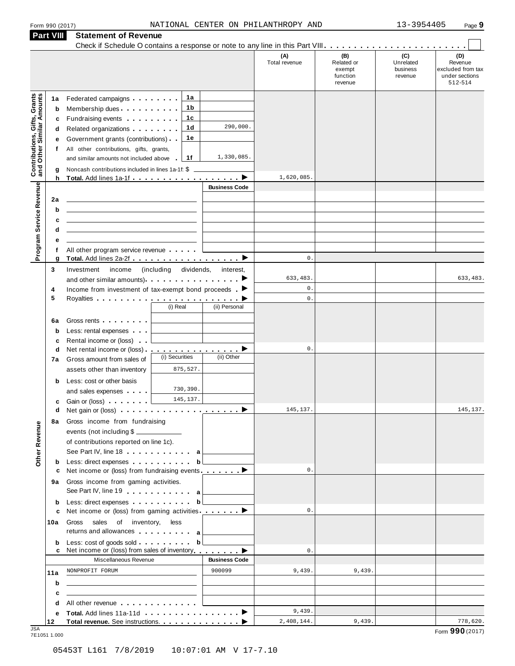| Form 990 (2017) |  |  |
|-----------------|--|--|
|                 |  |  |

|                                                                  | <b>Part VIII</b>            | <b>Statement of Revenue</b>                                                                                                                                                                                                                                                                                                                                                                                                                                        |                                                                         |                           |                                                    |                                         |                                                                            |
|------------------------------------------------------------------|-----------------------------|--------------------------------------------------------------------------------------------------------------------------------------------------------------------------------------------------------------------------------------------------------------------------------------------------------------------------------------------------------------------------------------------------------------------------------------------------------------------|-------------------------------------------------------------------------|---------------------------|----------------------------------------------------|-----------------------------------------|----------------------------------------------------------------------------|
|                                                                  |                             |                                                                                                                                                                                                                                                                                                                                                                                                                                                                    |                                                                         | (A)<br>Total revenue      | (B)<br>Related or<br>exempt<br>function<br>revenue | (C)<br>Unrelated<br>business<br>revenue | $\sim$<br>(D)<br>Revenue<br>excluded from tax<br>under sections<br>512-514 |
| <b>Contributions, Gifts, Grants</b><br>and Other Similar Amounts | 1a<br>b<br>c<br>d<br>е<br>f | Federated campaigns <b>Federated</b><br>Membership dues<br>Fundraising events <b>Fundraising</b><br>Related organizations <b>and the set of the set of the set of the set of the set of the set of the set of the set of the set of the set of the set of the set of the set of the set of the set of the set of the set of the set </b><br>Government grants (contributions)<br>All other contributions, gifts, grants,<br>and similar amounts not included above | 1a<br>1 b<br>1c<br>290,000.<br>1 <sub>d</sub><br>1е<br>1,330,085.<br>1f |                           |                                                    |                                         |                                                                            |
|                                                                  | g<br>h                      | Noncash contributions included in lines 1a-1f: \$                                                                                                                                                                                                                                                                                                                                                                                                                  |                                                                         | 1,620,085                 |                                                    |                                         |                                                                            |
| Program Service Revenue                                          | 2a<br>b<br>c                |                                                                                                                                                                                                                                                                                                                                                                                                                                                                    | <b>Business Code</b>                                                    |                           |                                                    |                                         |                                                                            |
|                                                                  | d<br>е                      |                                                                                                                                                                                                                                                                                                                                                                                                                                                                    |                                                                         |                           |                                                    |                                         |                                                                            |
|                                                                  | f<br>g                      | All other program service revenue                                                                                                                                                                                                                                                                                                                                                                                                                                  |                                                                         | $\mathbb O$ .             |                                                    |                                         |                                                                            |
|                                                                  | 3                           | (including<br>Investment<br>income<br>and other similar amounts). $\cdots$ $\cdots$ $\cdots$ $\cdots$                                                                                                                                                                                                                                                                                                                                                              | dividends,<br>interest,                                                 | 633,483.<br>$\mathbf 0$ . |                                                    |                                         | 633,483.                                                                   |
|                                                                  | 4<br>5                      | Income from investment of tax-exempt bond proceeds $\blacktriangleright$<br>(i) Real                                                                                                                                                                                                                                                                                                                                                                               | (ii) Personal                                                           | $\mathbb O$ .             |                                                    |                                         |                                                                            |
|                                                                  | 6a<br>$\mathbf b$<br>c      | Gross rents <b>Container</b><br>Less: rental expenses<br>Rental income or (loss)                                                                                                                                                                                                                                                                                                                                                                                   |                                                                         |                           |                                                    |                                         |                                                                            |
|                                                                  | d<br>7a                     | Net rental income or (loss).<br>(i) Securities<br>Gross amount from sales of<br>assets other than inventory                                                                                                                                                                                                                                                                                                                                                        | <u>.</u> ><br>(ii) Other<br>875,527.                                    | $\mathbf 0$ .             |                                                    |                                         |                                                                            |
|                                                                  | b<br>с                      | Less: cost or other basis<br>and sales expenses<br>Gain or (loss)                                                                                                                                                                                                                                                                                                                                                                                                  | 730,390.<br>145, 137.                                                   |                           |                                                    |                                         |                                                                            |
| Other Revenue                                                    | d                           | 8a Gross income from fundraising<br>events (not including \$<br>of contributions reported on line 1c).                                                                                                                                                                                                                                                                                                                                                             |                                                                         | 145, 137.                 |                                                    |                                         | 145, 137.                                                                  |
|                                                                  | b                           | See Part IV, line 18 a<br>Less: direct expenses                                                                                                                                                                                                                                                                                                                                                                                                                    | b                                                                       | $\mathbb O$ .             |                                                    |                                         |                                                                            |
|                                                                  | с<br>9а                     | Net income or (loss) from fundraising events _________<br>Gross income from gaming activities.<br>See Part IV, line 19 a                                                                                                                                                                                                                                                                                                                                           |                                                                         |                           |                                                    |                                         |                                                                            |
|                                                                  | b<br>c                      | Less: direct expenses by the set of the set of the set of the set of the set of the set of the set of the set of the set of the set of the set of the set of the set of the set of the set of the set of the set of the set of<br>Net income or (loss) from gaming activities ________                                                                                                                                                                             |                                                                         | $\mathbb O$ .             |                                                    |                                         |                                                                            |
|                                                                  | 10a                         | Gross sales of inventory, less<br>returns and allowances and allowances                                                                                                                                                                                                                                                                                                                                                                                            |                                                                         |                           |                                                    |                                         |                                                                            |
|                                                                  | b<br>c                      | Less: cost of goods sold<br>Net income or (loss) from sales of inventory ▶                                                                                                                                                                                                                                                                                                                                                                                         | b <sub>l</sub>                                                          | $\mathbb O$ .             |                                                    |                                         |                                                                            |
|                                                                  |                             | Miscellaneous Revenue                                                                                                                                                                                                                                                                                                                                                                                                                                              | <b>Business Code</b>                                                    |                           |                                                    |                                         |                                                                            |
|                                                                  | 11a<br>b                    | NONPROFIT FORUM                                                                                                                                                                                                                                                                                                                                                                                                                                                    | 900099                                                                  | 9,439.                    | 9,439.                                             |                                         |                                                                            |
|                                                                  | c                           | <u> 1980 - Jan Stein Berlin, amerikansk politiker (</u>                                                                                                                                                                                                                                                                                                                                                                                                            |                                                                         |                           |                                                    |                                         |                                                                            |
|                                                                  | d<br>е                      | All other revenue                                                                                                                                                                                                                                                                                                                                                                                                                                                  |                                                                         | 9,439.                    |                                                    |                                         |                                                                            |
| .ISA                                                             | 12                          | Total revenue. See instructions.                                                                                                                                                                                                                                                                                                                                                                                                                                   |                                                                         | 2,408,144.                | 9,439.                                             |                                         | 778,620.                                                                   |

JSA Form **990** (2017) 7E1051 1.000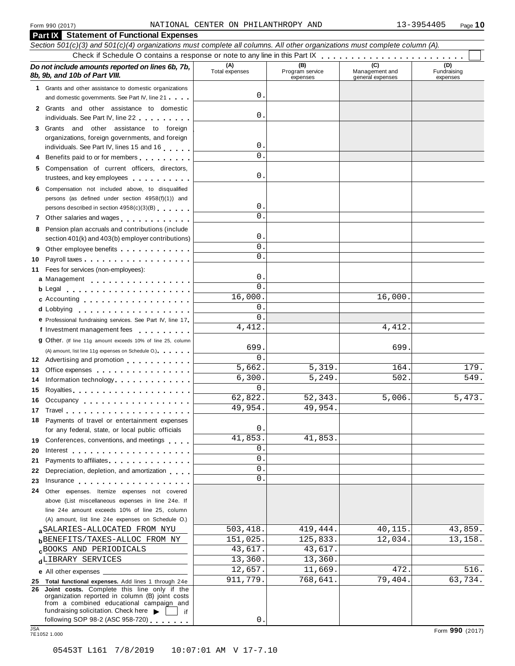|            | <b>Part IX</b> Statement of Functional Expenses                                                                                                                                                                                                                                |                       |                                    |                                           |                                |
|------------|--------------------------------------------------------------------------------------------------------------------------------------------------------------------------------------------------------------------------------------------------------------------------------|-----------------------|------------------------------------|-------------------------------------------|--------------------------------|
|            | Section 501(c)(3) and 501(c)(4) organizations must complete all columns. All other organizations must complete column (A).                                                                                                                                                     |                       |                                    |                                           |                                |
|            |                                                                                                                                                                                                                                                                                |                       |                                    |                                           |                                |
|            | Do not include amounts reported on lines 6b, 7b,<br>8b, 9b, and 10b of Part VIII.                                                                                                                                                                                              | (A)<br>Total expenses | (B)<br>Program service<br>expenses | (C)<br>Management and<br>general expenses | (D)<br>Fundraising<br>expenses |
|            | 1 Grants and other assistance to domestic organizations                                                                                                                                                                                                                        |                       |                                    |                                           |                                |
|            | and domestic governments. See Part IV, line 21                                                                                                                                                                                                                                 | 0                     |                                    |                                           |                                |
|            | 2 Grants and other assistance to domestic<br>individuals. See Part IV, line 22                                                                                                                                                                                                 | 0                     |                                    |                                           |                                |
|            | 3 Grants and other assistance to foreign                                                                                                                                                                                                                                       |                       |                                    |                                           |                                |
|            | organizations, foreign governments, and foreign                                                                                                                                                                                                                                |                       |                                    |                                           |                                |
|            | individuals. See Part IV, lines 15 and 16                                                                                                                                                                                                                                      | 0                     |                                    |                                           |                                |
| 4          | Benefits paid to or for members                                                                                                                                                                                                                                                | $\mathbf 0$           |                                    |                                           |                                |
| 5.         | Compensation of current officers, directors,<br>trustees, and key employees expressed as a state of the state of the state of the state of the state of the state of the state of the state of the state of the state of the state of the state of the state of the state of t | 0                     |                                    |                                           |                                |
| 6.         | Compensation not included above, to disqualified<br>persons (as defined under section 4958(f)(1)) and                                                                                                                                                                          |                       |                                    |                                           |                                |
|            | persons described in section 4958(c)(3)(B)                                                                                                                                                                                                                                     | 0                     |                                    |                                           |                                |
|            | 7 Other salaries and wages                                                                                                                                                                                                                                                     | $\mathbf 0$           |                                    |                                           |                                |
| 8          | Pension plan accruals and contributions (include                                                                                                                                                                                                                               |                       |                                    |                                           |                                |
|            | section 401(k) and 403(b) employer contributions)                                                                                                                                                                                                                              | 0                     |                                    |                                           |                                |
| 9          |                                                                                                                                                                                                                                                                                | $\mathbf 0$           |                                    |                                           |                                |
| 10         |                                                                                                                                                                                                                                                                                | $\mathbf 0$           |                                    |                                           |                                |
| 11         | Fees for services (non-employees):                                                                                                                                                                                                                                             |                       |                                    |                                           |                                |
|            | a Management                                                                                                                                                                                                                                                                   | 0                     |                                    |                                           |                                |
|            | $\mathbf b$ Legal $\mathbf b$                                                                                                                                                                                                                                                  | $\mathbf{0}$          |                                    |                                           |                                |
|            | c Accounting                                                                                                                                                                                                                                                                   | 16,000.               |                                    | 16,000.                                   |                                |
|            | d Lobbying                                                                                                                                                                                                                                                                     | 0                     |                                    |                                           |                                |
|            | e Professional fundraising services. See Part IV, line 17                                                                                                                                                                                                                      | 0                     |                                    |                                           |                                |
|            | f Investment management fees                                                                                                                                                                                                                                                   | 4, 412.               |                                    | 4,412.                                    |                                |
|            | 9 Other. (If line 11g amount exceeds 10% of line 25, column                                                                                                                                                                                                                    |                       |                                    |                                           |                                |
|            | (A) amount, list line 11g expenses on Schedule O.)                                                                                                                                                                                                                             | 699                   |                                    | 699                                       |                                |
|            | 12 Advertising and promotion                                                                                                                                                                                                                                                   | 0                     |                                    |                                           |                                |
| 13         | Office expenses example and the set of the set of the set of the set of the set of the set of the set of the set of the set of the set of the set of the set of the set of the set of the set of the set of the set of the set                                                 | $\overline{5}$ , 662. | 5,319.                             | 164.                                      | 179.                           |
| 14         |                                                                                                                                                                                                                                                                                | 6,300.                | 5, 249.                            | 502.                                      | 549.                           |
| 15         | Royalties Royalties Providence Contract and Royalties                                                                                                                                                                                                                          | 0                     |                                    |                                           |                                |
|            | 16 Occupancy                                                                                                                                                                                                                                                                   | 62,822.               | 52,343.                            | 5,006.                                    | 5,473.                         |
|            |                                                                                                                                                                                                                                                                                | 49,954.               | 49,954.                            |                                           |                                |
|            | 18 Payments of travel or entertainment expenses                                                                                                                                                                                                                                |                       |                                    |                                           |                                |
|            | for any federal, state, or local public officials                                                                                                                                                                                                                              | 0                     |                                    |                                           |                                |
|            | 19 Conferences, conventions, and meetings                                                                                                                                                                                                                                      | 41,853.<br>0          | 41,853.                            |                                           |                                |
| 20         |                                                                                                                                                                                                                                                                                | 0                     |                                    |                                           |                                |
| 21         | Payments to affiliates <b>Exercise Services</b>                                                                                                                                                                                                                                | 0                     |                                    |                                           |                                |
| 22         | Depreciation, depletion, and amortization                                                                                                                                                                                                                                      | 0                     |                                    |                                           |                                |
| 23         | Insurance in the contract of the contract of the contract of the contract of the contract of the contract of the contract of the contract of the contract of the contract of the contract of the contract of the contract of t                                                 |                       |                                    |                                           |                                |
| 24         | Other expenses. Itemize expenses not covered                                                                                                                                                                                                                                   |                       |                                    |                                           |                                |
|            | above (List miscellaneous expenses in line 24e. If<br>line 24e amount exceeds 10% of line 25, column                                                                                                                                                                           |                       |                                    |                                           |                                |
|            | (A) amount, list line 24e expenses on Schedule O.)                                                                                                                                                                                                                             |                       |                                    |                                           |                                |
|            | a SALARIES-ALLOCATED FROM NYU                                                                                                                                                                                                                                                  | 503,418.              | 419,444.                           | 40,115.                                   | 43,859.                        |
|            | <b>b</b> BENEFITS/TAXES-ALLOC FROM NY                                                                                                                                                                                                                                          | 151,025.              | 125,833.                           | 12,034.                                   | 13,158.                        |
|            | BOOKS AND PERIODICALS                                                                                                                                                                                                                                                          | 43,617.               | 43,617.                            |                                           |                                |
|            | dLIBRARY SERVICES                                                                                                                                                                                                                                                              | 13,360.               | 13,360.                            |                                           |                                |
|            |                                                                                                                                                                                                                                                                                | 12,657.               | 11,669.                            | 472.                                      | 516.                           |
|            | 25 Total functional expenses. Add lines 1 through 24e                                                                                                                                                                                                                          | 911,779.              | 768,641.                           | 79,404.                                   | 63,734.                        |
|            | 26 Joint costs. Complete this line only if the<br>organization reported in column (B) joint costs<br>from a combined educational campaign and                                                                                                                                  |                       |                                    |                                           |                                |
|            | fundraising solicitation. Check here $\blacktriangleright$<br>— if                                                                                                                                                                                                             |                       |                                    |                                           |                                |
|            | following SOP 98-2 (ASC 958-720)                                                                                                                                                                                                                                               | 0                     |                                    |                                           |                                |
| <b>JSA</b> | 7E1052 1.000                                                                                                                                                                                                                                                                   |                       |                                    |                                           | Form 990 (2017)                |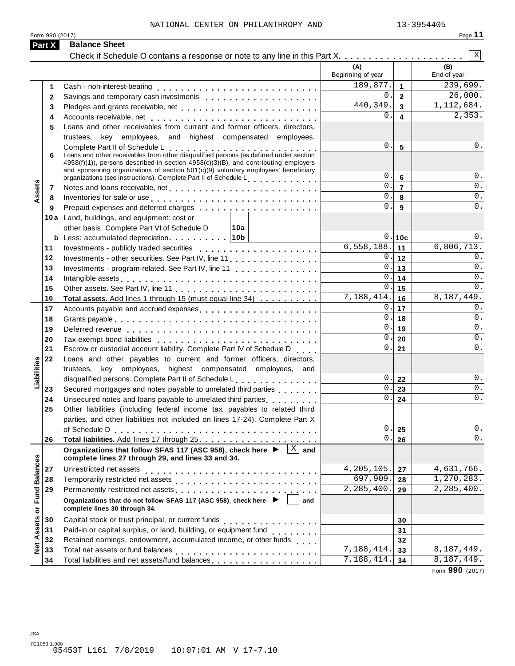Form 990 (2017)

|--|--|--|

|                             | Part X   | <b>Balance Sheet</b>                                                                                                                                                                                                                                                                                                                                                      |                          |                         |                            |
|-----------------------------|----------|---------------------------------------------------------------------------------------------------------------------------------------------------------------------------------------------------------------------------------------------------------------------------------------------------------------------------------------------------------------------------|--------------------------|-------------------------|----------------------------|
|                             |          | Check if Schedule O contains a response or note to any line in this Part X.                                                                                                                                                                                                                                                                                               |                          |                         | $\mathbf{X}$               |
|                             |          |                                                                                                                                                                                                                                                                                                                                                                           | (A)<br>Beginning of year |                         | (B)<br>End of year         |
|                             | 1.       |                                                                                                                                                                                                                                                                                                                                                                           | 189,877.                 | $\mathbf{1}$            | 239,699.                   |
|                             | 2        |                                                                                                                                                                                                                                                                                                                                                                           | $\Omega$ .               | $\mathbf{2}$            | 26,000.                    |
|                             | 3        | Pledges and grants receivable, net enterpresent resources and grants receivable, net enterpresent resources                                                                                                                                                                                                                                                               | 440,349.                 | $\overline{3}$          | 1,112,684.                 |
|                             | 4        |                                                                                                                                                                                                                                                                                                                                                                           | 0.                       | $\overline{\mathbf{4}}$ | 2,353.                     |
|                             | 5        | Loans and other receivables from current and former officers, directors,                                                                                                                                                                                                                                                                                                  |                          |                         |                            |
|                             |          | trustees, key employees, and highest compensated employees.                                                                                                                                                                                                                                                                                                               |                          |                         |                            |
|                             | 6        | Complete Part II of Schedule L<br>Loans and other receivables from other disqualified persons (as defined under section<br>4958(f)(1)), persons described in section 4958(c)(3)(B), and contributing employers<br>and sponsoring organizations of section 501(c)(9) voluntary employees' beneficiary<br>organizations (see instructions). Complete Part II of Schedule L. | 0.<br>0.                 | 5<br>6                  | $0$ .<br>0.                |
| Assets                      | 7        |                                                                                                                                                                                                                                                                                                                                                                           | $\mathbf{0}$ .           | $\overline{7}$          | $0$ .                      |
|                             | 8        | Inventories for sale or use enterpreteration of the contract of the sale or use of the contract of the contract of the contract of the contract of the contract of the contract of the contract of the contract of the contrac                                                                                                                                            | $\mathbf{0}$             | 8                       | $0$ .                      |
|                             | 9        |                                                                                                                                                                                                                                                                                                                                                                           | 0.                       | 9                       | $0$ .                      |
|                             |          | 10a Land, buildings, and equipment: cost or                                                                                                                                                                                                                                                                                                                               |                          |                         |                            |
|                             |          | other basis. Complete Part VI of Schedule D<br>∣10a                                                                                                                                                                                                                                                                                                                       |                          |                         |                            |
|                             |          |                                                                                                                                                                                                                                                                                                                                                                           |                          | 0.10c                   | 0.                         |
|                             | 11       |                                                                                                                                                                                                                                                                                                                                                                           | 6,558,188.               | 11                      | 6,806,713.                 |
|                             | 12       | Investments - other securities. See Part IV, line 11                                                                                                                                                                                                                                                                                                                      |                          | 0.112                   | 0.                         |
|                             | 13       | Investments - program-related. See Part IV, line 11                                                                                                                                                                                                                                                                                                                       | $0$ .                    | 13                      | $0$ .                      |
|                             | 14       |                                                                                                                                                                                                                                                                                                                                                                           | $\mathbf 0$              | 14                      | $0$ .                      |
|                             | 15       |                                                                                                                                                                                                                                                                                                                                                                           | 0.                       | 15                      | 0.                         |
|                             | 16       | <b>Total assets.</b> Add lines 1 through 15 (must equal line 34)                                                                                                                                                                                                                                                                                                          | 7,188,414.               | 16                      | 8,187,449.                 |
|                             | 17       | Accounts payable and accrued expenses entitled and accrue and accrued expenses                                                                                                                                                                                                                                                                                            | 0.                       | 17                      | 0.                         |
|                             | 18       |                                                                                                                                                                                                                                                                                                                                                                           | $\mathbf 0$ .<br>0.      | 18                      | $0$ .<br>$0$ .             |
|                             | 19       |                                                                                                                                                                                                                                                                                                                                                                           | 0                        | ∣ 19                    | 0.                         |
|                             | 20       |                                                                                                                                                                                                                                                                                                                                                                           | 0.                       | 20                      | $0$ .                      |
|                             | 21       | Escrow or custodial account liability. Complete Part IV of Schedule D                                                                                                                                                                                                                                                                                                     |                          | 21                      |                            |
| Liabilities                 | 22       | Loans and other payables to current and former officers, directors,                                                                                                                                                                                                                                                                                                       |                          |                         |                            |
|                             |          | trustees, key employees, highest compensated employees, and                                                                                                                                                                                                                                                                                                               | 0.                       |                         | 0.                         |
|                             |          | disqualified persons. Complete Part II of Schedule L.                                                                                                                                                                                                                                                                                                                     | $\mathsf{O}$             | 22                      | 0.                         |
|                             | 23       | Secured mortgages and notes payable to unrelated third parties                                                                                                                                                                                                                                                                                                            | 0.                       | 23                      | $0$ .                      |
|                             | 24<br>25 | Unsecured notes and loans payable to unrelated third parties <b>with an example 2</b><br>Other liabilities (including federal income tax, payables to related third                                                                                                                                                                                                       |                          | 24                      |                            |
|                             |          | parties, and other liabilities not included on lines 17-24). Complete Part X                                                                                                                                                                                                                                                                                              |                          |                         |                            |
|                             |          | of Schedule D                                                                                                                                                                                                                                                                                                                                                             | 0.                       | 25                      | $0$ .                      |
|                             | 26       |                                                                                                                                                                                                                                                                                                                                                                           | $\mathbf{0}$ .           | 26                      | $0$ .                      |
|                             |          | Organizations that follow SFAS 117 (ASC 958), check here ▶<br>$ X $ and<br>complete lines 27 through 29, and lines 33 and 34.                                                                                                                                                                                                                                             |                          |                         |                            |
|                             | 27       | Unrestricted net assets                                                                                                                                                                                                                                                                                                                                                   | 4,205,105.               | 27                      | 4,631,766.                 |
|                             | 28       |                                                                                                                                                                                                                                                                                                                                                                           | 697,909.                 | 28                      | 1,270,283.                 |
|                             | 29       | Permanently restricted net assets entertainment of the set of the set of the set of the set of the set of the set of the set of the set of the set of the set of the set of the set of the set of the set of the set of the se                                                                                                                                            | 2,285,400.               | 29                      | 2, 285, 400.               |
| Net Assets or Fund Balances |          | Organizations that do not follow SFAS 117 (ASC 958), check here ▶ │<br>and<br>complete lines 30 through 34.                                                                                                                                                                                                                                                               |                          |                         |                            |
|                             | 30       |                                                                                                                                                                                                                                                                                                                                                                           |                          | 30                      |                            |
|                             | 31       | Paid-in or capital surplus, or land, building, or equipment fund                                                                                                                                                                                                                                                                                                          |                          | 31                      |                            |
|                             | 32       | Retained earnings, endowment, accumulated income, or other funds                                                                                                                                                                                                                                                                                                          |                          | 32                      |                            |
|                             | 33       |                                                                                                                                                                                                                                                                                                                                                                           | 7,188,414.               | 33                      | 8,187,449.                 |
|                             | 34       | Total liabilities and net assets/fund balances [1] [1] [1] Total liabilities and net assets/fund balances                                                                                                                                                                                                                                                                 | 7,188,414.               | 34                      | $\overline{8}$ , 187, 449. |
|                             |          |                                                                                                                                                                                                                                                                                                                                                                           |                          |                         | $0.00 \times 10^{-7}$      |

Form **990** (2017)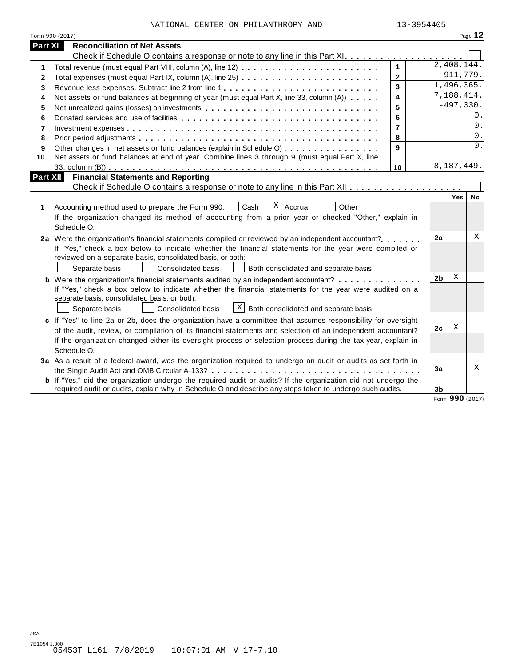| NATIONAL CENTER ON PHILANTHROPY AND |  | 13-3954405 |
|-------------------------------------|--|------------|
|                                     |  |            |

|              | Form 990 (2017)                                                                                                       |                         |                |                  | Page 12 |
|--------------|-----------------------------------------------------------------------------------------------------------------------|-------------------------|----------------|------------------|---------|
| Part XI      | <b>Reconciliation of Net Assets</b>                                                                                   |                         |                |                  |         |
|              |                                                                                                                       |                         |                |                  |         |
| 1.           |                                                                                                                       | $\mathbf{1}$            |                | 2,408,144.       |         |
| $\mathbf{2}$ |                                                                                                                       | $\overline{2}$          |                | 911,779.         |         |
| 3            | Revenue less expenses. Subtract line 2 from line 1                                                                    | 3                       |                | 1,496,365.       |         |
| 4            | Net assets or fund balances at beginning of year (must equal Part X, line 33, column (A))                             | $\overline{\mathbf{4}}$ |                | 7,188,414.       |         |
| 5            | Net unrealized gains (losses) on investments                                                                          | 5                       |                | $-497,330.$      |         |
| 6            |                                                                                                                       | 6                       |                |                  | 0.      |
| 7            |                                                                                                                       | $\overline{7}$          |                |                  | 0.      |
| 8            |                                                                                                                       | 8                       |                |                  | 0.      |
| 9            | Other changes in net assets or fund balances (explain in Schedule O)                                                  | 9                       |                |                  | 0.      |
| 10           | Net assets or fund balances at end of year. Combine lines 3 through 9 (must equal Part X, line                        |                         |                |                  |         |
|              |                                                                                                                       | 10                      |                | 8,187,449.       |         |
| Part XII     | <b>Financial Statements and Reporting</b>                                                                             |                         |                |                  |         |
|              |                                                                                                                       |                         |                |                  |         |
|              |                                                                                                                       |                         |                | Yes <sup>1</sup> | No      |
| 1            | $X$ Accrual<br>Accounting method used to prepare the Form 990:  <br>Cash<br>Other                                     |                         |                |                  |         |
|              | If the organization changed its method of accounting from a prior year or checked "Other," explain in                 |                         |                |                  |         |
|              | Schedule O.                                                                                                           |                         |                |                  |         |
|              | 2a Were the organization's financial statements compiled or reviewed by an independent accountant?                    |                         | 2a             |                  | Χ       |
|              | If "Yes," check a box below to indicate whether the financial statements for the year were compiled or                |                         |                |                  |         |
|              | reviewed on a separate basis, consolidated basis, or both:                                                            |                         |                |                  |         |
|              | Separate basis<br>Consolidated basis<br>Both consolidated and separate basis                                          |                         |                |                  |         |
|              | <b>b</b> Were the organization's financial statements audited by an independent accountant?                           |                         | 2 <sub>b</sub> | X                |         |
|              | If "Yes," check a box below to indicate whether the financial statements for the year were audited on a               |                         |                |                  |         |
|              | separate basis, consolidated basis, or both:                                                                          |                         |                |                  |         |
|              | $X$ Both consolidated and separate basis<br><b>Consolidated basis</b><br>Separate basis                               |                         |                |                  |         |
|              | c If "Yes" to line 2a or 2b, does the organization have a committee that assumes responsibility for oversight         |                         |                |                  |         |
|              | of the audit, review, or compilation of its financial statements and selection of an independent accountant?          |                         | 2c             | Χ                |         |
|              | If the organization changed either its oversight process or selection process during the tax year, explain in         |                         |                |                  |         |
|              | Schedule O.                                                                                                           |                         |                |                  |         |
|              | 3a As a result of a federal award, was the organization required to undergo an audit or audits as set forth in        |                         |                |                  |         |
|              |                                                                                                                       |                         | 3a             |                  | Χ       |
|              | <b>b</b> If "Yes," did the organization undergo the required audit or audits? If the organization did not undergo the |                         |                |                  |         |
|              | required audit or audits, explain why in Schedule O and describe any steps taken to undergo such audits.              |                         | 3b             | $\sim$ $\sim$    |         |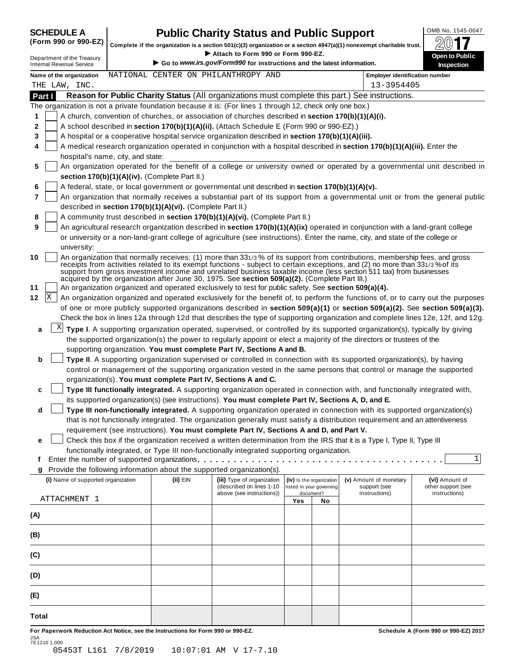SCHEDULE A **Public Charity Status and Public Support** (Form 990 or 990-EZ) complete if the organization is a section 501(c)(3) organization or a section 4947(a)(1) nonexempt charitable trust. (Form 990 or 990-EZ) complete if the organization is a section 501(c)(3) organization or a section 4947(a)(1) nonexempt charitable trust.  $2017$ 

|                                                               |                                   |                                                            | Attach to Form 990 or Form 990-EZ.                                                                        |     |                          | Complete if the organization is a section 501(c)(3) organization or a section 4947(a)(1) nonexempt charitable trust.                                                                                                                              | 40 I L                                                                                                                    |
|---------------------------------------------------------------|-----------------------------------|------------------------------------------------------------|-----------------------------------------------------------------------------------------------------------|-----|--------------------------|---------------------------------------------------------------------------------------------------------------------------------------------------------------------------------------------------------------------------------------------------|---------------------------------------------------------------------------------------------------------------------------|
| Department of the Treasury<br><b>Internal Revenue Service</b> |                                   |                                                            | Go to www.irs.gov/Form990 for instructions and the latest information.                                    |     |                          |                                                                                                                                                                                                                                                   | Open to Public<br><b>Inspection</b>                                                                                       |
| Name of the organization<br>THE LAW, INC.                     |                                   |                                                            | NATIONAL CENTER ON PHILANTHROPY AND                                                                       |     |                          | <b>Employer identification number</b><br>13-3954405                                                                                                                                                                                               |                                                                                                                           |
| Part I                                                        |                                   |                                                            |                                                                                                           |     |                          | Reason for Public Charity Status (All organizations must complete this part.) See instructions.                                                                                                                                                   |                                                                                                                           |
|                                                               |                                   |                                                            | The organization is not a private foundation because it is: (For lines 1 through 12, check only one box.) |     |                          |                                                                                                                                                                                                                                                   |                                                                                                                           |
| 1                                                             |                                   |                                                            | A church, convention of churches, or association of churches described in section 170(b)(1)(A)(i).        |     |                          |                                                                                                                                                                                                                                                   |                                                                                                                           |
| 2                                                             |                                   |                                                            | A school described in section 170(b)(1)(A)(ii). (Attach Schedule E (Form 990 or 990-EZ).)                 |     |                          |                                                                                                                                                                                                                                                   |                                                                                                                           |
| 3                                                             |                                   |                                                            | A hospital or a cooperative hospital service organization described in section 170(b)(1)(A)(iii).         |     |                          |                                                                                                                                                                                                                                                   |                                                                                                                           |
| 4                                                             |                                   |                                                            |                                                                                                           |     |                          | A medical research organization operated in conjunction with a hospital described in section 170(b)(1)(A)(iii). Enter the                                                                                                                         |                                                                                                                           |
|                                                               | hospital's name, city, and state: |                                                            |                                                                                                           |     |                          |                                                                                                                                                                                                                                                   |                                                                                                                           |
| 5                                                             |                                   | section 170(b)(1)(A)(iv). (Complete Part II.)              |                                                                                                           |     |                          |                                                                                                                                                                                                                                                   | An organization operated for the benefit of a college or university owned or operated by a governmental unit described in |
| 6                                                             |                                   |                                                            | A federal, state, or local government or governmental unit described in section 170(b)(1)(A)(v).          |     |                          |                                                                                                                                                                                                                                                   |                                                                                                                           |
| 7                                                             |                                   |                                                            |                                                                                                           |     |                          | An organization that normally receives a substantial part of its support from a governmental unit or from the general public                                                                                                                      |                                                                                                                           |
|                                                               |                                   | described in section 170(b)(1)(A)(vi). (Complete Part II.) |                                                                                                           |     |                          |                                                                                                                                                                                                                                                   |                                                                                                                           |
| 8                                                             |                                   |                                                            | A community trust described in section 170(b)(1)(A)(vi). (Complete Part II.)                              |     |                          |                                                                                                                                                                                                                                                   |                                                                                                                           |
| 9                                                             |                                   |                                                            |                                                                                                           |     |                          | An agricultural research organization described in section 170(b)(1)(A)(ix) operated in conjunction with a land-grant college                                                                                                                     |                                                                                                                           |
| university:                                                   |                                   |                                                            |                                                                                                           |     |                          | or university or a non-land-grant college of agriculture (see instructions). Enter the name, city, and state of the college or                                                                                                                    |                                                                                                                           |
| 10                                                            |                                   |                                                            |                                                                                                           |     |                          | An organization that normally receives: (1) more than 331/3% of its support from contributions, membership fees, and gross                                                                                                                        |                                                                                                                           |
|                                                               |                                   |                                                            | acquired by the organization after June 30, 1975. See section 509(a)(2). (Complete Part III.)             |     |                          | receipts from activities related to its exempt functions - subject to certain exceptions, and (2) no more than 331/3% of its<br>support from gross investment income and unrelated business taxable income (less section 511 tax) from businesses |                                                                                                                           |
| 11                                                            |                                   |                                                            | An organization organized and operated exclusively to test for public safety. See section 509(a)(4).      |     |                          |                                                                                                                                                                                                                                                   |                                                                                                                           |
| X <br>12                                                      |                                   |                                                            |                                                                                                           |     |                          | An organization organized and operated exclusively for the benefit of, to perform the functions of, or to carry out the purposes                                                                                                                  |                                                                                                                           |
|                                                               |                                   |                                                            |                                                                                                           |     |                          | of one or more publicly supported organizations described in section 509(a)(1) or section 509(a)(2). See section 509(a)(3).                                                                                                                       |                                                                                                                           |
|                                                               |                                   |                                                            |                                                                                                           |     |                          | Check the box in lines 12a through 12d that describes the type of supporting organization and complete lines 12e, 12f, and 12g.                                                                                                                   |                                                                                                                           |
| X <br>а                                                       |                                   |                                                            |                                                                                                           |     |                          | Type I. A supporting organization operated, supervised, or controlled by its supported organization(s), typically by giving                                                                                                                       |                                                                                                                           |
|                                                               |                                   |                                                            |                                                                                                           |     |                          | the supported organization(s) the power to regularly appoint or elect a majority of the directors or trustees of the                                                                                                                              |                                                                                                                           |
|                                                               |                                   |                                                            | supporting organization. You must complete Part IV, Sections A and B.                                     |     |                          |                                                                                                                                                                                                                                                   |                                                                                                                           |
| b                                                             |                                   |                                                            |                                                                                                           |     |                          | Type II. A supporting organization supervised or controlled in connection with its supported organization(s), by having                                                                                                                           |                                                                                                                           |
|                                                               |                                   |                                                            |                                                                                                           |     |                          | control or management of the supporting organization vested in the same persons that control or manage the supported                                                                                                                              |                                                                                                                           |
|                                                               |                                   |                                                            |                                                                                                           |     |                          |                                                                                                                                                                                                                                                   |                                                                                                                           |
|                                                               |                                   |                                                            | organization(s). You must complete Part IV, Sections A and C.                                             |     |                          |                                                                                                                                                                                                                                                   |                                                                                                                           |
| c                                                             |                                   |                                                            |                                                                                                           |     |                          | Type III functionally integrated. A supporting organization operated in connection with, and functionally integrated with,                                                                                                                        |                                                                                                                           |
|                                                               |                                   |                                                            | its supported organization(s) (see instructions). You must complete Part IV, Sections A, D, and E.        |     |                          |                                                                                                                                                                                                                                                   |                                                                                                                           |
| d                                                             |                                   |                                                            |                                                                                                           |     |                          | Type III non-functionally integrated. A supporting organization operated in connection with its supported organization(s)                                                                                                                         |                                                                                                                           |
|                                                               |                                   |                                                            |                                                                                                           |     |                          | that is not functionally integrated. The organization generally must satisfy a distribution requirement and an attentiveness                                                                                                                      |                                                                                                                           |
|                                                               |                                   |                                                            | requirement (see instructions). You must complete Part IV, Sections A and D, and Part V.                  |     |                          |                                                                                                                                                                                                                                                   |                                                                                                                           |
| е                                                             |                                   |                                                            |                                                                                                           |     |                          | Check this box if the organization received a written determination from the IRS that it is a Type I, Type II, Type III                                                                                                                           |                                                                                                                           |
|                                                               |                                   |                                                            | functionally integrated, or Type III non-functionally integrated supporting organization.                 |     |                          |                                                                                                                                                                                                                                                   |                                                                                                                           |
| f                                                             |                                   |                                                            |                                                                                                           |     |                          |                                                                                                                                                                                                                                                   | $\mathbf{1}$                                                                                                              |
| g                                                             |                                   |                                                            | Provide the following information about the supported organization(s).                                    |     |                          |                                                                                                                                                                                                                                                   |                                                                                                                           |
| (i) Name of supported organization                            |                                   | (ii) EIN                                                   | (iii) Type of organization                                                                                |     | (iv) Is the organization | (v) Amount of monetary                                                                                                                                                                                                                            | (vi) Amount of                                                                                                            |
|                                                               |                                   |                                                            | (described on lines 1-10                                                                                  |     | listed in your governing | support (see                                                                                                                                                                                                                                      | other support (see                                                                                                        |
| ATTACHMENT 1                                                  |                                   |                                                            | above (see instructions))                                                                                 | Yes | document?<br>No          | instructions)                                                                                                                                                                                                                                     | instructions)                                                                                                             |
|                                                               |                                   |                                                            |                                                                                                           |     |                          |                                                                                                                                                                                                                                                   |                                                                                                                           |
| (A)                                                           |                                   |                                                            |                                                                                                           |     |                          |                                                                                                                                                                                                                                                   |                                                                                                                           |
|                                                               |                                   |                                                            |                                                                                                           |     |                          |                                                                                                                                                                                                                                                   |                                                                                                                           |
| (B)                                                           |                                   |                                                            |                                                                                                           |     |                          |                                                                                                                                                                                                                                                   |                                                                                                                           |
| (C)                                                           |                                   |                                                            |                                                                                                           |     |                          |                                                                                                                                                                                                                                                   |                                                                                                                           |
| (D)                                                           |                                   |                                                            |                                                                                                           |     |                          |                                                                                                                                                                                                                                                   |                                                                                                                           |
|                                                               |                                   |                                                            |                                                                                                           |     |                          |                                                                                                                                                                                                                                                   |                                                                                                                           |
| (E)                                                           |                                   |                                                            |                                                                                                           |     |                          |                                                                                                                                                                                                                                                   |                                                                                                                           |
| Total                                                         |                                   |                                                            |                                                                                                           |     |                          |                                                                                                                                                                                                                                                   |                                                                                                                           |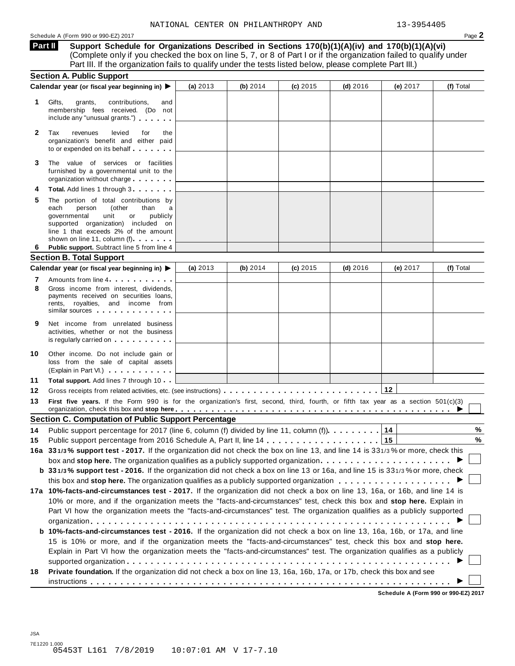**Support Schedule for Organizations Described in Sections 170(b)(1)(A)(iv) and 170(b)(1)(A)(vi)** (Complete only if you checked the box on line 5, 7, or 8 of Part I or if the organization failed to qualify under Part III. If the organization fails to qualify under the tests listed below, please complete Part III.) **Part II**

|    | <b>Section A. Public Support</b>                                                                                                                                                                                                                                                                                      |            |            |            |            |          |           |
|----|-----------------------------------------------------------------------------------------------------------------------------------------------------------------------------------------------------------------------------------------------------------------------------------------------------------------------|------------|------------|------------|------------|----------|-----------|
|    | Calendar year (or fiscal year beginning in) ▶                                                                                                                                                                                                                                                                         | (a) 2013   | (b) 2014   | (c) 2015   | $(d)$ 2016 | (e) 2017 | (f) Total |
| 1  | Gifts,<br>grants,<br>contributions,<br>and<br>membership fees received. (Do not<br>include any "unusual grants.")                                                                                                                                                                                                     |            |            |            |            |          |           |
| 2  | Tax<br>revenues<br>levied<br>for<br>the<br>organization's benefit and either paid<br>to or expended on its behalf                                                                                                                                                                                                     |            |            |            |            |          |           |
| 3  | The value of services or facilities<br>furnished by a governmental unit to the<br>organization without charge                                                                                                                                                                                                         |            |            |            |            |          |           |
|    | Total. Add lines 1 through 3                                                                                                                                                                                                                                                                                          |            |            |            |            |          |           |
| 5  | The portion of total contributions by<br>each<br>(other<br>person<br>than<br>a<br>unit<br>governmental<br>or<br>publicly<br>supported organization) included on<br>line 1 that exceeds 2% of the amount<br>shown on line 11, column (f)                                                                               |            |            |            |            |          |           |
| 6  | Public support. Subtract line 5 from line 4                                                                                                                                                                                                                                                                           |            |            |            |            |          |           |
|    | <b>Section B. Total Support</b>                                                                                                                                                                                                                                                                                       |            |            |            |            |          |           |
|    | Calendar year (or fiscal year beginning in) ▶                                                                                                                                                                                                                                                                         | (a) $2013$ | (b) $2014$ | $(c)$ 2015 | $(d)$ 2016 | (e) 2017 | (f) Total |
| 7  | Amounts from line 4                                                                                                                                                                                                                                                                                                   |            |            |            |            |          |           |
| 8  | Gross income from interest, dividends,<br>payments received on securities loans,<br>rents, royalties, and income from<br>similar sources experiences                                                                                                                                                                  |            |            |            |            |          |           |
| 9  | Net income from unrelated business<br>activities, whether or not the business<br>is regularly carried on <b>and all the set of the set of the set of the set of the set of the set of the set of the set of the set of the set of the set of the set of the set of the set of the set of the set of the set of th</b> |            |            |            |            |          |           |
| 10 | Other income. Do not include gain or<br>loss from the sale of capital assets<br>(Explain in Part VI.)                                                                                                                                                                                                                 |            |            |            |            |          |           |
| 11 | <b>Total support.</b> Add lines 7 through 10                                                                                                                                                                                                                                                                          |            |            |            |            |          |           |
| 12 | Gross receipts from related activities, etc. (see instructions)                                                                                                                                                                                                                                                       |            |            |            |            | 12       |           |
| 13 | First five years. If the Form 990 is for the organization's first, second, third, fourth, or fifth tax year as a section 501(c)(3)<br>organization, check this box and stop here entitled as a series of the series of the series of the series of the series of $\blacktriangleright$                                |            |            |            |            |          |           |
|    | <b>Section C. Computation of Public Support Percentage</b>                                                                                                                                                                                                                                                            |            |            |            |            |          |           |
| 14 | Public support percentage for 2017 (line 6, column (f) divided by line 11, column (f)).                                                                                                                                                                                                                               |            |            |            |            | 14       | %         |
| 15 |                                                                                                                                                                                                                                                                                                                       |            |            |            |            | 15       | $\%$      |
|    | 16a 331/3% support test - 2017. If the organization did not check the box on line 13, and line 14 is 331/3% or more, check this                                                                                                                                                                                       |            |            |            |            |          |           |
|    | box and stop here. The organization qualifies as a publicly supported organization $\ldots \ldots \ldots \ldots \ldots \ldots$                                                                                                                                                                                        |            |            |            |            |          |           |
|    | b 331/3% support test - 2016. If the organization did not check a box on line 13 or 16a, and line 15 is 331/3% or more, check                                                                                                                                                                                         |            |            |            |            |          |           |
|    |                                                                                                                                                                                                                                                                                                                       |            |            |            |            |          |           |
|    | 17a 10%-facts-and-circumstances test - 2017. If the organization did not check a box on line 13, 16a, or 16b, and line 14 is                                                                                                                                                                                          |            |            |            |            |          |           |
|    | 10% or more, and if the organization meets the "facts-and-circumstances" test, check this box and stop here. Explain in                                                                                                                                                                                               |            |            |            |            |          |           |
|    | Part VI how the organization meets the "facts-and-circumstances" test. The organization qualifies as a publicly supported                                                                                                                                                                                             |            |            |            |            |          |           |
|    |                                                                                                                                                                                                                                                                                                                       |            |            |            |            |          |           |
|    | b 10%-facts-and-circumstances test - 2016. If the organization did not check a box on line 13, 16a, 16b, or 17a, and line                                                                                                                                                                                             |            |            |            |            |          |           |
|    | 15 is 10% or more, and if the organization meets the "facts-and-circumstances" test, check this box and stop here.                                                                                                                                                                                                    |            |            |            |            |          |           |
|    | Explain in Part VI how the organization meets the "facts-and-circumstances" test. The organization qualifies as a publicly                                                                                                                                                                                            |            |            |            |            |          |           |
|    |                                                                                                                                                                                                                                                                                                                       |            |            |            |            |          |           |
| 18 | Private foundation. If the organization did not check a box on line 13, 16a, 16b, 17a, or 17b, check this box and see                                                                                                                                                                                                 |            |            |            |            |          |           |
|    |                                                                                                                                                                                                                                                                                                                       |            |            |            |            |          |           |
|    |                                                                                                                                                                                                                                                                                                                       |            |            |            |            |          |           |

**Schedule A (Form 990 or 990-EZ) 2017**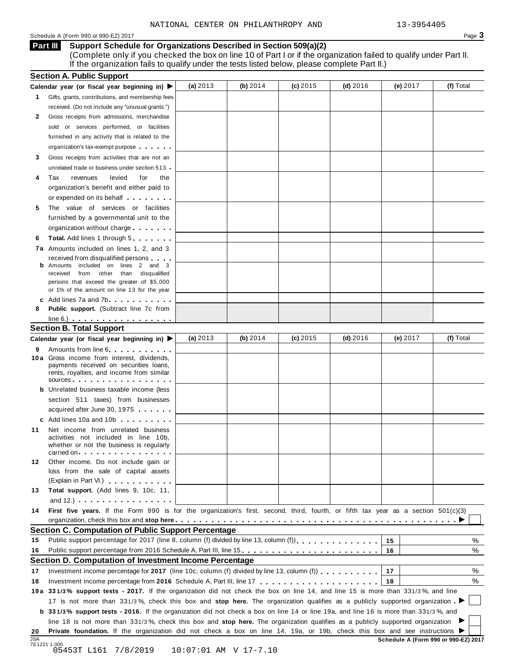#### Schedule <sup>A</sup> (Form <sup>990</sup> or 990-EZ) <sup>2017</sup> Page **3**

**Support Schedule for Organizations Described in Section 509(a)(2)** (Complete only if you checked the box on line 10 of Part I or if the organization failed to qualify under Part II. **Part III**

If the organization fails to qualify under the tests listed below, please complete Part II.)

|    | <b>Section A. Public Support</b>                                                                                                                                                                                                                                          |            |            |            |            |          |           |
|----|---------------------------------------------------------------------------------------------------------------------------------------------------------------------------------------------------------------------------------------------------------------------------|------------|------------|------------|------------|----------|-----------|
|    | Calendar year (or fiscal year beginning in) $\blacktriangleright$                                                                                                                                                                                                         | (a) $2013$ | (b) $2014$ | $(c)$ 2015 | $(d)$ 2016 | (e) 2017 | (f) Total |
| 1  | Gifts, grants, contributions, and membership fees                                                                                                                                                                                                                         |            |            |            |            |          |           |
|    | received. (Do not include any "unusual grants.")                                                                                                                                                                                                                          |            |            |            |            |          |           |
| 2  | Gross receipts from admissions, merchandise                                                                                                                                                                                                                               |            |            |            |            |          |           |
|    | sold or services performed, or facilities                                                                                                                                                                                                                                 |            |            |            |            |          |           |
|    | furnished in any activity that is related to the                                                                                                                                                                                                                          |            |            |            |            |          |           |
|    | organization's tax-exempt purpose                                                                                                                                                                                                                                         |            |            |            |            |          |           |
| 3  | Gross receipts from activities that are not an                                                                                                                                                                                                                            |            |            |            |            |          |           |
|    | unrelated trade or business under section 513 .                                                                                                                                                                                                                           |            |            |            |            |          |           |
| 4  | Tax<br>revenues<br>levied<br>for<br>the                                                                                                                                                                                                                                   |            |            |            |            |          |           |
|    | organization's benefit and either paid to                                                                                                                                                                                                                                 |            |            |            |            |          |           |
|    | or expended on its behalf <b>contains the set of the set of the set of the set of the set of the set of the set of the set of the set of the set of the set of the set of the set of the set of the set of the set of the set of</b>                                      |            |            |            |            |          |           |
| 5  | The value of services or facilities                                                                                                                                                                                                                                       |            |            |            |            |          |           |
|    | furnished by a governmental unit to the                                                                                                                                                                                                                                   |            |            |            |            |          |           |
|    | organization without charge                                                                                                                                                                                                                                               |            |            |            |            |          |           |
| 6  | <b>Total.</b> Add lines 1 through 5                                                                                                                                                                                                                                       |            |            |            |            |          |           |
|    | 7a Amounts included on lines 1, 2, and 3                                                                                                                                                                                                                                  |            |            |            |            |          |           |
|    | received from disqualified persons                                                                                                                                                                                                                                        |            |            |            |            |          |           |
|    | Amounts included on lines 2 and 3<br>from other than disqualified<br>received                                                                                                                                                                                             |            |            |            |            |          |           |
|    | persons that exceed the greater of \$5,000                                                                                                                                                                                                                                |            |            |            |            |          |           |
|    | or 1% of the amount on line 13 for the year                                                                                                                                                                                                                               |            |            |            |            |          |           |
|    | c Add lines 7a and 7b                                                                                                                                                                                                                                                     |            |            |            |            |          |           |
| 8  | <b>Public support.</b> (Subtract line 7c from                                                                                                                                                                                                                             |            |            |            |            |          |           |
|    | $line 6.)$                                                                                                                                                                                                                                                                |            |            |            |            |          |           |
|    | <b>Section B. Total Support</b>                                                                                                                                                                                                                                           |            |            |            |            |          |           |
|    | Calendar year (or fiscal year beginning in) ▶                                                                                                                                                                                                                             | (a) $2013$ | (b) $2014$ | $(c)$ 2015 | $(d)$ 2016 | (e) 2017 | (f) Total |
| 9  | Amounts from line 6. The state of the state of the state of the state of the state of the state of the state of the state of the state of the state of the state of the state of the state of the state of the state of the st                                            |            |            |            |            |          |           |
|    | 10 a Gross income from interest, dividends,                                                                                                                                                                                                                               |            |            |            |            |          |           |
|    | payments received on securities loans,<br>rents, royalties, and income from similar                                                                                                                                                                                       |            |            |            |            |          |           |
|    | $sources$                                                                                                                                                                                                                                                                 |            |            |            |            |          |           |
|    | <b>b</b> Unrelated business taxable income (less                                                                                                                                                                                                                          |            |            |            |            |          |           |
|    | section 511 taxes) from businesses                                                                                                                                                                                                                                        |            |            |            |            |          |           |
|    | acquired after June 30, 1975                                                                                                                                                                                                                                              |            |            |            |            |          |           |
|    | c Add lines 10a and 10b                                                                                                                                                                                                                                                   |            |            |            |            |          |           |
| 11 | Net income from unrelated business                                                                                                                                                                                                                                        |            |            |            |            |          |           |
|    | activities not included in line 10b,                                                                                                                                                                                                                                      |            |            |            |            |          |           |
|    | whether or not the business is regularly<br>carried on the carried on the control of the care of the control of the control of the control of the control of the control of the control of the control of the control of the control of the control of the control of the |            |            |            |            |          |           |
| 12 | Other income. Do not include gain or                                                                                                                                                                                                                                      |            |            |            |            |          |           |
|    | loss from the sale of capital assets                                                                                                                                                                                                                                      |            |            |            |            |          |           |
|    | (Explain in Part VI.) <b>All Accords</b>                                                                                                                                                                                                                                  |            |            |            |            |          |           |
| 13 | Total support. (Add lines 9, 10c, 11,                                                                                                                                                                                                                                     |            |            |            |            |          |           |
|    | and $12.$ ) $\cdots$ $\cdots$ $\cdots$ $\cdots$ $\cdots$                                                                                                                                                                                                                  |            |            |            |            |          |           |
| 14 | First five years. If the Form 990 is for the organization's first, second, third, fourth, or fifth tax year as a section 501(c)(3)                                                                                                                                        |            |            |            |            |          |           |
|    |                                                                                                                                                                                                                                                                           |            |            |            |            |          |           |
|    | <b>Section C. Computation of Public Support Percentage</b>                                                                                                                                                                                                                |            |            |            |            |          |           |
| 15 | Public support percentage for 2017 (line 8, column (f) divided by line 13, column (f) [1] [1] $\ldots$ [1] $\ldots$ [1] $\ldots$ [1] $\ldots$ [1] $\ldots$ [1] $\ldots$ [1] $\ldots$ [1] $\ldots$ [1] $\ldots$ [1] $\ldots$ [1] $\ldots$ [1] $\ldots$ [1] $\ldots$ [1     |            |            |            |            | 15       | ℅         |
| 16 |                                                                                                                                                                                                                                                                           |            |            |            |            | 16       | %         |
|    | Section D. Computation of Investment Income Percentage                                                                                                                                                                                                                    |            |            |            |            |          |           |
| 17 | Investment income percentage for 2017 (line 10c, column (f) divided by line 13, column (f)                                                                                                                                                                                |            |            |            |            | 17       | %         |
| 18 |                                                                                                                                                                                                                                                                           |            |            |            |            | 18       | %         |
|    | 19a 331/3% support tests - 2017. If the organization did not check the box on line 14, and line 15 is more than 331/3%, and line                                                                                                                                          |            |            |            |            |          |           |
|    | 17 is not more than 331/3%, check this box and stop here. The organization qualifies as a publicly supported organization                                                                                                                                                 |            |            |            |            |          |           |
|    | <b>b</b> 331/3% support tests - 2016. If the organization did not check a box on line 14 or line 19a, and line 16 is more than 331/3%, and                                                                                                                                |            |            |            |            |          |           |
|    | line 18 is not more than 331/3%, check this box and stop here. The organization qualifies as a publicly supported organization                                                                                                                                            |            |            |            |            |          |           |
|    |                                                                                                                                                                                                                                                                           |            |            |            |            |          |           |
| 20 | Private foundation. If the organization did not check a box on line 14, 19a, or 19b, check this box and see instructions I                                                                                                                                                |            |            |            |            |          |           |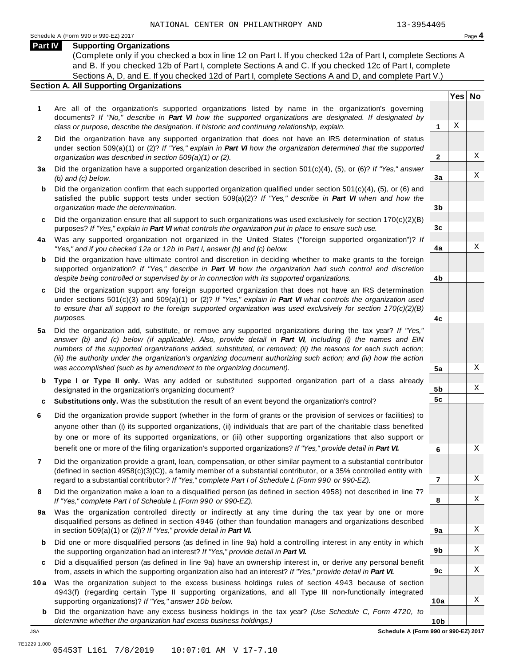### **Part IV Supporting Organizations**

(Complete only if you checked a box in line 12 on Part I. If you checked 12a of Part I, complete Sections A and B. If you checked 12b of Part I, complete Sections A and C. If you checked 12c of Part I, complete Sections A, D, and E. If you checked 12d of Part I, complete Sections A and D, and complete Part V.)

#### **Section A. All Supporting Organizations**

- **1** Are all of the organization's supported organizations listed by name in the organization's governing documents? *If "No," describe in Part VI how the supported organizations are designated. If designated by class or purpose, describe the designation. If historic and continuing relationship, explain.* **1**
- **2** Did the organization have any supported organization that does not have an IRS determination of status under section 509(a)(1) or (2)? *If"Yes," explain in Part VI how the organization determined that the supported organization was described in section 509(a)(1) or (2).*
- **3 a** Did the organization have a supported organization described in section 501(c)(4), (5), or (6)? *If "Yes," answer (b) and (c) below.*
- **b** Did the organization confirm that each supported organization qualified under section 501(c)(4), (5), or (6) and | satisfied the public support tests under section 509(a)(2)? *If "Yes," describe in Part VI when and how the organization made the determination.*
- **c** Did the organization ensure that all support to such organizations was used exclusively for section 170(c)(2)(B) purposes? *If"Yes," explain in Part VI what controls the organization put in place to ensure such use.*
- **4 a** Was any supported organization not organized in the United States ("foreign supported organization")? *If "Yes," and if you checked 12a or 12b in Part I, answer (b) and (c) below.*
- **b** Did the organization have ultimate control and discretion in deciding whether to make grants to the foreign | supported organization? *If "Yes," describe in Part VI how the organization had such control and discretion despite being controlled or supervised by or in connection with its supported organizations.*
- **c** Did the organization support any foreign supported organization that does not have an IRS determination | under sections 501(c)(3) and 509(a)(1) or (2)? *If "Yes," explain in Part VI what controls the organization used to ensure that all support to the foreign supported organization was used exclusively for section 170(c)(2)(B) purposes.*
- **5 a** Did the organization add, substitute, or remove any supported organizations during the tax year? *If "Yes,"* answer (b) and (c) below (if applicable). Also, provide detail in Part VI, including (i) the names and EIN *numbers of the supported organizations added, substituted, or removed; (ii) the reasons for each such action;* (iii) the authority under the organization's organizing document authorizing such action; and (iv) how the action *was accomplished (such as by amendment to the organizing document).*
- **b** Type I or Type II only. Was any added or substituted supported organization part of a class already | designated in the organization's organizing document?
- **c Substitutions only.** Was the substitution the result of an event beyond the organization's control?
- **6** Did the organization provide support (whether in the form of grants or the provision of services or facilities) to anyone other than (i) its supported organizations, (ii) individuals that are part of the charitable class benefited by one or more of its supported organizations, or (iii) other supporting organizations that also support or benefit one or more of the filing organization's supported organizations? *If"Yes," provide detail in Part VI.*
- **7** Did the organization provide a grant, loan, compensation, or other similar payment to a substantial contributor (defined in section 4958(c)(3)(C)), a family member of a substantial contributor, or a 35% controlled entity with regard to a substantial contributor? *If"Yes," complete Part I of Schedule L (Form 990 or 990-EZ).*
- **8** Did the organization make a loan to a disqualified person (as defined in section 4958) not described in line 7? *If "Yes," complete Part I of Schedule L (Form 990 or 990-EZ).*
- **a** Was the organization controlled directly or indirectly at any time during the tax year by one or more | **9** disqualified persons as defined in section 4946 (other than foundation managers and organizations described in section 509(a)(1) or (2))? *If"Yes," provide detail in Part VI.*
- **b** Did one or more disqualified persons (as defined in line 9a) hold a controlling interest in any entity in which | the supporting organization had an interest? *If"Yes," provide detail in Part VI.*
- **c** Did a disqualified person (as defined in line 9a) have an ownership interest in, or derive any personal benefit from, assets in which the supporting organization also had an interest? *If"Yes," provide detail in Part VI.*
- **10a** Was the organization subject to the excess business holdings rules of section 4943 because of section | 4943(f) (regarding certain Type II supporting organizations, and all Type III non-functionally integrated supporting organizations)? *If"Yes," answer 10b below.*
	- **b** Did the organization have any excess business holdings in the tax year? *(Use Schedule C, Form 4720, to determine whether the organization had excess business holdings.)*

**Yes No**

X

X

X

X

X

X

X

X

X

X

X

X

X

**2**

**3a**

**3b**

**3c**

**4a**

**4b**

**4c**

**5a**

**5b 5c**

**6**

**7**

**8**

**9a**

**9b**

**9c**

**10a**

**10b** JSA **Schedule A (Form 990 or 990-EZ) 2017**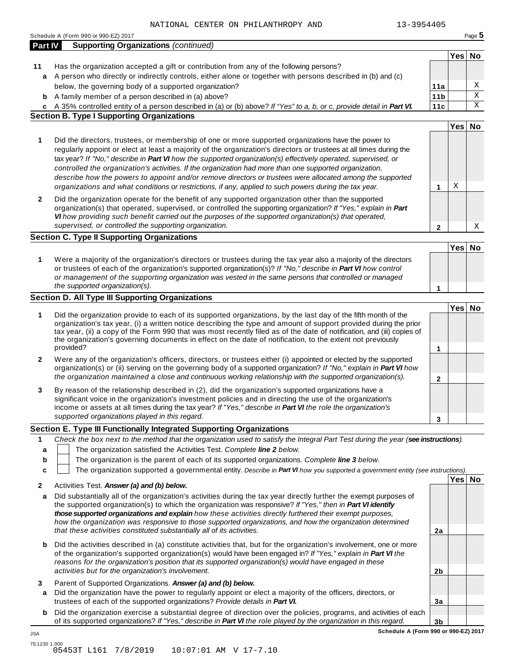|                  | 13-3954405<br>NATIONAL CENTER ON PHILANTHROPY AND                                                                                                                                                                                                                                                                                                                                                                                                                                                                                                                                                                                                                                                                                  |                 |        |        |
|------------------|------------------------------------------------------------------------------------------------------------------------------------------------------------------------------------------------------------------------------------------------------------------------------------------------------------------------------------------------------------------------------------------------------------------------------------------------------------------------------------------------------------------------------------------------------------------------------------------------------------------------------------------------------------------------------------------------------------------------------------|-----------------|--------|--------|
|                  | Schedule A (Form 990 or 990-EZ) 2017                                                                                                                                                                                                                                                                                                                                                                                                                                                                                                                                                                                                                                                                                               |                 |        | Page 5 |
| <b>Part IV</b>   | <b>Supporting Organizations (continued)</b>                                                                                                                                                                                                                                                                                                                                                                                                                                                                                                                                                                                                                                                                                        |                 |        |        |
| 11               | Has the organization accepted a gift or contribution from any of the following persons?                                                                                                                                                                                                                                                                                                                                                                                                                                                                                                                                                                                                                                            |                 | Yes No |        |
| a                | A person who directly or indirectly controls, either alone or together with persons described in (b) and (c)                                                                                                                                                                                                                                                                                                                                                                                                                                                                                                                                                                                                                       |                 |        |        |
|                  | below, the governing body of a supported organization?                                                                                                                                                                                                                                                                                                                                                                                                                                                                                                                                                                                                                                                                             | 11a             |        | Χ      |
| b                | A family member of a person described in (a) above?                                                                                                                                                                                                                                                                                                                                                                                                                                                                                                                                                                                                                                                                                | 11 <sub>b</sub> |        | Χ      |
|                  | A 35% controlled entity of a person described in (a) or (b) above? If "Yes" to a, b, or c, provide detail in Part VI.                                                                                                                                                                                                                                                                                                                                                                                                                                                                                                                                                                                                              | 11c             |        | Χ      |
| c                | <b>Section B. Type I Supporting Organizations</b>                                                                                                                                                                                                                                                                                                                                                                                                                                                                                                                                                                                                                                                                                  |                 |        |        |
|                  |                                                                                                                                                                                                                                                                                                                                                                                                                                                                                                                                                                                                                                                                                                                                    |                 | Yes No |        |
| 1                | Did the directors, trustees, or membership of one or more supported organizations have the power to<br>regularly appoint or elect at least a majority of the organization's directors or trustees at all times during the<br>tax year? If "No," describe in Part VI how the supported organization(s) effectively operated, supervised, or<br>controlled the organization's activities. If the organization had more than one supported organization,<br>describe how the powers to appoint and/or remove directors or trustees were allocated among the supported<br>organizations and what conditions or restrictions, if any, applied to such powers during the tax year.                                                       | 1               | Χ      |        |
| 2                | Did the organization operate for the benefit of any supported organization other than the supported<br>organization(s) that operated, supervised, or controlled the supporting organization? If "Yes," explain in Part<br>VI how providing such benefit carried out the purposes of the supported organization(s) that operated,<br>supervised, or controlled the supporting organization.                                                                                                                                                                                                                                                                                                                                         | $\mathbf{2}$    |        | Χ      |
|                  | <b>Section C. Type II Supporting Organizations</b>                                                                                                                                                                                                                                                                                                                                                                                                                                                                                                                                                                                                                                                                                 |                 |        |        |
| 1                | Were a majority of the organization's directors or trustees during the tax year also a majority of the directors<br>or trustees of each of the organization's supported organization(s)? If "No," describe in Part VI how control<br>or management of the supporting organization was vested in the same persons that controlled or managed<br>the supported organization(s).                                                                                                                                                                                                                                                                                                                                                      | 1               | Yes No |        |
|                  | <b>Section D. All Type III Supporting Organizations</b>                                                                                                                                                                                                                                                                                                                                                                                                                                                                                                                                                                                                                                                                            |                 |        |        |
| 1<br>2           | Did the organization provide to each of its supported organizations, by the last day of the fifth month of the<br>organization's tax year, (i) a written notice describing the type and amount of support provided during the prior<br>tax year, (ii) a copy of the Form 990 that was most recently filed as of the date of notification, and (iii) copies of<br>the organization's governing documents in effect on the date of notification, to the extent not previously<br>provided?<br>Were any of the organization's officers, directors, or trustees either (i) appointed or elected by the supported<br>organization(s) or (ii) serving on the governing body of a supported organization? If "No," explain in Part VI how | 1               | Yes No |        |
| 3                | the organization maintained a close and continuous working relationship with the supported organization(s).<br>By reason of the relationship described in (2), did the organization's supported organizations have a<br>significant voice in the organization's investment policies and in directing the use of the organization's                                                                                                                                                                                                                                                                                                                                                                                                 | $\mathbf{2}$    |        |        |
|                  | income or assets at all times during the tax year? If "Yes," describe in Part VI the role the organization's                                                                                                                                                                                                                                                                                                                                                                                                                                                                                                                                                                                                                       |                 |        |        |
|                  | supported organizations played in this regard.                                                                                                                                                                                                                                                                                                                                                                                                                                                                                                                                                                                                                                                                                     | 3               |        |        |
|                  | Section E. Type III Functionally Integrated Supporting Organizations                                                                                                                                                                                                                                                                                                                                                                                                                                                                                                                                                                                                                                                               |                 |        |        |
| 1<br>a<br>b<br>C | Check the box next to the method that the organization used to satisfy the Integral Part Test during the year (see instructions).<br>The organization satisfied the Activities Test. Complete line 2 below.<br>The organization is the parent of each of its supported organizations. Complete line 3 below.<br>The organization supported a governmental entity. Describe in Part VI how you supported a government entity (see instructions).                                                                                                                                                                                                                                                                                    |                 |        |        |
|                  |                                                                                                                                                                                                                                                                                                                                                                                                                                                                                                                                                                                                                                                                                                                                    |                 | Yes No |        |
| 2                | Activities Test. Answer (a) and (b) below.                                                                                                                                                                                                                                                                                                                                                                                                                                                                                                                                                                                                                                                                                         |                 |        |        |
| а                | Did substantially all of the organization's activities during the tax year directly further the exempt purposes of<br>the supported organization(s) to which the organization was responsive? If "Yes," then in Part VI identify<br>those supported organizations and explain how these activities directly furthered their exempt purposes,<br>how the organization was responsive to those supported organizations, and how the organization determined<br>that these activities constituted substantially all of its activities.                                                                                                                                                                                                | 2a              |        |        |
| b                | Did the activities described in (a) constitute activities that, but for the organization's involvement, one or more<br>of the organization's supported organization(s) would have been engaged in? If "Yes," explain in Part VI the<br>reasons for the organization's position that its supported organization(s) would have engaged in these<br>activities but for the organization's involvement.                                                                                                                                                                                                                                                                                                                                | 2b              |        |        |
| 3                | Parent of Supported Organizations. Answer (a) and (b) below.                                                                                                                                                                                                                                                                                                                                                                                                                                                                                                                                                                                                                                                                       |                 |        |        |
| a                | Did the organization have the power to regularly appoint or elect a majority of the officers, directors, or<br>trustees of each of the supported organizations? Provide details in Part VI.                                                                                                                                                                                                                                                                                                                                                                                                                                                                                                                                        | 3a              |        |        |

**b** Did the organization exercise a substantial degree of direction over the policies, programs, and activities of each of its supported organizations? *If"Yes," describe in Part VI the role played by the organization in this regard.*

**3b Schedule A (Form 990 or 990-EZ) 2017**

JSA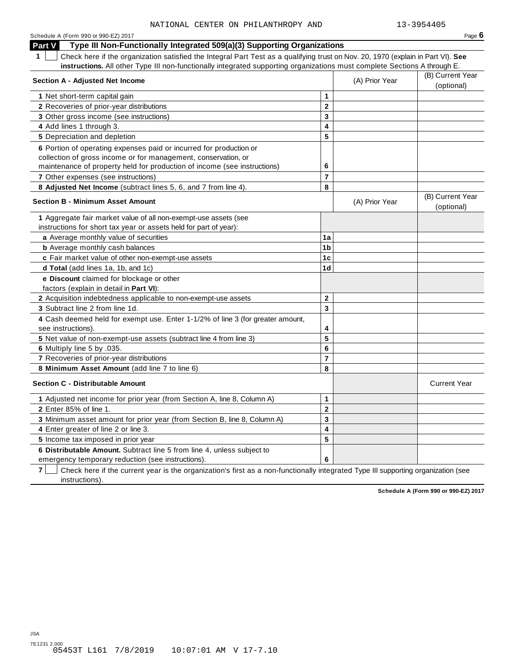| Schedule A (Form 990 or 990-EZ) 2017                                                                                                             |                         |                | Page $6$            |
|--------------------------------------------------------------------------------------------------------------------------------------------------|-------------------------|----------------|---------------------|
| <b>Part V</b><br>Type III Non-Functionally Integrated 509(a)(3) Supporting Organizations                                                         |                         |                |                     |
| Check here if the organization satisfied the Integral Part Test as a qualifying trust on Nov. 20, 1970 (explain in Part VI). See<br>$\mathbf{1}$ |                         |                |                     |
| instructions. All other Type III non-functionally integrated supporting organizations must complete Sections A through E.                        |                         |                |                     |
| <b>Section A - Adjusted Net Income</b>                                                                                                           |                         | (A) Prior Year | (B) Current Year    |
|                                                                                                                                                  |                         |                | (optional)          |
| 1 Net short-term capital gain                                                                                                                    | $\mathbf{1}$            |                |                     |
| 2 Recoveries of prior-year distributions                                                                                                         | $\overline{2}$          |                |                     |
| 3 Other gross income (see instructions)                                                                                                          | 3                       |                |                     |
| 4 Add lines 1 through 3.                                                                                                                         | 4                       |                |                     |
| 5 Depreciation and depletion                                                                                                                     | 5                       |                |                     |
| 6 Portion of operating expenses paid or incurred for production or                                                                               |                         |                |                     |
| collection of gross income or for management, conservation, or                                                                                   |                         |                |                     |
| maintenance of property held for production of income (see instructions)                                                                         | 6                       |                |                     |
| 7 Other expenses (see instructions)                                                                                                              | 7                       |                |                     |
| 8 Adjusted Net Income (subtract lines 5, 6, and 7 from line 4).                                                                                  | 8                       |                |                     |
| <b>Section B - Minimum Asset Amount</b>                                                                                                          |                         | (A) Prior Year | (B) Current Year    |
|                                                                                                                                                  |                         |                | (optional)          |
| 1 Aggregate fair market value of all non-exempt-use assets (see                                                                                  |                         |                |                     |
| instructions for short tax year or assets held for part of year):                                                                                |                         |                |                     |
| a Average monthly value of securities                                                                                                            | 1a                      |                |                     |
| <b>b</b> Average monthly cash balances                                                                                                           | 1 <sub>b</sub>          |                |                     |
| c Fair market value of other non-exempt-use assets                                                                                               | 1 <sub>c</sub>          |                |                     |
| d Total (add lines 1a, 1b, and 1c)                                                                                                               | 1 <sub>d</sub>          |                |                     |
| e Discount claimed for blockage or other                                                                                                         |                         |                |                     |
| factors (explain in detail in <b>Part VI)</b> :                                                                                                  |                         |                |                     |
| 2 Acquisition indebtedness applicable to non-exempt-use assets                                                                                   | $\mathbf 2$             |                |                     |
| 3 Subtract line 2 from line 1d.                                                                                                                  | 3                       |                |                     |
| 4 Cash deemed held for exempt use. Enter 1-1/2% of line 3 (for greater amount,                                                                   |                         |                |                     |
| see instructions).                                                                                                                               | 4                       |                |                     |
| 5 Net value of non-exempt-use assets (subtract line 4 from line 3)                                                                               | 5                       |                |                     |
| 6 Multiply line 5 by .035.                                                                                                                       | 6                       |                |                     |
| 7 Recoveries of prior-year distributions                                                                                                         | $\overline{\mathbf{r}}$ |                |                     |
| 8 Minimum Asset Amount (add line 7 to line 6)                                                                                                    | 8                       |                |                     |
| <b>Section C - Distributable Amount</b>                                                                                                          |                         |                | <b>Current Year</b> |
| 1 Adjusted net income for prior year (from Section A, line 8, Column A)                                                                          | 1                       |                |                     |
| 2 Enter 85% of line 1.                                                                                                                           | $\mathbf 2$             |                |                     |
| 3 Minimum asset amount for prior year (from Section B, line 8, Column A)                                                                         | 3                       |                |                     |
| 4 Enter greater of line 2 or line 3.                                                                                                             | 4                       |                |                     |
| 5 Income tax imposed in prior year                                                                                                               | 5                       |                |                     |
| 6 Distributable Amount. Subtract line 5 from line 4, unless subject to                                                                           |                         |                |                     |
| emergency temporary reduction (see instructions).                                                                                                | 6                       |                |                     |

**7** | Check here if the current year is the organization's first as a non-functionally integrated Type III supporting organization (see instructions).

**Schedule A (Form 990 or 990-EZ) 2017**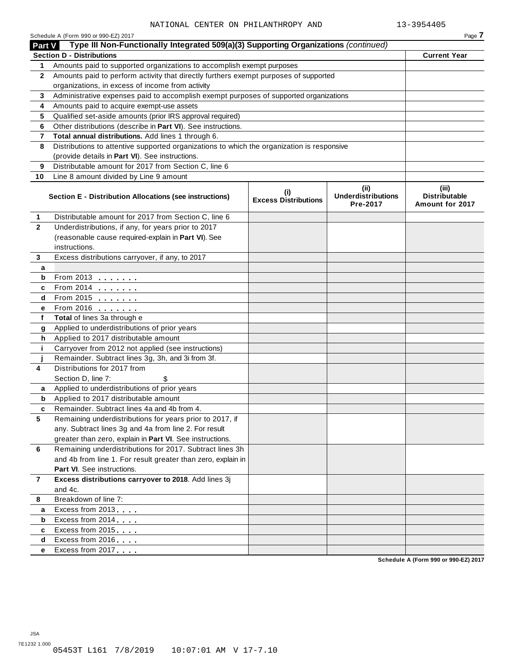|                | Schedule A (Form 990 or 990-EZ) 2017                                                       |                                          |                                               | Page 7                                      |
|----------------|--------------------------------------------------------------------------------------------|------------------------------------------|-----------------------------------------------|---------------------------------------------|
| Part V         | Type III Non-Functionally Integrated 509(a)(3) Supporting Organizations (continued)        |                                          |                                               |                                             |
|                | <b>Section D - Distributions</b>                                                           |                                          |                                               | <b>Current Year</b>                         |
| 1              | Amounts paid to supported organizations to accomplish exempt purposes                      |                                          |                                               |                                             |
| $\mathbf{2}$   | Amounts paid to perform activity that directly furthers exempt purposes of supported       |                                          |                                               |                                             |
|                | organizations, in excess of income from activity                                           |                                          |                                               |                                             |
| 3              | Administrative expenses paid to accomplish exempt purposes of supported organizations      |                                          |                                               |                                             |
| 4              | Amounts paid to acquire exempt-use assets                                                  |                                          |                                               |                                             |
| 5              | Qualified set-aside amounts (prior IRS approval required)                                  |                                          |                                               |                                             |
| 6              | Other distributions (describe in Part VI). See instructions.                               |                                          |                                               |                                             |
| 7              | Total annual distributions. Add lines 1 through 6.                                         |                                          |                                               |                                             |
| 8              | Distributions to attentive supported organizations to which the organization is responsive |                                          |                                               |                                             |
|                | (provide details in Part VI). See instructions.                                            |                                          |                                               |                                             |
| 9              | Distributable amount for 2017 from Section C, line 6                                       |                                          |                                               |                                             |
| 10             | Line 8 amount divided by Line 9 amount                                                     |                                          |                                               |                                             |
|                | Section E - Distribution Allocations (see instructions)                                    | $\sf (i)$<br><b>Excess Distributions</b> | (ii)<br><b>Underdistributions</b><br>Pre-2017 | (iii)<br>Distributable<br>Amount for 2017   |
| 1              | Distributable amount for 2017 from Section C, line 6                                       |                                          |                                               |                                             |
| $\mathbf{2}$   | Underdistributions, if any, for years prior to 2017                                        |                                          |                                               |                                             |
|                | (reasonable cause required-explain in Part VI). See                                        |                                          |                                               |                                             |
|                | instructions.                                                                              |                                          |                                               |                                             |
| 3              | Excess distributions carryover, if any, to 2017                                            |                                          |                                               |                                             |
| a              |                                                                                            |                                          |                                               |                                             |
| b              | From 2013                                                                                  |                                          |                                               |                                             |
| c              | From 2014                                                                                  |                                          |                                               |                                             |
| d              | From 2015                                                                                  |                                          |                                               |                                             |
| е              | From 2016 <b></b>                                                                          |                                          |                                               |                                             |
| f              | Total of lines 3a through e                                                                |                                          |                                               |                                             |
| g              | Applied to underdistributions of prior years                                               |                                          |                                               |                                             |
| h              | Applied to 2017 distributable amount                                                       |                                          |                                               |                                             |
| j.             | Carryover from 2012 not applied (see instructions)                                         |                                          |                                               |                                             |
|                | Remainder. Subtract lines 3g, 3h, and 3i from 3f.                                          |                                          |                                               |                                             |
| 4              | Distributions for 2017 from                                                                |                                          |                                               |                                             |
|                | Section D, line 7:<br>\$                                                                   |                                          |                                               |                                             |
| а              | Applied to underdistributions of prior years                                               |                                          |                                               |                                             |
| b              | Applied to 2017 distributable amount                                                       |                                          |                                               |                                             |
|                | Remainder. Subtract lines 4a and 4b from 4.                                                |                                          |                                               |                                             |
| 5              | Remaining underdistributions for years prior to 2017, if                                   |                                          |                                               |                                             |
|                | any. Subtract lines 3g and 4a from line 2. For result                                      |                                          |                                               |                                             |
|                | greater than zero, explain in Part VI. See instructions.                                   |                                          |                                               |                                             |
| 6              | Remaining underdistributions for 2017. Subtract lines 3h                                   |                                          |                                               |                                             |
|                | and 4b from line 1. For result greater than zero, explain in                               |                                          |                                               |                                             |
|                | Part VI. See instructions.                                                                 |                                          |                                               |                                             |
| $\overline{7}$ | Excess distributions carryover to 2018. Add lines 3j                                       |                                          |                                               |                                             |
|                | and 4c.                                                                                    |                                          |                                               |                                             |
| 8              | Breakdown of line 7:                                                                       |                                          |                                               |                                             |
| a              | Excess from 2013                                                                           |                                          |                                               |                                             |
| b              | Excess from 2014                                                                           |                                          |                                               |                                             |
| c              | Excess from 2015                                                                           |                                          |                                               |                                             |
| d              | Excess from 2016                                                                           |                                          |                                               |                                             |
| е              | Excess from 2017                                                                           |                                          |                                               |                                             |
|                |                                                                                            |                                          |                                               | <b>Cohodulo A (Form 000 or 000 E7) 2017</b> |

**Schedule A (Form 990 or 990-EZ) 2017**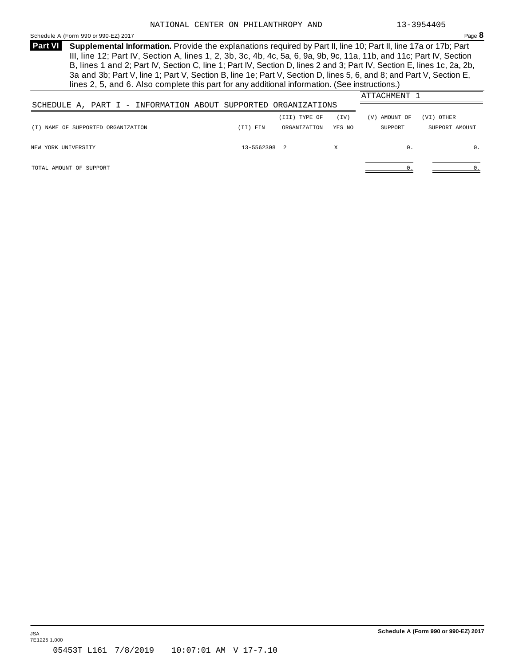<span id="page-20-0"></span>Schedule <sup>A</sup> (Form <sup>990</sup> or 990-EZ) <sup>2017</sup> Page **8**

**Supplemental Information.** Provide the explanations required by Part II, line 10; Part II, line 17a or 17b; Part **Part VI** III, line 12; Part IV, Section A, lines 1, 2, 3b, 3c, 4b, 4c, 5a, 6, 9a, 9b, 9c, 11a, 11b, and 11c; Part IV, Section B, lines 1 and 2; Part IV, Section C, line 1; Part IV, Section D, lines 2 and 3; Part IV, Section E, lines 1c, 2a, 2b, 3a and 3b; Part V, line 1; Part V, Section B, line 1e; Part V, Section D, lines 5, 6, and 8; and Part V, Section E, lines 2, 5, and 6. Also complete this part for any additional information. (See instructions.)

|                                    |                                                                |              |               |        | ATTACHMENT 1  |                |
|------------------------------------|----------------------------------------------------------------|--------------|---------------|--------|---------------|----------------|
|                                    | SCHEDULE A, PART I - INFORMATION ABOUT SUPPORTED ORGANIZATIONS |              |               |        |               |                |
|                                    |                                                                |              | (III) TYPE OF | (TV)   | (V) AMOUNT OF | (VI) OTHER     |
| (I) NAME OF SUPPORTED ORGANIZATION |                                                                | (II) EIN     | ORGANIZATION  | YES NO | SUPPORT       | SUPPORT AMOUNT |
| NEW YORK UNIVERSITY                |                                                                | 13-5562308 2 |               | X      | 0.            | $\mathbf{0}$ . |
| TOTAL AMOUNT OF SUPPORT            |                                                                |              |               |        |               | 0.             |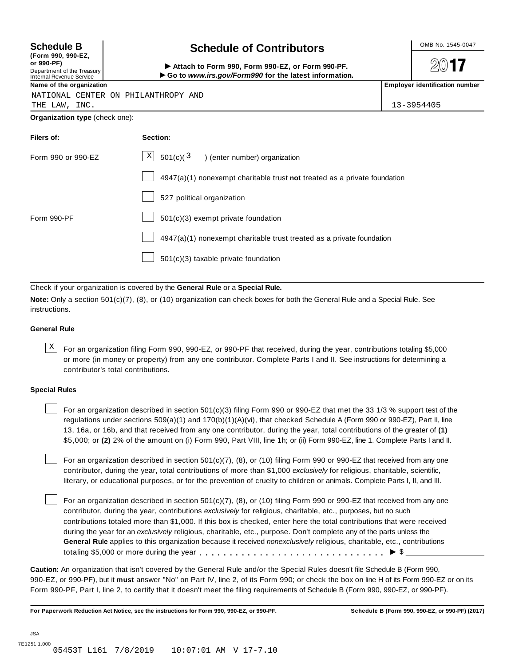| (Form 990, 990-EZ,         |  |
|----------------------------|--|
| or 990-PF)                 |  |
| Department of the Treasury |  |
| Internal Devenue Consine   |  |

### **Schedule B**  $\leftarrow$  **Contributors**

(Porm 990, Form 990, Form 990-EZ, or Form 990-PF.<br>Department of the Treasury → Attach to Form 990, Form 990-EZ, or Form 990-PF.<br>Internal Revenue Service → → Go to www.irs.gov/Form990 for the latest information.<br>Name of th

 $20$ **17** 

|  |  |  |  | NATIONAL CENTER ON PHILANTHROPY AND |  |
|--|--|--|--|-------------------------------------|--|
|--|--|--|--|-------------------------------------|--|

THE LAW, INC. 13-3954405

**Organization type** (check one):

| Filers of:         | Section:                                                                  |
|--------------------|---------------------------------------------------------------------------|
| Form 990 or 990-EZ | $X$ 501(c)( $3$ ) (enter number) organization                             |
|                    | 4947(a)(1) nonexempt charitable trust not treated as a private foundation |
|                    | 527 political organization                                                |
| Form 990-PF        | 501(c)(3) exempt private foundation                                       |
|                    | 4947(a)(1) nonexempt charitable trust treated as a private foundation     |
|                    | 501(c)(3) taxable private foundation                                      |

Check if your organization is covered by the **General Rule** or a **Special Rule.**

**Note:** Only a section 501(c)(7), (8), or (10) organization can check boxes for both the General Rule and a Special Rule. See instructions.

#### **General Rule**

 $\overline{X}$  For an organization filing Form 990, 990-EZ, or 990-PF that received, during the year, contributions totaling \$5,000 or more (in money or property) from any one contributor. Complete Parts I and II. See instructions for determining a contributor's total contributions.

#### **Special Rules**

For an organization described in section 501(c)(3) filing Form 990 or 990-EZ that met the 33 1/3 % support test of the regulations under sections 509(a)(1) and 170(b)(1)(A)(vi), that checked Schedule A (Form 990 or 990-EZ), Part II, line 13, 16a, or 16b, and that received from any one contributor, during the year, total contributions of the greater of **(1)** \$5,000; or **(2)** 2% of the amount on (i) Form 990, Part VIII, line 1h; or (ii) Form 990-EZ, line 1. Complete Parts I and II.

For an organization described in section 501(c)(7), (8), or (10) filing Form 990 or 990-EZ that received from any one contributor, during the year, total contributions of more than \$1,000 *exclusively* for religious, charitable, scientific, literary, or educational purposes, or for the prevention of cruelty to children or animals. Complete Parts I, II, and III.

For an organization described in section 501(c)(7), (8), or (10) filing Form 990 or 990-EZ that received from any one contributor, during the year, contributions *exclusively* for religious, charitable, etc., purposes, but no such contributions totaled more than \$1,000. If this box is checked, enter here the total contributions that were received during the year for an *exclusively* religious, charitable, etc., purpose. Don't complete any of the parts unless the **General Rule** applies to this organization because it received *nonexclusively* religious, charitable, etc., contributions totaling \$5,000 or more during the year m m m m m m m m m m m m m m m m m m m m m m m m m m m m m m m I \$

**Caution:** An organization that isn't covered by the General Rule and/or the Special Rules doesn't file Schedule B (Form 990, 990-EZ, or 990-PF), but it **must** answer "No" on Part IV, line 2, of its Form 990; or check the box on line H of its Form 990-EZ or on its Form 990-PF, Part I, line 2, to certify that it doesn't meet the filing requirements of Schedule B (Form 990, 990-EZ, or 990-PF).

For Paperwork Reduction Act Notice, see the instructions for Form 990, 990-EZ, or 990-PF. Schedule B (Form 990, 990-EZ, or 990-PF) (2017)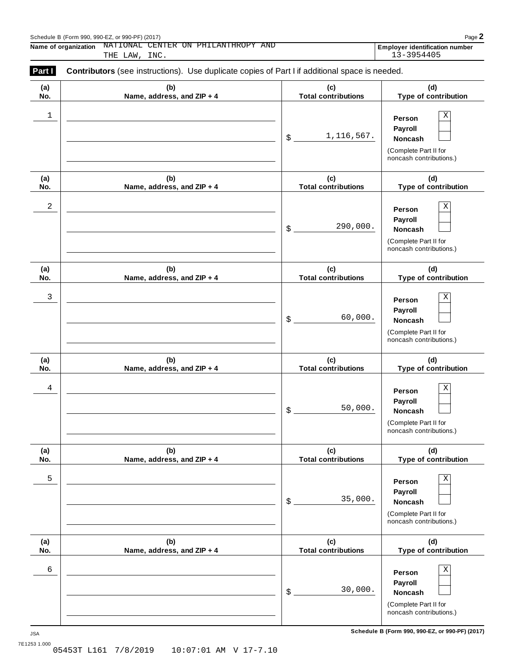| Schedule B (Form 990, 990-EZ, or 990-PF) (2017) | Page 2 |
|-------------------------------------------------|--------|
|                                                 |        |

**Name of organization NATIONAL CENTER ON PHILANTHROPY AND Employer identification number** NATIONAL CENTER ON PHILANTHROPY AND **Employer identification number**<br>THE LAW, INC. 13-3954405

| Part I     | <b>Contributors</b> (see instructions). Use duplicate copies of Part I if additional space is needed. |                                   |                                                                                                 |
|------------|-------------------------------------------------------------------------------------------------------|-----------------------------------|-------------------------------------------------------------------------------------------------|
| (a)<br>No. | (b)<br>Name, address, and ZIP + 4                                                                     | (c)<br><b>Total contributions</b> | (d)<br>Type of contribution                                                                     |
| 1          |                                                                                                       | 1, 116, 567.<br>\$                | Χ<br>Person<br>Payroll<br>Noncash<br>(Complete Part II for<br>noncash contributions.)           |
| (a)<br>No. | (b)<br>Name, address, and ZIP + 4                                                                     | (c)<br><b>Total contributions</b> | (d)<br>Type of contribution                                                                     |
| 2          |                                                                                                       | 290,000.<br>\$                    | Χ<br>Person<br>Payroll<br>Noncash<br>(Complete Part II for<br>noncash contributions.)           |
| (a)<br>No. | (b)<br>Name, address, and ZIP + 4                                                                     | (c)<br><b>Total contributions</b> | (d)<br>Type of contribution                                                                     |
| 3          |                                                                                                       | 60,000.<br>\$                     | Χ<br>Person<br>Payroll<br>Noncash<br>(Complete Part II for<br>noncash contributions.)           |
| (a)<br>No. | (b)<br>Name, address, and ZIP + 4                                                                     | (c)<br><b>Total contributions</b> | (d)<br>Type of contribution                                                                     |
| 4          |                                                                                                       | 50,000.<br>\$                     | $\mathbf X$<br>Person<br>Payroll<br>Noncash<br>(Complete Part II for<br>noncash contributions.) |
| (a)<br>No. | (b)<br>Name, address, and ZIP + 4                                                                     | (c)<br><b>Total contributions</b> | (d)<br>Type of contribution                                                                     |
| 5          |                                                                                                       | 35,000.<br>\$                     | Χ<br>Person<br>Payroll<br>Noncash<br>(Complete Part II for<br>noncash contributions.)           |
| (a)<br>No. | (b)<br>Name, address, and ZIP + 4                                                                     | (c)<br><b>Total contributions</b> | (d)<br>Type of contribution                                                                     |
| 6          |                                                                                                       | 30,000.<br>\$                     | Χ<br>Person<br>Payroll<br>Noncash<br>(Complete Part II for<br>noncash contributions.)           |

**Schedule B (Form 990, 990-EZ, or 990-PF) (2017)** JSA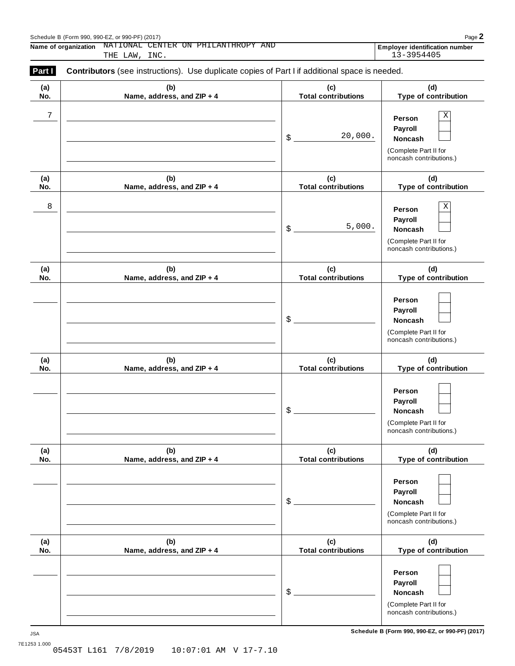| Schedule B (Form 990, 990-EZ, or 990-PF) (2017) | Page 2 |
|-------------------------------------------------|--------|
|                                                 |        |

**Name of organization NATIONAL CENTER ON PHILANTHROPY AND Employer identification number** NATIONAL CENTER ON PHILANTHROPY AND **Employer identification number**<br>THE LAW, INC. 13-3954405

| (a) | (b)                        | (c)                        | (d)                                                                                   |
|-----|----------------------------|----------------------------|---------------------------------------------------------------------------------------|
| No. | Name, address, and ZIP + 4 | <b>Total contributions</b> | Type of contribution                                                                  |
| 7   |                            | 20,000.<br>$\frac{3}{2}$   | Χ<br>Person<br>Payroll<br>Noncash<br>(Complete Part II for<br>noncash contributions.) |
| (a) | (b)                        | (c)                        | (d)                                                                                   |
| No. | Name, address, and ZIP + 4 | <b>Total contributions</b> | Type of contribution                                                                  |
| 8   |                            | 5,000.<br>$\frac{3}{2}$    | Χ<br>Person<br>Payroll<br>Noncash<br>(Complete Part II for<br>noncash contributions.) |
| (a) | (b)                        | (c)                        | (d)                                                                                   |
| No. | Name, address, and ZIP + 4 | <b>Total contributions</b> | Type of contribution                                                                  |
|     |                            | $\frac{1}{2}$              | Person<br>Payroll<br>Noncash<br>(Complete Part II for<br>noncash contributions.)      |
| (a) | (b)                        | (c)                        | (d)                                                                                   |
| No. | Name, address, and ZIP + 4 | <b>Total contributions</b> | Type of contribution                                                                  |
|     |                            | \$                         | Person<br>Payroll<br>Noncash<br>(Complete Part II for<br>noncash contributions.)      |
| (a) | (b)                        | (c)                        | (d)                                                                                   |
| No. | Name, address, and ZIP + 4 | <b>Total contributions</b> | Type of contribution                                                                  |
|     |                            | $$^{\circ}$                | Person<br>Payroll<br>Noncash<br>(Complete Part II for<br>noncash contributions.)      |
| (a) | (b)                        | (c)                        | (d)                                                                                   |
| No. | Name, address, and ZIP + 4 | <b>Total contributions</b> | Type of contribution                                                                  |
|     |                            | $$^{\circ}$                | Person<br>Payroll<br>Noncash<br>(Complete Part II for<br>noncash contributions.)      |

**Schedule B (Form 990, 990-EZ, or 990-PF) (2017)** JSA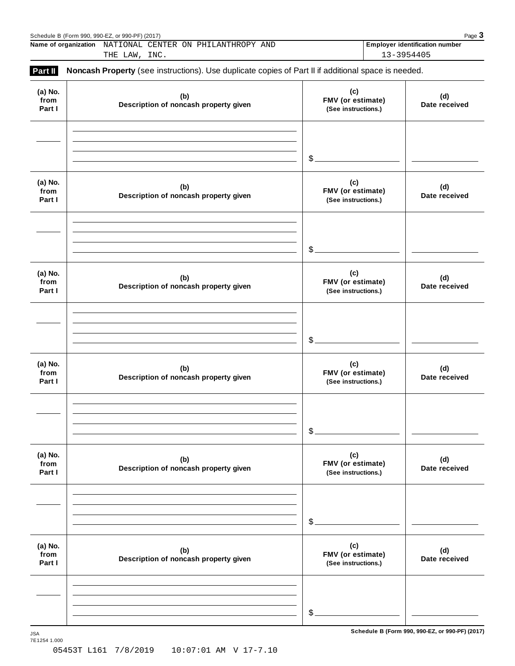|                           | Schedule B (Form 990, 990-EZ, or 990-PF) (2017)<br>Name of organization NATIONAL CENTER ON PHILANTHROPY AND<br>THE LAW, INC. |                                                 | Page 3<br><b>Employer identification number</b><br>13-3954405 |
|---------------------------|------------------------------------------------------------------------------------------------------------------------------|-------------------------------------------------|---------------------------------------------------------------|
| Part II                   | Noncash Property (see instructions). Use duplicate copies of Part II if additional space is needed.                          |                                                 |                                                               |
| (a) No.<br>from<br>Part I | (b)<br>Description of noncash property given                                                                                 | (c)<br>FMV (or estimate)<br>(See instructions.) | (d)<br>Date received                                          |
|                           |                                                                                                                              | $\frac{1}{2}$                                   |                                                               |
| (a) No.<br>from<br>Part I | (b)<br>Description of noncash property given                                                                                 | (c)<br>FMV (or estimate)<br>(See instructions.) | (d)<br>Date received                                          |
|                           |                                                                                                                              | $\mathcal{L}$                                   |                                                               |
| (a) No.<br>from<br>Part I | (b)<br>Description of noncash property given                                                                                 | (c)<br>FMV (or estimate)<br>(See instructions.) | (d)<br>Date received                                          |
|                           |                                                                                                                              | $\mathcal{L}$                                   |                                                               |
| (a) No.<br>from<br>Part I | (b)<br>Description of noncash property given                                                                                 | (c)<br>FMV (or estimate)<br>(See instructions.) | (d)<br>Date received                                          |
|                           |                                                                                                                              | \$                                              |                                                               |
| (a) No.<br>from<br>Part I | (b)<br>Description of noncash property given                                                                                 | (c)<br>FMV (or estimate)<br>(See instructions.) | (d)<br>Date received                                          |
|                           |                                                                                                                              | \$                                              |                                                               |
| (a) No.<br>from<br>Part I | (b)<br>Description of noncash property given                                                                                 | (c)<br>FMV (or estimate)<br>(See instructions.) | (d)<br>Date received                                          |
|                           |                                                                                                                              |                                                 |                                                               |
|                           |                                                                                                                              | \$                                              |                                                               |

 $S$ chedule B (Form 990, 990-EZ, or 990-PF) (2017)

7E1254 1.000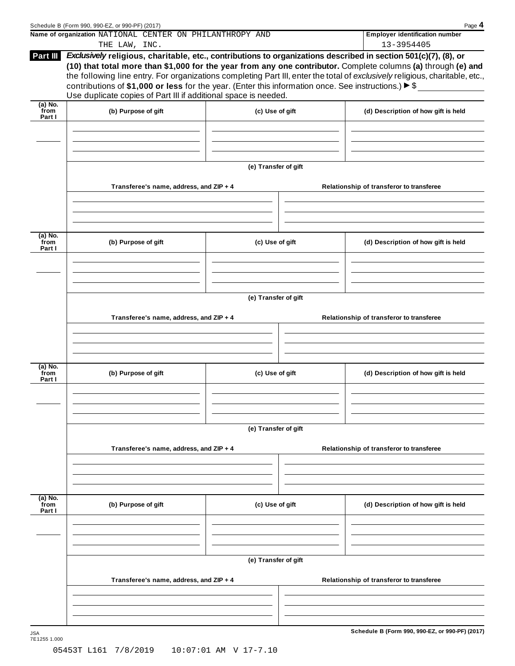|                           | Name of organization NATIONAL CENTER ON PHILANTHROPY AND                                                                                                                               |                      | <b>Employer identification number</b>                                                                                                                                                                                                                                                                                                                            |
|---------------------------|----------------------------------------------------------------------------------------------------------------------------------------------------------------------------------------|----------------------|------------------------------------------------------------------------------------------------------------------------------------------------------------------------------------------------------------------------------------------------------------------------------------------------------------------------------------------------------------------|
|                           | THE LAW, INC.                                                                                                                                                                          |                      | 13-3954405                                                                                                                                                                                                                                                                                                                                                       |
| Part III                  | contributions of \$1,000 or less for the year. (Enter this information once. See instructions.) $\triangleright$ \$<br>Use duplicate copies of Part III if additional space is needed. |                      | Exclusively religious, charitable, etc., contributions to organizations described in section 501(c)(7), (8), or<br>(10) that total more than \$1,000 for the year from any one contributor. Complete columns (a) through (e) and<br>the following line entry. For organizations completing Part III, enter the total of exclusively religious, charitable, etc., |
| (a) No.                   |                                                                                                                                                                                        |                      |                                                                                                                                                                                                                                                                                                                                                                  |
| from<br>Part I            | (b) Purpose of gift                                                                                                                                                                    | (c) Use of gift      | (d) Description of how gift is held                                                                                                                                                                                                                                                                                                                              |
|                           |                                                                                                                                                                                        | (e) Transfer of gift |                                                                                                                                                                                                                                                                                                                                                                  |
|                           | Transferee's name, address, and ZIP + 4                                                                                                                                                |                      | Relationship of transferor to transferee                                                                                                                                                                                                                                                                                                                         |
| (a) No.                   |                                                                                                                                                                                        |                      |                                                                                                                                                                                                                                                                                                                                                                  |
| from<br>Part I            | (b) Purpose of gift                                                                                                                                                                    | (c) Use of gift      | (d) Description of how gift is held                                                                                                                                                                                                                                                                                                                              |
|                           |                                                                                                                                                                                        | (e) Transfer of gift |                                                                                                                                                                                                                                                                                                                                                                  |
|                           | Transferee's name, address, and ZIP + 4                                                                                                                                                |                      | Relationship of transferor to transferee                                                                                                                                                                                                                                                                                                                         |
|                           |                                                                                                                                                                                        |                      |                                                                                                                                                                                                                                                                                                                                                                  |
| (a) No.<br>from<br>Part I | (b) Purpose of gift                                                                                                                                                                    | (c) Use of gift      | (d) Description of how gift is held                                                                                                                                                                                                                                                                                                                              |
|                           |                                                                                                                                                                                        |                      |                                                                                                                                                                                                                                                                                                                                                                  |
|                           |                                                                                                                                                                                        | (e) Transfer of gift |                                                                                                                                                                                                                                                                                                                                                                  |
|                           | Transferee's name, address, and ZIP + 4                                                                                                                                                |                      | Relationship of transferor to transferee                                                                                                                                                                                                                                                                                                                         |
|                           |                                                                                                                                                                                        |                      |                                                                                                                                                                                                                                                                                                                                                                  |
|                           | (b) Purpose of gift                                                                                                                                                                    | (c) Use of gift      | (d) Description of how gift is held                                                                                                                                                                                                                                                                                                                              |
|                           |                                                                                                                                                                                        |                      |                                                                                                                                                                                                                                                                                                                                                                  |
|                           | Transferee's name, address, and ZIP + 4                                                                                                                                                | (e) Transfer of gift | Relationship of transferor to transferee                                                                                                                                                                                                                                                                                                                         |
| (a) No.<br>from<br>Part I |                                                                                                                                                                                        |                      |                                                                                                                                                                                                                                                                                                                                                                  |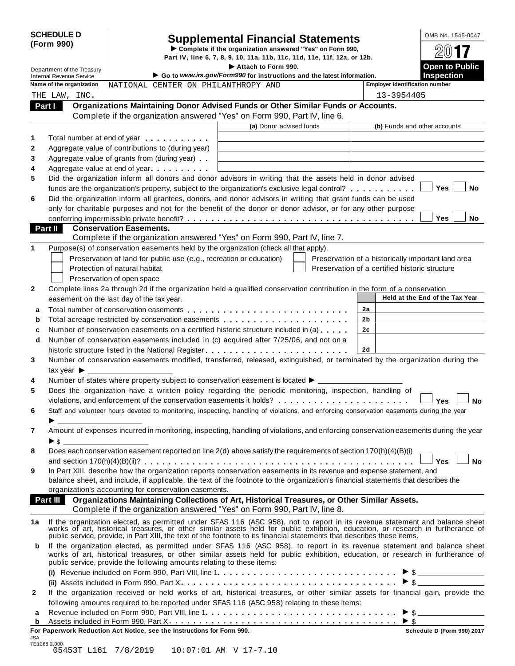| <b>SCHEDULE D</b> |  |
|-------------------|--|
| (Form 990)        |  |

# Supplemental Financial Statements<br>  $\triangleright$  Complete if the organization answered "Yes" on Form 990,<br>
Part IV, line 6, 7, 8, 9, 10, 11a, 11b, 11c, 11d, 11e, 11f, 12a, or 12b.

Department of the Treasury Integration of the Treasury Integration of the Treasury **I and CO2 Contract of the Treasury Contract of the Treasury Contract of the Treasury <b>I** and CO2 **Contract of the Integration** of th Internal Revenue Service I **Go to** *www.irs.gov/Form990* **for instructions and the latest information. Inspection Name of the organization** MATIONAL CENTER ON PHILANTHROPY AND **Final Proper identification** number **Organizations Maintaining Donor Advised Funds or Other Similar Funds or Accounts. Part I** Crganizations Maintaining Donor Advised Funds or Other Similar Funds<br>Complete if the organization answered "Yes" on Form 990, Part IV, line 6. **(a)** Donor advised funds **(b)** Funds and other accounts **1 2 3 4 5 6** Total number at end of year  $\dots\dots\dots\dots$ Aggregate value of contributions to (during year) Aggregate value of contributions to (during year)<br>Aggregate value of grants from (during year) Aggregate value of grants from (during year)<br>Aggregate value at end of year Did the organization inform all donors and donor advisors in writing that the assets held in donor advised funds are the organization's property, subject to the organization's exclusive legal control? **matures**  $\Box$  Yes  $\Box$  Yes Did the organization inform all grantees, donors, and donor advisors in writing that grant funds can be used only for charitable purposes and not for the benefit of the donor or donor advisor, or for any other purpose **conferring impermissible private benefit?** metals are metals and more matured more metals of  $\blacksquare$  The  $\blacksquare$  Noor **Conservation Easements. Part II** Conservation Easements.<br>Complete if the organization answered "Yes" on Form 990, Part IV, line 7. **1** Purpose(s) of conservation easements held by the organization (check all that apply). Preservation of land for public use (e.g., recreation or education) Protection of natural habitat Preservation of open space Preservation of a historically important land area Preservation of a certified historic structure **2** Complete lines 2a through 2d if the organization held a qualified conservation contribution in the form of a conservation easement on the last day of the tax year. **Held at the End** of the Tax Year **2a 2b 2c 2d a** Total number of conservation easements m m m m m m m m m m m m m m m m m m m m m m m m m m m **a** Total number of conservation easements ............................<br>**b** Total acreage restricted by conservation easements ..................... **b** Total acreage restricted by conservation easements<br>**c** Number of conservation easements on a certified historic structure included in (a) . . . . . . **d** Number of conservation easements included in (c) acquired after 7/25/06, and not on a | historic structure listed in the National Register m m m m m m m m m m m m m m m m m m m m m m m m **3 4 5 6 7 8 9** Number of conservation easements modified, transferred, released, extinguished, or terminated by the organization during the tax vear  $\blacktriangleright$ Number of states where property subject to conservation easement is located  $\blacktriangleright$ . Does the organization have a written policy regarding the periodic monitoring, inspection, handling of violations, and enforcement of the conservation easements it holds? musical manager mann m m m m **y** es  $\Box$  No Staff and volunteer hours devoted to monitoring, inspecting, handling of violations, and enforcing conservation easements during the year <br>
> Amount of expenses incurred in monitoring, inspecting, handling of violations, and enforcing conservation easements during the year  $\blacktriangleright$  \$ Does each conservation easement reported on line 2(d) above satisfy the requirements of section 170(h)(4)(B)(i) and section 170(h)(4)(B)(ii)? m m m m m m m m m m m m m m m m m m m m m m m m m m m m m m m m m m m m m m m m m m m m m **Yes No** In Part XIII, describe how the organization reports conservation easements in its revenue and expense statement, and balance sheet, and include, if applicable, the text of the footnote to the organization's financial statements that describes the organization's accounting for conservation easements. **Organizations Maintaining Collections of Art, Historical Treasures, or Other Similar Assets. Part III Organizations Maintaining Collections of Art, Historical Treasures, or Organization answered "Yes" on Form 990, Part IV, line 8.** 1a If the organization elected, as permitted under SFAS 116 (ASC 958), not to report in its revenue statement and balance sheet<br>works of art, historical treasures, or other similar assets held for public exhibition, educat public service, provide, in Part XIII, the text of the footnote to its financial statements that describes these items. **b** If the organization elected, as permitted under SFAS 116 (ASC 958), to report in its revenue statement and balance sheet works of art, historical treasures, or other similar assets held for public exhibition, education, or research in furtherance of public service, provide the following amounts relating to these items: **(i)** I Revenue included on Form 990, Part VIII, line 1 m m m m m m m m m m m m m m m m m m m m m m m m m m m m m m \$ **(ii)** Assets included in Form 990, Part X m m m m m m m m m m m m m m m m m m m m m m m m m m m m m m m m m m m m I \$ **2** If the organization received or held works of art, historical treasures, or other similar assets for financial gain, provide the following amounts required to be reported under SFAS 116 (ASC 958) relating to these items: **<sup>a</sup>** Revenue included on Form 990, Part VIII, line <sup>1</sup> I m m m m m m m m m m m m m m m m m m m m m m m m m m m m m m m m \$ Assets included in Form 990, Part X **<sup>b</sup>** m m m m m m m m m m m m m m m m m m m m m m m m m m m m m m m m m m m m m m I \$ **For Paperwork Reduction Act Notice, see the Instructions for Form 990. Schedule D (Form 990) 2017** THE LAW, INC. 13-3954405

JSA 7E1268 2.000<br>05453T L161 7/8/2019  $10:07:01$  AM V  $17-7.10$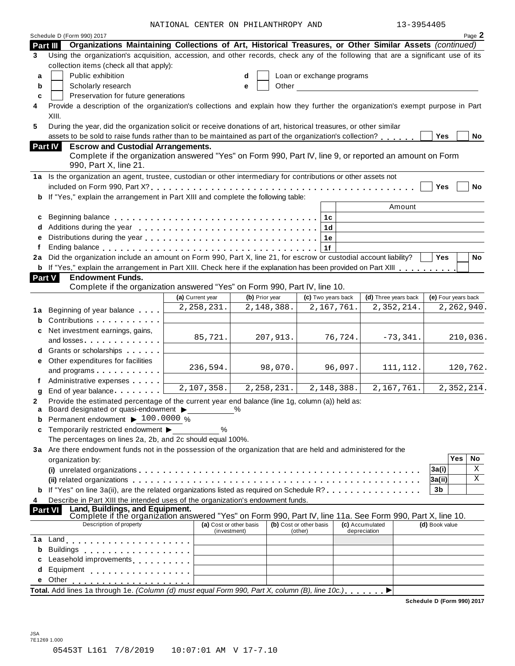NATIONAL CENTER ON PHILANTHROPY AND 13-3954405

| 13-3954405 |  |
|------------|--|
|------------|--|

|               |                                                                                                                                                                                                                                | NATIONAL CENTER ON PHILANTHROPY AND     |                |                                    |         | 13-3954405                      |                |                            |
|---------------|--------------------------------------------------------------------------------------------------------------------------------------------------------------------------------------------------------------------------------|-----------------------------------------|----------------|------------------------------------|---------|---------------------------------|----------------|----------------------------|
| Part III      | Schedule D (Form 990) 2017<br>Organizations Maintaining Collections of Art, Historical Treasures, or Other Similar Assets (continued)                                                                                          |                                         |                |                                    |         |                                 |                | Page 2                     |
| 3             | Using the organization's acquisition, accession, and other records, check any of the following that are a significant use of its                                                                                               |                                         |                |                                    |         |                                 |                |                            |
|               | collection items (check all that apply):                                                                                                                                                                                       |                                         |                |                                    |         |                                 |                |                            |
| a             | Public exhibition                                                                                                                                                                                                              |                                         | d              | Loan or exchange programs          |         |                                 |                |                            |
| b             | Scholarly research                                                                                                                                                                                                             |                                         | Other<br>e     |                                    |         |                                 |                |                            |
| C             | Preservation for future generations                                                                                                                                                                                            |                                         |                |                                    |         |                                 |                |                            |
| 4             | Provide a description of the organization's collections and explain how they further the organization's exempt purpose in Part                                                                                                 |                                         |                |                                    |         |                                 |                |                            |
|               | XIII.                                                                                                                                                                                                                          |                                         |                |                                    |         |                                 |                |                            |
| 5             | During the year, did the organization solicit or receive donations of art, historical treasures, or other similar                                                                                                              |                                         |                |                                    |         |                                 |                |                            |
|               | assets to be sold to raise funds rather than to be maintained as part of the organization's collection?                                                                                                                        |                                         |                |                                    |         |                                 | Yes            | No                         |
|               | <b>Part IV</b><br><b>Escrow and Custodial Arrangements.</b>                                                                                                                                                                    |                                         |                |                                    |         |                                 |                |                            |
|               | Complete if the organization answered "Yes" on Form 990, Part IV, line 9, or reported an amount on Form                                                                                                                        |                                         |                |                                    |         |                                 |                |                            |
|               | 990, Part X, line 21.                                                                                                                                                                                                          |                                         |                |                                    |         |                                 |                |                            |
|               | 1a Is the organization an agent, trustee, custodian or other intermediary for contributions or other assets not                                                                                                                |                                         |                |                                    |         |                                 |                |                            |
|               |                                                                                                                                                                                                                                |                                         |                |                                    |         |                                 | Yes            | <b>No</b>                  |
| b             | If "Yes," explain the arrangement in Part XIII and complete the following table:                                                                                                                                               |                                         |                |                                    |         |                                 |                |                            |
|               |                                                                                                                                                                                                                                |                                         |                |                                    |         | Amount                          |                |                            |
| c             |                                                                                                                                                                                                                                |                                         |                | 1c                                 |         |                                 |                |                            |
|               |                                                                                                                                                                                                                                |                                         |                | 1d                                 |         |                                 |                |                            |
| e             |                                                                                                                                                                                                                                |                                         |                | 1e                                 |         |                                 |                |                            |
|               |                                                                                                                                                                                                                                |                                         |                | 1f                                 |         |                                 |                |                            |
| 2a            | Did the organization include an amount on Form 990, Part X, line 21, for escrow or custodial account liability?                                                                                                                |                                         |                |                                    |         |                                 | <b>Yes</b>     | <b>No</b>                  |
|               | <b>b</b> If "Yes," explain the arrangement in Part XIII. Check here if the explanation has been provided on Part XIII                                                                                                          |                                         |                |                                    |         |                                 |                |                            |
| <b>Part V</b> | <b>Endowment Funds.</b>                                                                                                                                                                                                        |                                         |                |                                    |         |                                 |                |                            |
|               | Complete if the organization answered "Yes" on Form 990, Part IV, line 10.                                                                                                                                                     |                                         |                |                                    |         |                                 |                |                            |
|               |                                                                                                                                                                                                                                | (a) Current year                        | (b) Prior year | (c) Two years back                 |         | (d) Three years back            |                | (e) Four years back        |
| 1a            | Beginning of year balance                                                                                                                                                                                                      | 2, 258, 231.                            | 2,148,388.     | 2,167,761.                         |         | 2, 352, 214.                    |                | 2,262,940.                 |
| b             | Contributions                                                                                                                                                                                                                  |                                         |                |                                    |         |                                 |                |                            |
| c             | Net investment earnings, gains,                                                                                                                                                                                                | 85,721.                                 | 207,913.       |                                    | 76,724. | $-73,341.$                      |                | 210,036.                   |
|               | and losses. The contract of the contract of the contract of the contract of the contract of the contract of the contract of the contract of the contract of the contract of the contract of the contract of the contract of th |                                         |                |                                    |         |                                 |                |                            |
|               | d Grants or scholarships                                                                                                                                                                                                       |                                         |                |                                    |         |                                 |                |                            |
| е             | Other expenditures for facilities                                                                                                                                                                                              | 236,594.                                | 98,070.        |                                    | 96,097. | 111, 112.                       |                | 120,762.                   |
|               | and programs                                                                                                                                                                                                                   |                                         |                |                                    |         |                                 |                |                            |
|               | Administrative expenses                                                                                                                                                                                                        | 2,107,358.                              | 2, 258, 231.   | 2,148,388.                         |         | 2,167,761.                      |                | $\overline{2,}$ 352, 214.  |
| g             | End of year balance                                                                                                                                                                                                            |                                         |                |                                    |         |                                 |                |                            |
|               | Provide the estimated percentage of the current year end balance (line 1g, column (a)) held as:<br>Board designated or quasi-endowment                                                                                         |                                         | $\%$           |                                    |         |                                 |                |                            |
| а<br>b        | Permanent endowment ▶ 100.0000 %                                                                                                                                                                                               | <u>and</u> the state                    |                |                                    |         |                                 |                |                            |
| c             | Temporarily restricted endowment > %                                                                                                                                                                                           |                                         |                |                                    |         |                                 |                |                            |
|               | The percentages on lines 2a, 2b, and 2c should equal 100%.                                                                                                                                                                     |                                         |                |                                    |         |                                 |                |                            |
|               | 3a Are there endowment funds not in the possession of the organization that are held and administered for the                                                                                                                  |                                         |                |                                    |         |                                 |                |                            |
|               | organization by:                                                                                                                                                                                                               |                                         |                |                                    |         |                                 |                | Yes<br>No                  |
|               |                                                                                                                                                                                                                                |                                         |                |                                    |         |                                 | 3a(i)          | Χ                          |
|               |                                                                                                                                                                                                                                |                                         |                |                                    |         |                                 | 3a(ii)         | X                          |
| b             | If "Yes" on line 3a(ii), are the related organizations listed as required on Schedule R?, , , , ,                                                                                                                              |                                         |                |                                    |         |                                 | 3b             |                            |
| 4             | Describe in Part XIII the intended uses of the organization's endowment funds.                                                                                                                                                 |                                         |                |                                    |         |                                 |                |                            |
|               | Land, Buildings, and Equipment.<br><b>Part VI</b>                                                                                                                                                                              |                                         |                |                                    |         |                                 |                |                            |
|               | Complete if the organization answered "Yes" on Form 990, Part IV, line 11a. See Form 990, Part X, line 10.                                                                                                                     |                                         |                |                                    |         |                                 |                |                            |
|               | Description of property                                                                                                                                                                                                        | (a) Cost or other basis<br>(investment) |                | (b) Cost or other basis<br>(other) |         | (c) Accumulated<br>depreciation | (d) Book value |                            |
| 1a            | Land experience and the series of the series of the series of the series of the series of the series of the series of the series of the series of the series of the series of the series of the series of the series of the se |                                         |                |                                    |         |                                 |                |                            |
| b             |                                                                                                                                                                                                                                |                                         |                |                                    |         |                                 |                |                            |
| c             | Leasehold improvements [1,1,1,1,1,1,1]                                                                                                                                                                                         |                                         |                |                                    |         |                                 |                |                            |
| d             | Equipment experience and a series of the series of the series of the series of the series of the series of the                                                                                                                 |                                         |                |                                    |         |                                 |                |                            |
| е             | Other                                                                                                                                                                                                                          |                                         |                |                                    |         |                                 |                |                            |
|               | Total. Add lines 1a through 1e. (Column (d) must equal Form 990, Part X, column (B), line 10c.)                                                                                                                                |                                         |                |                                    |         |                                 |                |                            |
|               |                                                                                                                                                                                                                                |                                         |                |                                    |         |                                 |                | Schedule D (Form 990) 2017 |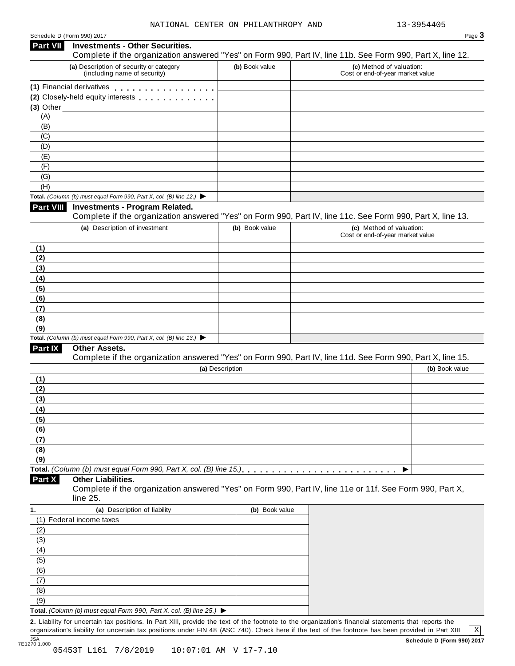#### Schedule <sup>D</sup> (Form 990) <sup>2017</sup> Page **3 Investments - Other Securities. Part VII** Investments - Other Securities.<br>Complete if the organization answered "Yes" on Form 990, Part IV, line 11b. See Form 990, Part X, line 12. **(a)** Description of security or category (including name of security) **(b)** Book value **(c)** Method of valuation: Cost or end-of-year market value **(1)** Financial derivatives m m m m m m m m m m m m m m m m m **(1)** Financial derivatives **maturity of minimum metallicity** Closely-held equity interests **maturity of momental (3)** Other (A) (B) (C) (D) (E) (F) (G) (H) **Total.** *(Column (b) must equal Form 990, Part X, col. (B) line 12.)* I **Investments - Program Related.** Complete if the organization answered "Yes" on Form 990, Part IV, line 11c. See Form 990, Part X, line 13. **(a)** Description of investment **(b)** Book value **(c)** Method of valuation: Cost or end-of-year market value **(1) (2) (3) (4) (5) (6) (7) (8) (9) Total.** *(Column (b) must equal Form 990, Part X, col. (B) line 13.)* I **Other Assets.** Complete if the organization answered "Yes" on Form 990, Part IV, line 11d. See Form 990, Part X, line 15. **(a)** Description **(b)** Book value **(1) (2) (3) (4) (5) (6) (7) (8) (9) Total.** *(Column (b) must equal Form 990, Part X, col. (B) line 15.)* m m m m m m m m m m m m m m m m m m m m m m m m m m I **Other Liabilities.** Complete if the organization answered "Yes" on Form 990, Part IV, line 11e or 11f. See Form 990, Part X, line 25. **Part X 1. (a)** Description of liability **(b)** Book value (1) Federal income taxes (2) (3) (4) (5) (6) (7) (8) (9) **Total.** *(Column (b) must equal Form 990, Part X, col. (B) line 25.)* I

**2.** Liability for uncertain tax positions. In Part XIII, provide the text of the footnote to the organization's financial statements that reports the organization's liability for uncertain tax positions under FIN 48 (ASC 740). Check here if the text of the footnote has been provided in Part XIII

X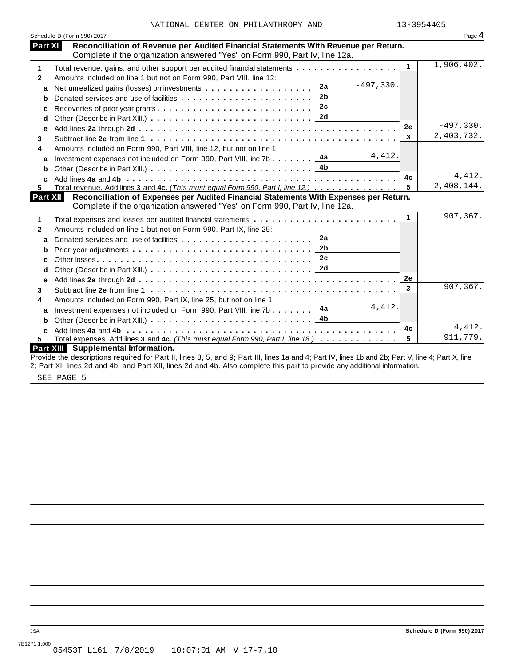| Reconciliation of Revenue per Audited Financial Statements With Revenue per Return.<br>Part XI<br>Complete if the organization answered "Yes" on Form 990, Part IV, line 12a.<br>1,906,402.<br>$\mathbf{1}$<br>Total revenue, gains, and other support per audited financial statements<br>1<br>Amounts included on line 1 but not on Form 990, Part VIII, line 12:<br>$\mathbf{2}$<br>$-497,330.$<br>2a<br>a<br>2 <sub>b</sub><br>b |
|--------------------------------------------------------------------------------------------------------------------------------------------------------------------------------------------------------------------------------------------------------------------------------------------------------------------------------------------------------------------------------------------------------------------------------------|
|                                                                                                                                                                                                                                                                                                                                                                                                                                      |
|                                                                                                                                                                                                                                                                                                                                                                                                                                      |
|                                                                                                                                                                                                                                                                                                                                                                                                                                      |
|                                                                                                                                                                                                                                                                                                                                                                                                                                      |
|                                                                                                                                                                                                                                                                                                                                                                                                                                      |
| 2c                                                                                                                                                                                                                                                                                                                                                                                                                                   |
| Recoveries of prior year grants<br>c                                                                                                                                                                                                                                                                                                                                                                                                 |
| 2d<br>d<br>$-497,330.$                                                                                                                                                                                                                                                                                                                                                                                                               |
| 2e<br>e<br>2,403,732.                                                                                                                                                                                                                                                                                                                                                                                                                |
| 3<br>3                                                                                                                                                                                                                                                                                                                                                                                                                               |
| Amounts included on Form 990, Part VIII, line 12, but not on line 1:<br>4                                                                                                                                                                                                                                                                                                                                                            |
| 4, 412.<br>Investment expenses not included on Form 990, Part VIII, line 7b $\boxed{4a}$<br>a                                                                                                                                                                                                                                                                                                                                        |
| b                                                                                                                                                                                                                                                                                                                                                                                                                                    |
| 4,412.<br>4c<br>C.                                                                                                                                                                                                                                                                                                                                                                                                                   |
| 2,408,144.<br>Total revenue. Add lines 3 and 4c. (This must equal Form 990, Part I, line 12.)<br>5<br>5.                                                                                                                                                                                                                                                                                                                             |
| Reconciliation of Expenses per Audited Financial Statements With Expenses per Return.<br>Part XII                                                                                                                                                                                                                                                                                                                                    |
| Complete if the organization answered "Yes" on Form 990, Part IV, line 12a.                                                                                                                                                                                                                                                                                                                                                          |
| 907, 367.<br>1<br>Total expenses and losses per audited financial statements<br>1                                                                                                                                                                                                                                                                                                                                                    |
| Amounts included on line 1 but not on Form 990, Part IX, line 25:<br>$\mathbf{2}$                                                                                                                                                                                                                                                                                                                                                    |
| 2a<br>Donated services and use of facilities<br>a                                                                                                                                                                                                                                                                                                                                                                                    |
| 2 <sub>b</sub><br>b                                                                                                                                                                                                                                                                                                                                                                                                                  |
| 2 <sub>c</sub><br>c                                                                                                                                                                                                                                                                                                                                                                                                                  |
| 2d<br>d                                                                                                                                                                                                                                                                                                                                                                                                                              |
| 2е<br>е                                                                                                                                                                                                                                                                                                                                                                                                                              |
| 907, 367.<br>3<br>3                                                                                                                                                                                                                                                                                                                                                                                                                  |
| Amounts included on Form 990, Part IX, line 25, but not on line 1:<br>4                                                                                                                                                                                                                                                                                                                                                              |
| 4, 412.<br>Investment expenses not included on Form 990, Part VIII, line 7b $\boxed{4a}$<br>a                                                                                                                                                                                                                                                                                                                                        |
| b                                                                                                                                                                                                                                                                                                                                                                                                                                    |
| 4, 412.<br>4с                                                                                                                                                                                                                                                                                                                                                                                                                        |
| c.<br>911,779.<br>Total expenses. Add lines 3 and 4c. (This must equal Form 990, Part I, line 18.)<br>5<br>5.                                                                                                                                                                                                                                                                                                                        |
| Part XIII Supplemental Information.                                                                                                                                                                                                                                                                                                                                                                                                  |
| Provide the descriptions required for Part II, lines 3, 5, and 9; Part III, lines 1a and 4; Part IV, lines 1b and 2b; Part V, line 4; Part X, line                                                                                                                                                                                                                                                                                   |

2; Part XI, lines 2d and 4b; and Part XII, lines 2d and 4b. Also complete this part to provide any additional information.

SEE PAGE 5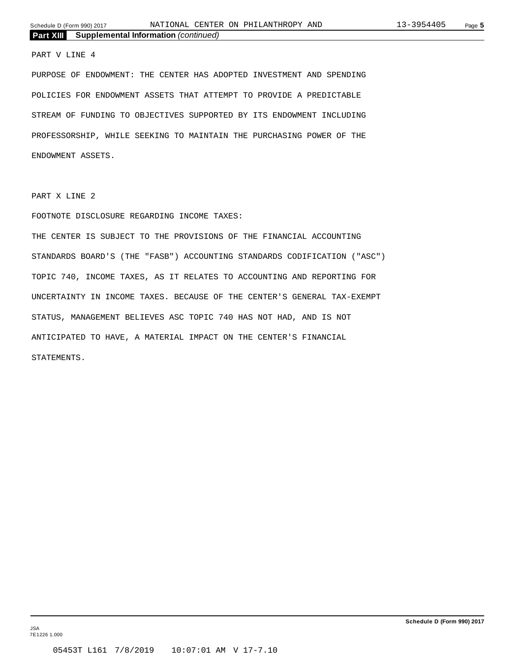#### PART V LINE 4

PURPOSE OF ENDOWMENT: THE CENTER HAS ADOPTED INVESTMENT AND SPENDING POLICIES FOR ENDOWMENT ASSETS THAT ATTEMPT TO PROVIDE A PREDICTABLE STREAM OF FUNDING TO OBJECTIVES SUPPORTED BY ITS ENDOWMENT INCLUDING PROFESSORSHIP, WHILE SEEKING TO MAINTAIN THE PURCHASING POWER OF THE ENDOWMENT ASSETS.

PART X LINE 2

#### FOOTNOTE DISCLOSURE REGARDING INCOME TAXES:

THE CENTER IS SUBJECT TO THE PROVISIONS OF THE FINANCIAL ACCOUNTING STANDARDS BOARD'S (THE "FASB") ACCOUNTING STANDARDS CODIFICATION ("ASC") TOPIC 740, INCOME TAXES, AS IT RELATES TO ACCOUNTING AND REPORTING FOR UNCERTAINTY IN INCOME TAXES. BECAUSE OF THE CENTER'S GENERAL TAX-EXEMPT STATUS, MANAGEMENT BELIEVES ASC TOPIC 740 HAS NOT HAD, AND IS NOT ANTICIPATED TO HAVE, A MATERIAL IMPACT ON THE CENTER'S FINANCIAL STATEMENTS.

JSA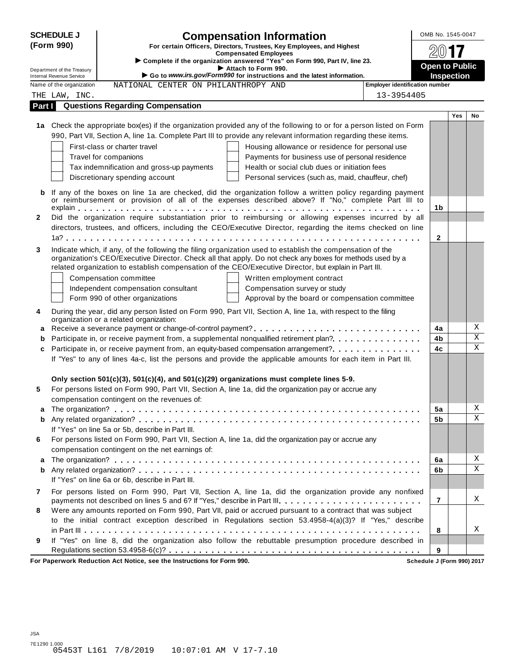|              | <b>SCHEDULE J</b>                                           | <b>Compensation Information</b>                                                                                                                                                                                         | OMB No. 1545-0047     |                   |                         |
|--------------|-------------------------------------------------------------|-------------------------------------------------------------------------------------------------------------------------------------------------------------------------------------------------------------------------|-----------------------|-------------------|-------------------------|
|              | (Form 990)                                                  | For certain Officers, Directors, Trustees, Key Employees, and Highest                                                                                                                                                   |                       |                   |                         |
|              |                                                             | <b>Compensated Employees</b><br>> Complete if the organization answered "Yes" on Form 990, Part IV, line 23.                                                                                                            |                       |                   |                         |
|              | Department of the Treasury                                  | Attach to Form 990.                                                                                                                                                                                                     | <b>Open to Public</b> |                   |                         |
|              | <b>Internal Revenue Service</b><br>Name of the organization | Go to www.irs.gov/Form990 for instructions and the latest information.<br>Employer identification number<br>NATIONAL CENTER ON PHILANTHROPY AND                                                                         |                       | <b>Inspection</b> |                         |
|              | THE LAW, INC.                                               | 13-3954405                                                                                                                                                                                                              |                       |                   |                         |
| Part I       |                                                             | <b>Questions Regarding Compensation</b>                                                                                                                                                                                 |                       |                   |                         |
|              |                                                             |                                                                                                                                                                                                                         |                       | <b>Yes</b>        | <b>No</b>               |
|              |                                                             | 1a Check the appropriate box(es) if the organization provided any of the following to or for a person listed on Form                                                                                                    |                       |                   |                         |
|              |                                                             | 990, Part VII, Section A, line 1a. Complete Part III to provide any relevant information regarding these items.                                                                                                         |                       |                   |                         |
|              |                                                             | First-class or charter travel<br>Housing allowance or residence for personal use                                                                                                                                        |                       |                   |                         |
|              |                                                             | Travel for companions<br>Payments for business use of personal residence                                                                                                                                                |                       |                   |                         |
|              |                                                             | Tax indemnification and gross-up payments<br>Health or social club dues or initiation fees                                                                                                                              |                       |                   |                         |
|              |                                                             | Discretionary spending account<br>Personal services (such as, maid, chauffeur, chef)                                                                                                                                    |                       |                   |                         |
|              |                                                             | If any of the boxes on line 1a are checked, did the organization follow a written policy regarding payment                                                                                                              |                       |                   |                         |
|              |                                                             | or reimbursement or provision of all of the expenses described above? If "No," complete Part III to                                                                                                                     |                       |                   |                         |
|              |                                                             |                                                                                                                                                                                                                         | 1b                    |                   |                         |
| $\mathbf{2}$ |                                                             | Did the organization require substantiation prior to reimbursing or allowing expenses incurred by all                                                                                                                   |                       |                   |                         |
|              |                                                             | directors, trustees, and officers, including the CEO/Executive Director, regarding the items checked on line                                                                                                            | $\mathbf{2}$          |                   |                         |
|              |                                                             |                                                                                                                                                                                                                         |                       |                   |                         |
| 3            |                                                             | Indicate which, if any, of the following the filing organization used to establish the compensation of the<br>organization's CEO/Executive Director. Check all that apply. Do not check any boxes for methods used by a |                       |                   |                         |
|              |                                                             | related organization to establish compensation of the CEO/Executive Director, but explain in Part III.                                                                                                                  |                       |                   |                         |
|              |                                                             | Compensation committee<br>Written employment contract                                                                                                                                                                   |                       |                   |                         |
|              |                                                             | Independent compensation consultant<br>Compensation survey or study                                                                                                                                                     |                       |                   |                         |
|              |                                                             | Form 990 of other organizations<br>Approval by the board or compensation committee                                                                                                                                      |                       |                   |                         |
| 4            |                                                             | During the year, did any person listed on Form 990, Part VII, Section A, line 1a, with respect to the filing<br>organization or a related organization:                                                                 |                       |                   |                         |
| a            |                                                             |                                                                                                                                                                                                                         | 4a                    |                   | Χ                       |
| b            |                                                             | Participate in, or receive payment from, a supplemental nonqualified retirement plan?                                                                                                                                   | 4b                    |                   | $\overline{\mathbf{x}}$ |
| c            |                                                             | Participate in, or receive payment from, an equity-based compensation arrangement?                                                                                                                                      | 4c                    |                   | $\mathbf X$             |
|              |                                                             | If "Yes" to any of lines 4a-c, list the persons and provide the applicable amounts for each item in Part III.                                                                                                           |                       |                   |                         |
|              |                                                             |                                                                                                                                                                                                                         |                       |                   |                         |
|              |                                                             | Only section $501(c)(3)$ , $501(c)(4)$ , and $501(c)(29)$ organizations must complete lines 5-9.                                                                                                                        |                       |                   |                         |
| 5            |                                                             | For persons listed on Form 990, Part VII, Section A, line 1a, did the organization pay or accrue any                                                                                                                    |                       |                   |                         |
|              |                                                             | compensation contingent on the revenues of:                                                                                                                                                                             |                       |                   | Χ                       |
| a<br>b       |                                                             |                                                                                                                                                                                                                         | 5a<br>5b              |                   | X                       |
|              |                                                             | If "Yes" on line 5a or 5b, describe in Part III.                                                                                                                                                                        |                       |                   |                         |
| 6            |                                                             | For persons listed on Form 990, Part VII, Section A, line 1a, did the organization pay or accrue any                                                                                                                    |                       |                   |                         |
|              |                                                             | compensation contingent on the net earnings of:                                                                                                                                                                         |                       |                   |                         |
| а            |                                                             |                                                                                                                                                                                                                         | 6a                    |                   | Χ                       |
| b            |                                                             |                                                                                                                                                                                                                         | 6b                    |                   | X                       |
|              |                                                             | If "Yes" on line 6a or 6b, describe in Part III.                                                                                                                                                                        |                       |                   |                         |
| 7            |                                                             | For persons listed on Form 990, Part VII, Section A, line 1a, did the organization provide any nonfixed                                                                                                                 |                       |                   |                         |
|              |                                                             | payments not described on lines 5 and 6? If "Yes," describe in Part III.                                                                                                                                                | 7                     |                   | Χ                       |
| 8            |                                                             | Were any amounts reported on Form 990, Part VII, paid or accrued pursuant to a contract that was subject                                                                                                                |                       |                   |                         |
|              |                                                             | to the initial contract exception described in Regulations section 53.4958-4(a)(3)? If "Yes," describe                                                                                                                  |                       |                   |                         |
|              |                                                             |                                                                                                                                                                                                                         | 8                     |                   | Χ                       |
| 9            |                                                             | If "Yes" on line 8, did the organization also follow the rebuttable presumption procedure described in                                                                                                                  |                       |                   |                         |
|              |                                                             |                                                                                                                                                                                                                         | 9                     |                   |                         |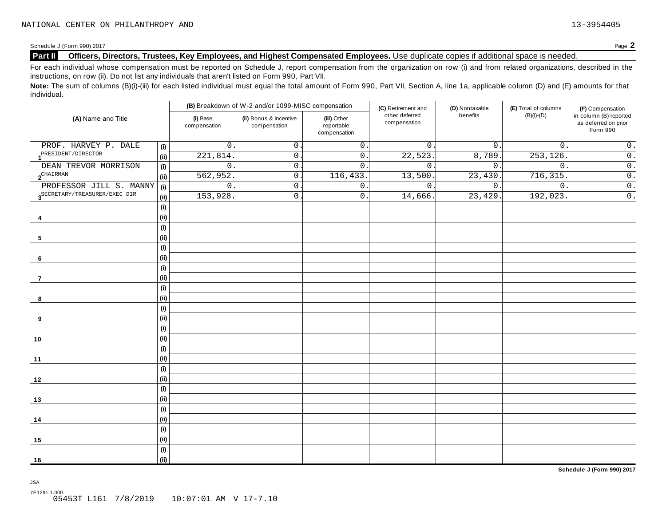#### Schedule J (Form 990) 2017<br>**Part II** Officers, Directors, Trustees, Key Employees, and Highest Compensated Employees. Use duplicate copies if additional space is needed. **Part II Officers, Directors, Trustees, Key Employees, and Highest Compensated Employees.** Use duplicate copies ifadditional space is needed.

For each individual whose compensation must be reported on Schedule J, report compensation from the organization on row (i) and from related organizations, described in the instructions, on row (ii). Do not list any individuals that aren't listed on Form 990, Part VII.

Note: The sum of columns (B)(i)-(iii) for each listed individual must equal the total amount of Form 990, Part VII, Section A, line 1a, applicable column (D) and (E) amounts for that individual.

| (A) Name and Title                        |      |                          | (B) Breakdown of W-2 and/or 1099-MISC compensation |                                           | (C) Retirement and             | (D) Nontaxable   | (E) Total of columns | (F) Compensation                                           |
|-------------------------------------------|------|--------------------------|----------------------------------------------------|-------------------------------------------|--------------------------------|------------------|----------------------|------------------------------------------------------------|
|                                           |      | (i) Base<br>compensation | (ii) Bonus & incentive<br>compensation             | (iii) Other<br>reportable<br>compensation | other deferred<br>compensation | benefits         | $(B)(i)-(D)$         | in column (B) reported<br>as deferred on prior<br>Form 990 |
| PROF. HARVEY P. DALE                      | (i)  | 0                        | 0.                                                 | $\overline{0}$ .                          | $\overline{0}$ .               | $\overline{0}$ . | $0$ .                | $0$ .                                                      |
| PRESIDENT/DIRECTOR                        | (ii) | 221,814                  | $\overline{0}$ .                                   | $\overline{0}$ .                          | 22,523                         | 8,789.           | 253, 126.            | $\overline{0}$ .                                           |
| DEAN TREVOR MORRISON                      | (i)  | $\mathsf{O}$             | $\overline{0}$ .                                   | $\mathsf D$ .                             | $\overline{0}$ .               | $\overline{0}$ . | $\mathbf 0$ .        | $\overline{0}$ .                                           |
| $\mathbf{2}^{\text{CHAIN}}$               | (ii) | 562,952                  | 0.                                                 | 116,433.                                  | 13,500                         | 23,430.          | 716, 315.            | $\overline{0}$ .                                           |
| PROFESSOR JILL S. MANNY                   | (i)  | $\mathsf{O}$             | $0\;.$                                             | $\mathbf 0$ .                             | 0.                             | $\overline{0}$ . | $0$ .                | $\overline{0}$ .                                           |
| 3 <sup>SECRETARY/TREASURER/EXEC</sup> DIR | (ii) | 153,928                  | $\overline{0}$ .                                   | $\mathsf{O}$ .                            | 14,666.                        | 23,429.          | 192,023.             | $\overline{0}$ .                                           |
|                                           | (i)  |                          |                                                    |                                           |                                |                  |                      |                                                            |
| 4                                         | (ii) |                          |                                                    |                                           |                                |                  |                      |                                                            |
|                                           | (i)  |                          |                                                    |                                           |                                |                  |                      |                                                            |
| 5                                         | (ii) |                          |                                                    |                                           |                                |                  |                      |                                                            |
|                                           | (i)  |                          |                                                    |                                           |                                |                  |                      |                                                            |
| 6                                         | (ii) |                          |                                                    |                                           |                                |                  |                      |                                                            |
|                                           | (i)  |                          |                                                    |                                           |                                |                  |                      |                                                            |
| 7                                         | (ii) |                          |                                                    |                                           |                                |                  |                      |                                                            |
|                                           | (i)  |                          |                                                    |                                           |                                |                  |                      |                                                            |
| 8                                         | (ii) |                          |                                                    |                                           |                                |                  |                      |                                                            |
|                                           | (i)  |                          |                                                    |                                           |                                |                  |                      |                                                            |
| 9                                         | (ii) |                          |                                                    |                                           |                                |                  |                      |                                                            |
|                                           | (i)  |                          |                                                    |                                           |                                |                  |                      |                                                            |
| 10                                        | (ii) |                          |                                                    |                                           |                                |                  |                      |                                                            |
|                                           | (i)  |                          |                                                    |                                           |                                |                  |                      |                                                            |
| 11                                        | (ii) |                          |                                                    |                                           |                                |                  |                      |                                                            |
|                                           | (i)  |                          |                                                    |                                           |                                |                  |                      |                                                            |
| 12                                        | (ii) |                          |                                                    |                                           |                                |                  |                      |                                                            |
|                                           | (i)  |                          |                                                    |                                           |                                |                  |                      |                                                            |
| 13                                        | (ii) |                          |                                                    |                                           |                                |                  |                      |                                                            |
|                                           | (i)  |                          |                                                    |                                           |                                |                  |                      |                                                            |
| 14                                        | (ii) |                          |                                                    |                                           |                                |                  |                      |                                                            |
|                                           | (i)  |                          |                                                    |                                           |                                |                  |                      |                                                            |
| 15                                        | (ii) |                          |                                                    |                                           |                                |                  |                      |                                                            |
|                                           | (i)  |                          |                                                    |                                           |                                |                  |                      |                                                            |
| 16                                        | (i)  |                          |                                                    |                                           |                                |                  |                      |                                                            |

**Schedule J (Form 990) 2017**

JSA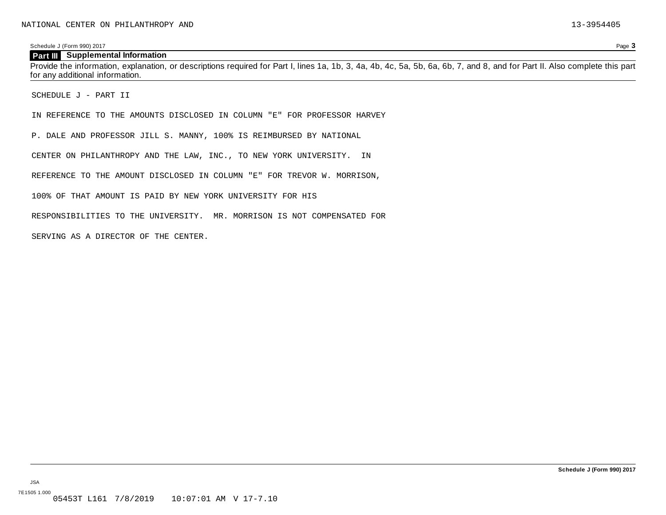#### **Part III Supplemental Information**

Provide the information, explanation, or descriptions required for Part I, lines 1a, 1b, 3, 4a, 4b, 4c, 5a, 5b, 6a, 6b, 7, and 8, and for Part II. Also complete this part for any additional information.

SCHEDULE J - PART II

IN REFERENCE TO THE AMOUNTS DISCLOSED IN COLUMN "E" FOR PROFESSOR HARVEY

P. DALE AND PROFESSOR JILL S. MANNY, 100% IS REIMBURSED BY NATIONAL

CENTER ON PHILANTHROPY AND THE LAW, INC., TO NEW YORK UNIVERSITY. IN

REFERENCE TO THE AMOUNT DISCLOSED IN COLUMN "E" FOR TREVOR W. MORRISON,

100% OF THAT AMOUNT IS PAID BY NEW YORK UNIVERSITY FOR HIS

RESPONSIBILITIES TO THE UNIVERSITY. MR. MORRISON IS NOT COMPENSATED FOR

SERVING AS A DIRECTOR OF THE CENTER.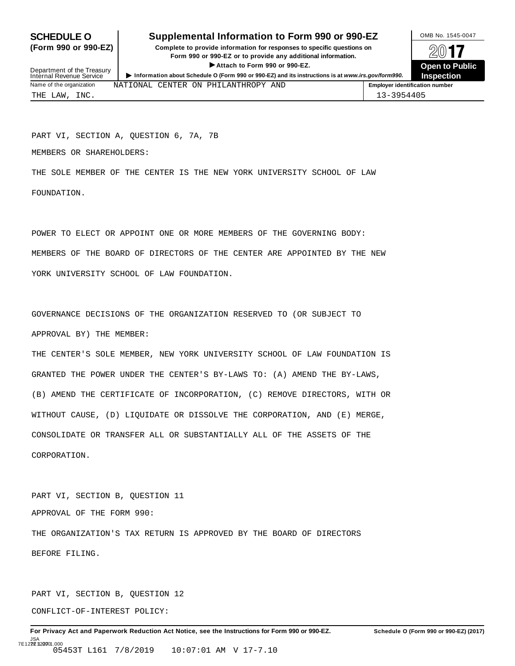### **SCHEDULE O** Supplemental Information to Form 990 or 990-EZ DOMB No. 1545-0047

**(Form 990 or 990-EZ) Complete to provide information for responses to specific questions on** plete to provide information for responses to specific questions on  $\Box$   $\Box$   $\Box$ **EXECTED TO PUBLIC 2012 CONSIDER**<br> **EXECTED CONSIDER**<br> **EXECUTED CONSIDERATION CONSIDERATION CONSIDERATION CONSIDERATION CONSIDERATION CONSIDERATION CONSIDERATION CONSIDERATION CONSIDERATION CONS** 



Department of the Treasury<br>Internal Revenue Service Department of the Treasury<br>
Information about Schedule 0 (Form 990 or 990-EZ) and its instructions is at www.irs.gov/form990.<br>
Name of the organization MATIONAL CENTER ON PHILANTHROPY AND FIME Replayer identification numbe NATIONAL CENTER ON PHILANTHROPY AND THE LAW, INC. 13-3954405

PART VI, SECTION A, QUESTION 6, 7A, 7B

MEMBERS OR SHAREHOLDERS:

THE SOLE MEMBER OF THE CENTER IS THE NEW YORK UNIVERSITY SCHOOL OF LAW FOUNDATION.

POWER TO ELECT OR APPOINT ONE OR MORE MEMBERS OF THE GOVERNING BODY: MEMBERS OF THE BOARD OF DIRECTORS OF THE CENTER ARE APPOINTED BY THE NEW YORK UNIVERSITY SCHOOL OF LAW FOUNDATION.

GOVERNANCE DECISIONS OF THE ORGANIZATION RESERVED TO (OR SUBJECT TO APPROVAL BY) THE MEMBER:

THE CENTER'S SOLE MEMBER, NEW YORK UNIVERSITY SCHOOL OF LAW FOUNDATION IS GRANTED THE POWER UNDER THE CENTER'S BY-LAWS TO: (A) AMEND THE BY-LAWS, (B) AMEND THE CERTIFICATE OF INCORPORATION, (C) REMOVE DIRECTORS, WITH OR WITHOUT CAUSE, (D) LIQUIDATE OR DISSOLVE THE CORPORATION, AND (E) MERGE, CONSOLIDATE OR TRANSFER ALL OR SUBSTANTIALLY ALL OF THE ASSETS OF THE CORPORATION.

PART VI, SECTION B, QUESTION 11 APPROVAL OF THE FORM 990: THE ORGANIZATION'S TAX RETURN IS APPROVED BY THE BOARD OF DIRECTORS BEFORE FILING.

PART VI, SECTION B, QUESTION 12 CONFLICT-OF-INTEREST POLICY: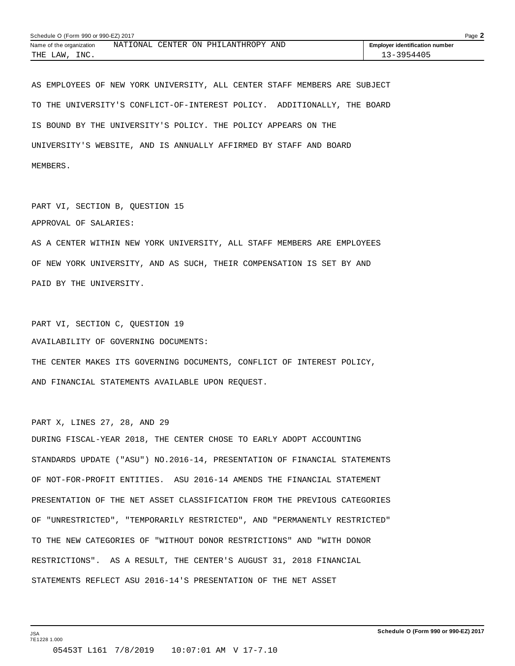| Schedule O (Form 990 or 990-EZ) 2017 |  |  |  |                                     |  |                                       | Page $\blacktriangle$ |
|--------------------------------------|--|--|--|-------------------------------------|--|---------------------------------------|-----------------------|
| Name of the organization             |  |  |  | NATIONAL CENTER ON PHILANTHROPY AND |  | <b>Employer identification number</b> |                       |
| INC.<br>THE LAW,                     |  |  |  |                                     |  | 13-3954405                            |                       |

AS EMPLOYEES OF NEW YORK UNIVERSITY, ALL CENTER STAFF MEMBERS ARE SUBJECT TO THE UNIVERSITY'S CONFLICT-OF-INTEREST POLICY. ADDITIONALLY, THE BOARD IS BOUND BY THE UNIVERSITY'S POLICY. THE POLICY APPEARS ON THE UNIVERSITY'S WEBSITE, AND IS ANNUALLY AFFIRMED BY STAFF AND BOARD MEMBERS.

PART VI, SECTION B, QUESTION 15 APPROVAL OF SALARIES: AS A CENTER WITHIN NEW YORK UNIVERSITY, ALL STAFF MEMBERS ARE EMPLOYEES OF NEW YORK UNIVERSITY, AND AS SUCH, THEIR COMPENSATION IS SET BY AND PAID BY THE UNIVERSITY.

PART VI, SECTION C, QUESTION 19 AVAILABILITY OF GOVERNING DOCUMENTS:

THE CENTER MAKES ITS GOVERNING DOCUMENTS, CONFLICT OF INTEREST POLICY, AND FINANCIAL STATEMENTS AVAILABLE UPON REQUEST.

PART X, LINES 27, 28, AND 29

DURING FISCAL-YEAR 2018, THE CENTER CHOSE TO EARLY ADOPT ACCOUNTING STANDARDS UPDATE ("ASU") NO.2016-14, PRESENTATION OF FINANCIAL STATEMENTS OF NOT-FOR-PROFIT ENTITIES. ASU 2016-14 AMENDS THE FINANCIAL STATEMENT PRESENTATION OF THE NET ASSET CLASSIFICATION FROM THE PREVIOUS CATEGORIES OF "UNRESTRICTED", "TEMPORARILY RESTRICTED", AND "PERMANENTLY RESTRICTED" TO THE NEW CATEGORIES OF "WITHOUT DONOR RESTRICTIONS" AND "WITH DONOR RESTRICTIONS". AS A RESULT, THE CENTER'S AUGUST 31, 2018 FINANCIAL STATEMENTS REFLECT ASU 2016-14'S PRESENTATION OF THE NET ASSET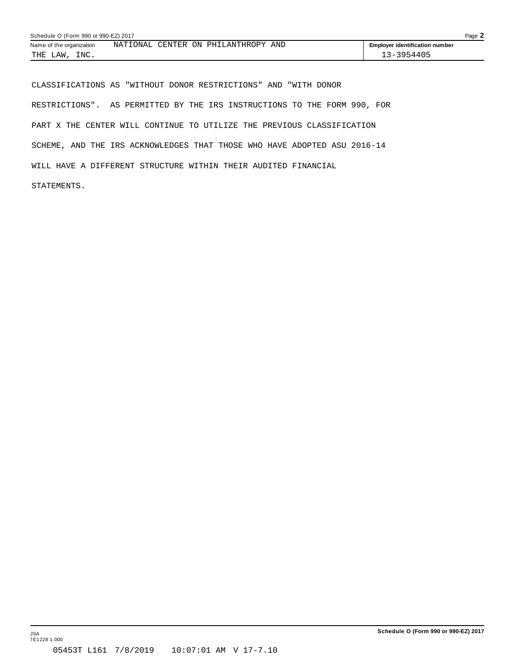| Schedule O (Form 990 or 990-EZ) 2017 |  |  |  |                                     |  |  | Page $\mathbf{\dot{z}}$               |  |
|--------------------------------------|--|--|--|-------------------------------------|--|--|---------------------------------------|--|
| Name of the organization             |  |  |  | NATIONAL CENTER ON PHILANTHROPY AND |  |  | <b>Employer identification number</b> |  |
| THE LAW<br>INC.                      |  |  |  |                                     |  |  | 13-3954405                            |  |

CLASSIFICATIONS AS "WITHOUT DONOR RESTRICTIONS" AND "WITH DONOR RESTRICTIONS". AS PERMITTED BY THE IRS INSTRUCTIONS TO THE FORM 990, FOR PART X THE CENTER WILL CONTINUE TO UTILIZE THE PREVIOUS CLASSIFICATION SCHEME, AND THE IRS ACKNOWLEDGES THAT THOSE WHO HAVE ADOPTED ASU 2016-14 WILL HAVE A DIFFERENT STRUCTURE WITHIN THEIR AUDITED FINANCIAL

STATEMENTS.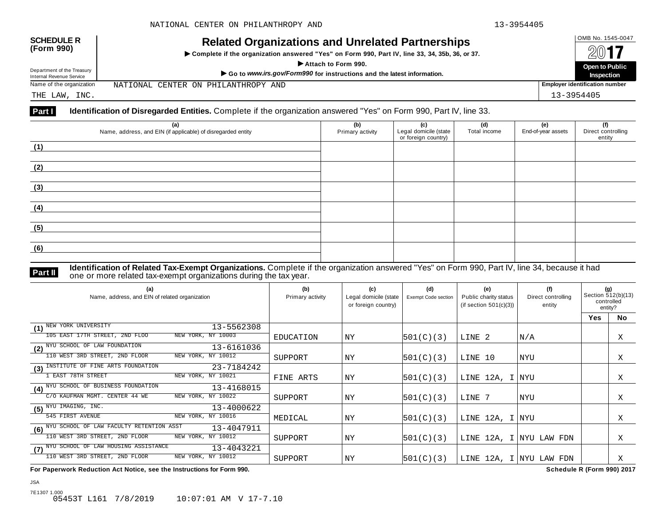| <b>SCHEDULE R</b> |  |
|-------------------|--|
| (Form 990)        |  |

## OMB No. 1545-0047 **SCHEDULE R (Form 990) Related Organizations and Unrelated Partnerships**

 $\triangleright$  Complete if the organization answered "Yes" on Form 990, Part IV, line 33, 34, 35b, 36, or 37.



Department of the Treasury

Department of the Treasury Departo Public<br>Internal Revenue Service Marchine Marchine (Service Marchine Marchine Marchine Marchine Marchine Marchine Marc<br>Name of the organization NATIONAL CENTER ON PHILANTHROPY AND | Employ

NATIONAL CENTER ON PHILANTHROPY AND

THE LAW, INC. 13-3954405

#### **Part I Identification of Disregarded Entities.** Complete if the organization answered "Yes" on Form 990, Part IV, line 33.

| (a)<br>Name, address, and EIN (if applicable) of disregarded entity | (b)<br>Primary activity | (c)<br>Legal domicile (state<br>or foreign country) | (d)<br>Total income | (e)<br>End-of-year assets | (f)<br>Direct controlling<br>entity |
|---------------------------------------------------------------------|-------------------------|-----------------------------------------------------|---------------------|---------------------------|-------------------------------------|
| (1)                                                                 |                         |                                                     |                     |                           |                                     |
| (2)                                                                 |                         |                                                     |                     |                           |                                     |
| (3)                                                                 |                         |                                                     |                     |                           |                                     |
| (4)                                                                 |                         |                                                     |                     |                           |                                     |
| (5)                                                                 |                         |                                                     |                     |                           |                                     |
| (6)                                                                 |                         |                                                     |                     |                           |                                     |

**Identification of Related Tax-Exempt Organizations.** Complete if the organization answered "Yes" on Form 990, Part IV, line 34, because it had **Part II** one or more related tax-exempt organizations during the tax year.

| (a)<br>Name, address, and EIN of related organization      | (b)<br>Primary activity | (c)<br>Legal domicile (state<br>or foreign country) | (d)<br>Exempt Code section | (e)<br>Public charity status<br>(if section $501(c)(3)$ ) | (f)<br>Direct controlling<br>entity | (g)<br>Section 512(b)(13)<br>controlled<br>entity? |    |
|------------------------------------------------------------|-------------------------|-----------------------------------------------------|----------------------------|-----------------------------------------------------------|-------------------------------------|----------------------------------------------------|----|
|                                                            |                         |                                                     |                            |                                                           |                                     | Yes                                                | No |
| NEW YORK UNIVERSITY<br>13-5562308<br>(1)                   |                         |                                                     |                            |                                                           |                                     |                                                    |    |
| 105 EAST 17TH STREET, 2ND FLOO<br>NEW YORK, NY 10003       | EDUCATION               | ΝY                                                  | 501(C)(3)                  | LINE <sub>2</sub>                                         | N/A                                 |                                                    | Χ  |
| (2) <sup>NYU</sup> SCHOOL OF LAW FOUNDATION<br>13-6161036  |                         |                                                     |                            |                                                           |                                     |                                                    |    |
| NEW YORK, NY 10012<br>110 WEST 3RD STREET, 2ND FLOOR       | SUPPORT                 | ΝY                                                  | 501(C)(3)                  | LINE 10                                                   | NYU                                 |                                                    | Χ  |
| INSTITUTE OF FINE ARTS FOUNDATION<br>23-7184242<br>(3)     |                         |                                                     |                            |                                                           |                                     |                                                    |    |
| <b>EAST 78TH STREET</b><br>NEW YORK, NY 10021              | FINE ARTS               | NY                                                  | 501(C)(3)                  | LINE 12A, I NYU                                           |                                     |                                                    | X  |
| (4) NYU SCHOOL OF BUSINESS FOUNDATION<br>13-4168015        |                         |                                                     |                            |                                                           |                                     |                                                    |    |
| NEW YORK, NY 10022<br>C/O KAUFMAN MGMT. CENTER 44 WE       | SUPPORT                 | ΝY                                                  | 501(C)(3)                  | LINE 7                                                    | NYU                                 |                                                    | Χ  |
| $(5)$ $NYU$ IMAGING, INC.<br>13-4000622                    |                         |                                                     |                            |                                                           |                                     |                                                    |    |
| 545 FIRST AVENUE<br>NEW YORK, NY 10016                     | MEDICAL                 | ΝY                                                  | 501(C)(3)                  | LINE 12A, I NYU                                           |                                     |                                                    | Χ  |
| (6) NYU SCHOOL OF LAW FACULTY RETENTION ASST<br>13-4047911 |                         |                                                     |                            |                                                           |                                     |                                                    |    |
| 110 WEST 3RD STREET, 2ND FLOOR<br>NEW YORK, NY 10012       | SUPPORT                 | ΝY                                                  | 501(C)(3)                  | LINE 12A, I NYU LAW FDN                                   |                                     |                                                    | Χ  |
| (7) NYU SCHOOL OF LAW HOUSING ASSISTANCE<br>13-4043221     |                         |                                                     |                            |                                                           |                                     |                                                    |    |
| 110 WEST 3RD STREET, 2ND FLOOR<br>NEW YORK, NY 10012       | SUPPORT                 | ΝY                                                  | 501(C)(3)                  | LINE 12A, I NYU LAW FDN                                   |                                     |                                                    | Χ  |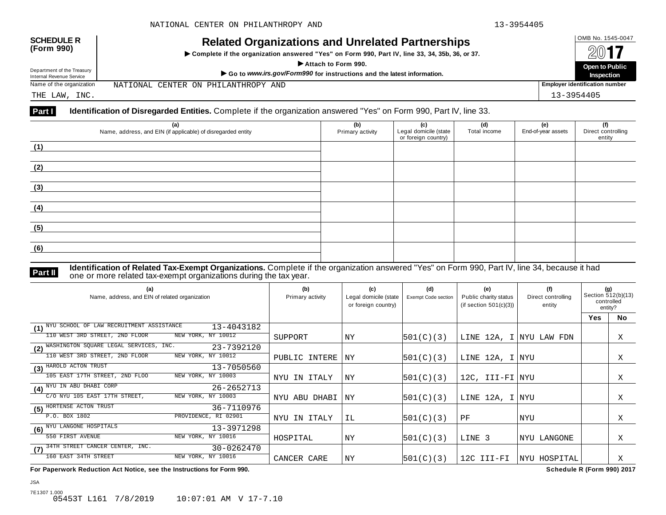| <b>SCHEDULE R</b> |  |
|-------------------|--|
| (Form 990)        |  |

## OMB No. 1545-0047 **SCHEDULE R (Form 990) Related Organizations and Unrelated Partnerships**

 $\triangleright$  Complete if the organization answered "Yes" on Form 990, Part IV, line 33, 34, 35b, 36, or 37.



Department of the Treasury

NATIONAL CENTER ON PHILANTHROPY AND

THE LAW, INC. 13-3954405

#### **Part I Identification of Disregarded Entities.** Complete if the organization answered "Yes" on Form 990, Part IV, line 33.

| (a)<br>Name, address, and EIN (if applicable) of disregarded entity | (b)<br>Primary activity | (c)<br>Legal domicile (state<br>or foreign country) | (d)<br>Total income | (e)<br>End-of-year assets | (f)<br>Direct controlling<br>entity |
|---------------------------------------------------------------------|-------------------------|-----------------------------------------------------|---------------------|---------------------------|-------------------------------------|
| (1)                                                                 |                         |                                                     |                     |                           |                                     |
| (2)                                                                 |                         |                                                     |                     |                           |                                     |
| (3)                                                                 |                         |                                                     |                     |                           |                                     |
| (4)                                                                 |                         |                                                     |                     |                           |                                     |
| (5)                                                                 |                         |                                                     |                     |                           |                                     |
| (6)                                                                 |                         |                                                     |                     |                           |                                     |

**Identification of Related Tax-Exempt Organizations.** Complete if the organization answered "Yes" on Form 990, Part IV, line 34, because it had **Part II** one or more related tax-exempt organizations during the tax year.

| (a)<br>Name, address, and EIN of related organization       | (b)<br>Primary activity | (c)<br>Legal domicile (state<br>or foreign country) | (d)<br>Exempt Code section | (e)<br>Public charity status<br>(if section $501(c)(3)$ ) | (f)<br>Direct controlling<br>entity | (g)<br>Section 512(b)(13)<br>controlled<br>entity? |           |
|-------------------------------------------------------------|-------------------------|-----------------------------------------------------|----------------------------|-----------------------------------------------------------|-------------------------------------|----------------------------------------------------|-----------|
|                                                             |                         |                                                     |                            |                                                           |                                     | <b>Yes</b>                                         | <b>No</b> |
| (1) NYU SCHOOL OF LAW RECRUITMENT ASSISTANCE<br>13-4043182  |                         |                                                     |                            |                                                           |                                     |                                                    |           |
| 110 WEST 3RD STREET, 2ND FLOOR<br>NEW YORK, NY 10012        | SUPPORT                 | NY                                                  | 501(C)(3)                  | LINE 12A, I NYU LAW FDN                                   |                                     |                                                    | Χ         |
| WASHINGTON SOUARE LEGAL SERVICES, INC.<br>23-7392120<br>(2) |                         |                                                     |                            |                                                           |                                     |                                                    |           |
| NEW YORK, NY 10012<br>110 WEST 3RD STREET, 2ND FLOOR        | PUBLIC INTERE           | ΝY                                                  | 501(C)(3)                  | LINE 12A, I NYU                                           |                                     |                                                    | Χ         |
| (3) HAROLD ACTON TRUST<br>13-7050560                        |                         |                                                     |                            |                                                           |                                     |                                                    |           |
| NEW YORK, NY 10003<br>105 EAST 17TH STREET, 2ND FLOO        | NYU IN ITALY            | ΝY                                                  | 501(C)(3)                  | 12C, III-FI NYU                                           |                                     |                                                    | X         |
| (4) NYU IN ABU DHABI CORP<br>26-2652713                     |                         |                                                     |                            |                                                           |                                     |                                                    |           |
| C/O NYU 105 EAST 17TH STREET,<br>NEW YORK, NY 10003         | NYU ABU DHABI           | ΝY                                                  | 501(C)(3)                  | LINE 12A, I NYU                                           |                                     |                                                    | Χ         |
| HORTENSE ACTON TRUST<br>36-7110976<br>(5)                   |                         |                                                     |                            |                                                           |                                     |                                                    |           |
| P.O. BOX 1802<br>PROVIDENCE, RI 02901                       | NYU IN ITALY            | IL                                                  | 501(C)(3)                  | PF                                                        | NYU                                 |                                                    | X         |
| (6) <sup>NYU</sup> LANGONE HOSPITALS<br>13-3971298          |                         |                                                     |                            |                                                           |                                     |                                                    |           |
| 550 FIRST AVENUE<br>NEW YORK, NY 10016                      | HOSPITAL                | ΝY                                                  | 501(C)(3)                  | LINE 3                                                    | NYU LANGONE                         |                                                    | Χ         |
| 34TH STREET CANCER CENTER, INC.<br>30-0262470<br>(7)        |                         |                                                     |                            |                                                           |                                     |                                                    |           |
| 160 EAST 34TH STREET<br>NEW YORK, NY 10016                  | CANCER CARE             | ΝY                                                  | 501(C)(3)                  | 12C III-FI                                                | NYU HOSPITAL                        |                                                    | Χ         |

**For Paperwork Reduction Act Notice, see the Instructions for Form 990. Schedule R (Form 990) 2017**

JSA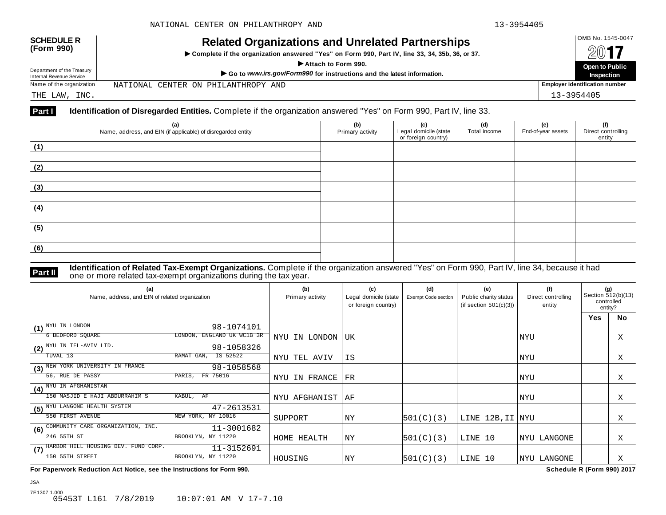NATIONAL CENTER ON PHILANTHROPY AND

| <b>SCHEDULE R</b> |  |
|-------------------|--|
| (Form 990)        |  |

## OMB No. 1545-0047 **SCHEDULE R (Form 990) Related Organizations and Unrelated Partnerships**

 $\triangleright$  Complete if the organization answered "Yes" on Form 990, Part IV, line 33, 34, 35b, 36, or 37.



THE LAW, INC. 13-3954405

Department of the Treasury

#### **Part I Identification of Disregarded Entities.** Complete if the organization answered "Yes" on Form 990, Part IV, line 33.

| (a)<br>Name, address, and EIN (if applicable) of disregarded entity | (b)<br>Primary activity | (c)<br>Legal domicile (state<br>or foreign country) | (d)<br>Total income | (e)<br>End-of-year assets | (f)<br>Direct controlling<br>entity |
|---------------------------------------------------------------------|-------------------------|-----------------------------------------------------|---------------------|---------------------------|-------------------------------------|
| (1)                                                                 |                         |                                                     |                     |                           |                                     |
| (2)                                                                 |                         |                                                     |                     |                           |                                     |
| (3)                                                                 |                         |                                                     |                     |                           |                                     |
| (4)                                                                 |                         |                                                     |                     |                           |                                     |
| (5)                                                                 |                         |                                                     |                     |                           |                                     |
| (6)                                                                 |                         |                                                     |                     |                           |                                     |

**Identification of Related Tax-Exempt Organizations.** Complete if the organization answered "Yes" on Form 990, Part IV, line 34, because it had **Part II** one or more related tax-exempt organizations during the tax year.

| (a)<br>Name, address, and EIN of related organization |                            | (b)<br>Primary activity | (c)<br>Legal domicile (state<br>or foreign country) | (d)<br>Exempt Code section | (e)<br>Public charity status<br>(if section $501(c)(3)$ ) | (f)<br>Direct controlling<br>entity | (g)<br>Section 512(b)(13)<br>controlled<br>entity? |           |
|-------------------------------------------------------|----------------------------|-------------------------|-----------------------------------------------------|----------------------------|-----------------------------------------------------------|-------------------------------------|----------------------------------------------------|-----------|
|                                                       |                            |                         |                                                     |                            |                                                           |                                     | Yes                                                | <b>No</b> |
| NYU IN LONDON<br>(1)                                  | 98-1074101                 |                         |                                                     |                            |                                                           |                                     |                                                    |           |
| 6 BEDFORD SQUARE                                      | LONDON, ENGLAND UK WC1B 3R | NYU IN LONDON           | UK                                                  |                            |                                                           | NYU                                 |                                                    | Χ         |
| NYU IN TEL-AVIV LTD.<br>(2)                           | 98-1058326                 |                         |                                                     |                            |                                                           |                                     |                                                    |           |
| TUVAL 13                                              | RAMAT GAN,<br>IS 52522     | NYU TEL AVIV            | ΙS                                                  |                            |                                                           | NYU                                 |                                                    | Χ         |
| NEW YORK UNIVERSITY IN FRANCE<br>(3)                  | 98-1058568                 |                         |                                                     |                            |                                                           |                                     |                                                    |           |
| 56, RUE DE PASSY                                      | FR 75016<br>PARIS,         | NYU IN FRANCE           | FR                                                  |                            |                                                           | NYU                                 |                                                    | Χ         |
| (4) NYU IN AFGHANISTAN                                |                            |                         |                                                     |                            |                                                           |                                     |                                                    |           |
| 150 MASJID E HAJI ABDURRAHIM S                        | KABUL, AF                  | NYU AFGHANIST           | ΑF                                                  |                            |                                                           | NYU                                 |                                                    | Χ         |
| NYU LANGONE HEALTH SYSTEM<br>(5)                      | 47-2613531                 |                         |                                                     |                            |                                                           |                                     |                                                    |           |
| 550 FIRST AVENUE                                      | NEW YORK, NY 10016         | SUPPORT                 | ΝY                                                  | 501(C)(3)                  | LINE 12B, II NYU                                          |                                     |                                                    | Χ         |
| COMMUNITY CARE ORGANIZATION, INC.<br>(6)              | 11-3001682                 |                         |                                                     |                            |                                                           |                                     |                                                    |           |
| 246 55TH ST                                           | BROOKLYN, NY 11220         | HOME HEALTH             | ΝY                                                  | 501(C)(3)                  | LINE 10                                                   | <b>INYU LANGONE</b>                 |                                                    | Χ         |
| HARBOR HILL HOUSING DEV. FUND CORP.<br>(7)            | 11-3152691                 |                         |                                                     |                            |                                                           |                                     |                                                    |           |
| 150 55TH STREET                                       | BROOKLYN, NY 11220         | HOUSING                 | ΝY                                                  | 501(C)(3)                  | LINE 10                                                   | NYU LANGONE                         |                                                    | Χ         |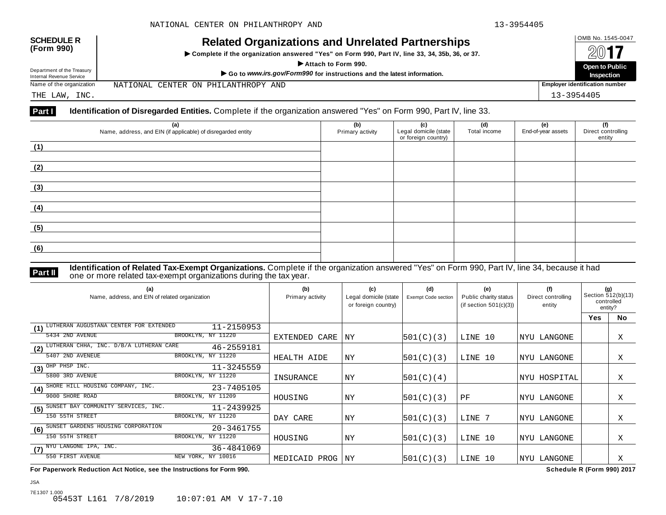NATIONAL CENTER ON PHILANTHROPY AND

| <b>SCHEDULE R</b> |  |
|-------------------|--|
| (Form 990)        |  |

## OMB No. 1545-0047 **SCHEDULE R (Form 990) Related Organizations and Unrelated Partnerships**

 $\triangleright$  Complete if the organization answered "Yes" on Form 990, Part IV, line 33, 34, 35b, 36, or 37.



THE LAW, INC. 13-3954405

Department of the Treasury

#### **Part I Identification of Disregarded Entities.** Complete if the organization answered "Yes" on Form 990, Part IV, line 33.

| (a)<br>Name, address, and EIN (if applicable) of disregarded entity | (b)<br>Primary activity | (c)<br>Legal domicile (state<br>or foreign country) | (d)<br>Total income | (e)<br>End-of-year assets | (f)<br>Direct controlling<br>entity |
|---------------------------------------------------------------------|-------------------------|-----------------------------------------------------|---------------------|---------------------------|-------------------------------------|
| (1)                                                                 |                         |                                                     |                     |                           |                                     |
| (2)                                                                 |                         |                                                     |                     |                           |                                     |
| (3)                                                                 |                         |                                                     |                     |                           |                                     |
| (4)                                                                 |                         |                                                     |                     |                           |                                     |
| (5)                                                                 |                         |                                                     |                     |                           |                                     |
| (6)                                                                 |                         |                                                     |                     |                           |                                     |

**Identification of Related Tax-Exempt Organizations.** Complete if the organization answered "Yes" on Form 990, Part IV, line 34, because it had **Part II** one or more related tax-exempt organizations during the tax year.

| (a)<br>Name, address, and EIN of related organization           | (b)<br>Primary activity | (c)<br>Legal domicile (state<br>or foreign country) | (d)<br><b>Exempt Code section</b> | (e)<br>Public charity status<br>(if section $501(c)(3)$ ) | (f)<br>Direct controlling<br>entity | (g)<br>Section 512(b)(13)<br>controlled<br>entity? |           |
|-----------------------------------------------------------------|-------------------------|-----------------------------------------------------|-----------------------------------|-----------------------------------------------------------|-------------------------------------|----------------------------------------------------|-----------|
|                                                                 |                         |                                                     |                                   |                                                           |                                     | <b>Yes</b>                                         | <b>No</b> |
| LUTHERAN AUGUSTANA CENTER FOR EXTENDED<br>$11 - 2150953$<br>(1) |                         |                                                     |                                   |                                                           |                                     |                                                    |           |
| 5434 2ND AVENUE<br>BROOKLYN, NY 11220                           | EXTENDED CARE           | ΝY                                                  | 501(C)(3)                         | LINE 10                                                   | LANGONE<br>  NYU                    |                                                    | Χ         |
| LUTHERAN CHHA, INC. D/B/A LUTHERAN CARE<br>46-2559181<br>(2)    |                         |                                                     |                                   |                                                           |                                     |                                                    |           |
| 5407 2ND AVENEUE<br>BROOKLYN, NY 11220                          | HEALTH AIDE             | ΝY                                                  | 501(C)(3)                         | LINE 10                                                   | LANGONE<br>NYU                      |                                                    | X         |
| OHP PHSP INC.<br>$11 - 3245559$<br>(3)                          |                         |                                                     |                                   |                                                           |                                     |                                                    |           |
| 5800 3RD AVENUE<br>BROOKLYN, NY 11220                           | INSURANCE               | ΝY                                                  | 501(C)(4)                         |                                                           | NYU HOSPITAL                        |                                                    | Χ         |
| SHORE HILL HOUSING COMPANY, INC.<br>23-7405105<br>(4)           |                         |                                                     |                                   |                                                           |                                     |                                                    |           |
| 9000 SHORE ROAD<br>BROOKLYN, NY 11209                           | HOUSING                 | NY                                                  | 501(C)(3)                         | PF                                                        | NYU LANGONE                         |                                                    | Χ         |
| SUNSET BAY COMMUNITY SERVICES, INC.<br>11-2439925<br>(5)        |                         |                                                     |                                   |                                                           |                                     |                                                    |           |
| 150 55TH STREET<br>BROOKLYN, NY 11220                           | DAY CARE                | ΝY                                                  | 501(C)(3)                         | LINE 7                                                    | NYU LANGONE                         |                                                    | Χ         |
| SUNSET GARDENS HOUSING CORPORATION<br>20-3461755<br>(6)         |                         |                                                     |                                   |                                                           |                                     |                                                    |           |
| 150 55TH STREET<br>BROOKLYN, NY 11220                           | HOUSING                 | ΝY                                                  | 501(C)(3)                         | LINE 10                                                   | NYU LANGONE                         |                                                    | X         |
| $(7)$ $\overline{\text{NYU}}$ LANGONE IPA, INC.<br>36-4841069   |                         |                                                     |                                   |                                                           |                                     |                                                    |           |
| NEW YORK, NY 10016<br>550 FIRST AVENUE                          | MEDICAID PROG           | ΝY                                                  | 501(C)(3)                         | LINE 10                                                   | LANGONE<br> NYU                     |                                                    | Χ         |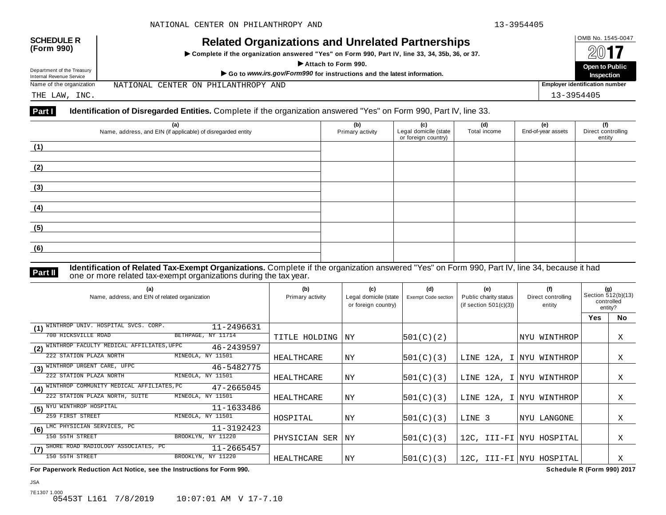| <b>SCHEDULE R</b> |  |
|-------------------|--|
| (Form 990)        |  |

## OMB No. 1545-0047 **SCHEDULE R (Form 990) Related Organizations and Unrelated Partnerships**

 $\triangleright$  Complete if the organization answered "Yes" on Form 990, Part IV, line 33, 34, 35b, 36, or 37.



Department of the Treasury

NATIONAL CENTER ON PHILANTHROPY AND

THE LAW, INC. 13-3954405

#### **Part I Identification of Disregarded Entities.** Complete if the organization answered "Yes" on Form 990, Part IV, line 33.

| (a)<br>Name, address, and EIN (if applicable) of disregarded entity | (b)<br>Primary activity | (c)<br>Legal domicile (state<br>or foreign country) | (d)<br>Total income | (e)<br>End-of-year assets | (f)<br>Direct controlling<br>entity |
|---------------------------------------------------------------------|-------------------------|-----------------------------------------------------|---------------------|---------------------------|-------------------------------------|
| (1)                                                                 |                         |                                                     |                     |                           |                                     |
| (2)                                                                 |                         |                                                     |                     |                           |                                     |
| (3)                                                                 |                         |                                                     |                     |                           |                                     |
| (4)                                                                 |                         |                                                     |                     |                           |                                     |
| (5)                                                                 |                         |                                                     |                     |                           |                                     |
| (6)                                                                 |                         |                                                     |                     |                           |                                     |

**Identification of Related Tax-Exempt Organizations.** Complete if the organization answered "Yes" on Form 990, Part IV, line 34, because it had **Part II** one or more related tax-exempt organizations during the tax year.

| (a)<br>Name, address, and EIN of related organization             | (b)<br>Primary activity | (c)<br>Legal domicile (state<br>or foreign country) | (d)<br>Exempt Code section | (e)<br>Public charity status<br>(if section $501(c)(3)$ ) | (f)<br>Direct controlling<br>entity | (g)<br>Section 512(b)(13)<br>controlled<br>entity? |           |
|-------------------------------------------------------------------|-------------------------|-----------------------------------------------------|----------------------------|-----------------------------------------------------------|-------------------------------------|----------------------------------------------------|-----------|
|                                                                   |                         |                                                     |                            |                                                           |                                     | <b>Yes</b>                                         | <b>No</b> |
| WINTHROP UNIV. HOSPITAL SVCS. CORP.<br>11-2496631<br>(1)          |                         |                                                     |                            |                                                           |                                     |                                                    |           |
| 700 HICKSVILLE ROAD<br>BETHPAGE, NY 11714                         | TITLE HOLDING           | ΝY                                                  | 501(C)(2)                  |                                                           | WINTHROP<br>  NYU                   |                                                    | Χ         |
| AFFILIATES, UFPC<br>WINTHROP FACULTY MEDICAL<br>46-2439597<br>(2) |                         |                                                     |                            |                                                           |                                     |                                                    |           |
| MINEOLA, NY 11501<br>222 STATION PLAZA NORTH                      | HEALTHCARE              | ΝY                                                  | 501(C)(3)                  |                                                           | LINE 12A, I NYU WINTHROP            |                                                    | Χ         |
| WINTHROP URGENT CARE, UFPC<br>46-5482775<br>(3)                   |                         |                                                     |                            |                                                           |                                     |                                                    |           |
| MINEOLA, NY 11501<br>222 STATION PLAZA NORTH                      | HEALTHCARE              | NY                                                  | 501(C)(3)                  |                                                           | LINE 12A, I NYU WINTHROP            |                                                    | X         |
| (4) WINTHROP COMMUNITY MEDICAL AFFILIATES, PC<br>47-2665045       |                         |                                                     |                            |                                                           |                                     |                                                    |           |
| MINEOLA, NY 11501<br>222 STATION PLAZA NORTH, SUITE               | HEALTHCARE              | NY                                                  | 501(C)(3)                  |                                                           | LINE 12A, I NYU WINTHROP            |                                                    | Χ         |
| (5) NYU WINTHROP HOSPITAL<br>11-1633486                           |                         |                                                     |                            |                                                           |                                     |                                                    |           |
| 259 FIRST STREET<br>MINEOLA, NY 11501                             | HOSPITAL                | NY                                                  | 501(C)(3)                  | LINE 3                                                    | NYU LANGONE                         |                                                    | Χ         |
| LMC PHYSICIAN SERVICES, PC<br>11-3192423<br>(6)                   |                         |                                                     |                            |                                                           |                                     |                                                    |           |
| 150 55TH STREET<br>BROOKLYN, NY 11220                             | PHYSICIAN SER           | NY                                                  | 501(C)(3)                  |                                                           | 12C, III-FI NYU HOSPITAL            |                                                    | Χ         |
| SHORE ROAD RADIOLOGY ASSOCIATES, PC<br>11-2665457<br>(7)          |                         |                                                     |                            |                                                           |                                     |                                                    |           |
| 150 55TH STREET<br>BROOKLYN, NY 11220                             | HEALTHCARE              | ΝY                                                  | 501(C)(3)                  |                                                           | 12C, III-FI NYU HOSPITAL            |                                                    | Χ         |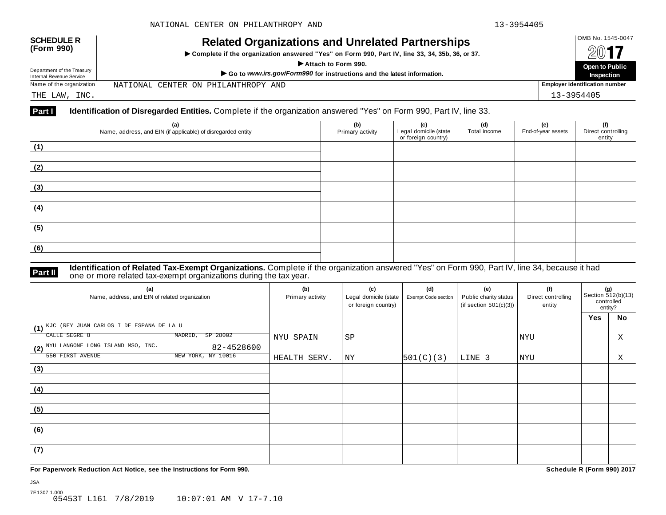NATIONAL CENTER ON PHILANTHROPY AND

| <b>SCHEDULE R</b> |  |
|-------------------|--|
| (Form 990)        |  |

## OMB No. 1545-0047 **SCHEDULE R (Form 990) Related Organizations and Unrelated Partnerships**

 $\triangleright$  Complete if the organization answered "Yes" on Form 990, Part IV, line 33, 34, 35b, 36, or 37.



THE LAW, INC. 13-3954405

Department of the Treasury

#### **Part I Identification of Disregarded Entities.** Complete if the organization answered "Yes" on Form 990, Part IV, line 33.

| (a)<br>Name, address, and EIN (if applicable) of disregarded entity | (b)<br>Primary activity | (c)<br>Legal domicile (state<br>or foreign country) | (d)<br>Total income | (e)<br>End-of-year assets | (f)<br>Direct controlling<br>entity |
|---------------------------------------------------------------------|-------------------------|-----------------------------------------------------|---------------------|---------------------------|-------------------------------------|
| (1)                                                                 |                         |                                                     |                     |                           |                                     |
| (2)                                                                 |                         |                                                     |                     |                           |                                     |
| (3)                                                                 |                         |                                                     |                     |                           |                                     |
| (4)                                                                 |                         |                                                     |                     |                           |                                     |
| (5)                                                                 |                         |                                                     |                     |                           |                                     |
| (6)                                                                 |                         |                                                     |                     |                           |                                     |

#### **Identification of Related Tax-Exempt Organizations.** Complete if the organization answered "Yes" on Form 990, Part IV, line 34, because it had **Part II** one or more related tax-exempt organizations during the tax year.

| (a)<br>Name, address, and EIN of related organization | (b)<br>Primary activity | (c)<br>Legal domicile (state<br>or foreign country) | (d)<br>Exempt Code section | (e)<br>Public charity status<br>(if section $501(c)(3)$ ) | (f)<br>Direct controlling<br>entity | (g)<br>Section 512(b)(13)<br>controlled<br>entity? |    |
|-------------------------------------------------------|-------------------------|-----------------------------------------------------|----------------------------|-----------------------------------------------------------|-------------------------------------|----------------------------------------------------|----|
|                                                       |                         |                                                     |                            |                                                           |                                     | Yes                                                | No |
| (1) KJC (REY JUAN CARLOS I DE ESPANA DE LA U          |                         |                                                     |                            |                                                           |                                     |                                                    |    |
| CALLE SEGRE 8<br>SP 28002<br>MADRID,                  | NYU SPAIN               | SP                                                  |                            |                                                           | <b>NYU</b>                          |                                                    | Χ  |
| (2) NYU LANGONE LONG ISLAND MSO, INC.<br>82-4528600   |                         |                                                     |                            |                                                           |                                     |                                                    |    |
| NEW YORK, NY 10016<br>550 FIRST AVENUE                | HEALTH SERV.            | ΝY                                                  | 501(C)(3)                  | LINE 3                                                    | <b>NYU</b>                          |                                                    | X  |
| (3)                                                   |                         |                                                     |                            |                                                           |                                     |                                                    |    |
|                                                       |                         |                                                     |                            |                                                           |                                     |                                                    |    |
| (4)                                                   |                         |                                                     |                            |                                                           |                                     |                                                    |    |
|                                                       |                         |                                                     |                            |                                                           |                                     |                                                    |    |
| (5)                                                   |                         |                                                     |                            |                                                           |                                     |                                                    |    |
|                                                       |                         |                                                     |                            |                                                           |                                     |                                                    |    |
| (6)                                                   |                         |                                                     |                            |                                                           |                                     |                                                    |    |
|                                                       |                         |                                                     |                            |                                                           |                                     |                                                    |    |
| (7)                                                   |                         |                                                     |                            |                                                           |                                     |                                                    |    |
|                                                       |                         |                                                     |                            |                                                           |                                     |                                                    |    |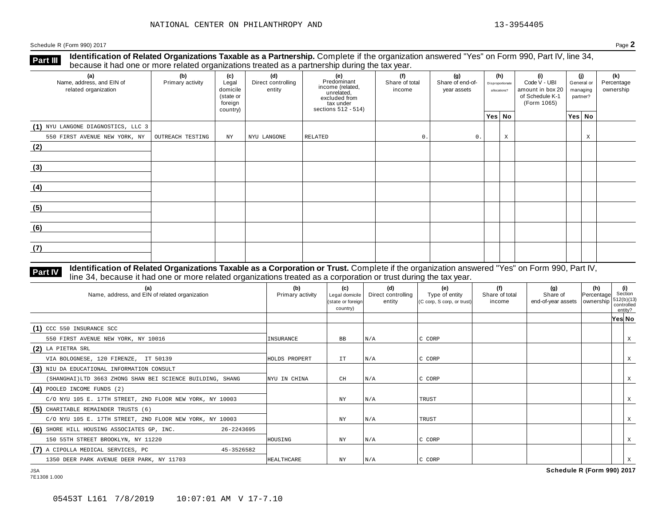**Identification of Related Organizations Taxable as a Partnership.** Complete if the organization answered "Yes" on Form 990, Part IV, line 34, **because it had one or more related organizations Taxable as a Partnership.** Complete if the organization of Related organizations treated as a partnership during the tax year.

| (a)<br>Name, address, and EIN of<br>related organization | (b)<br>Primary activity | (c)<br>Legal<br>domicile<br>(state or<br>foreign<br>country) | (d)<br>Direct controlling<br>entity | (e)<br>Predominant<br>income (related,<br>unrelated,<br>excluded from<br>tax under<br>sections 512 - 514) | (f)<br>Share of total<br>income | (g)<br>Share of end-of-<br>year assets |        | (h)<br>Disproportionate<br>allocations? | (i)<br>Code V - UBI<br>amount in box 20<br>of Schedule K-1<br>(Form 1065) |  | (i)<br>General or<br>managing<br>partner? | (k)<br>Percentage<br>ownership |
|----------------------------------------------------------|-------------------------|--------------------------------------------------------------|-------------------------------------|-----------------------------------------------------------------------------------------------------------|---------------------------------|----------------------------------------|--------|-----------------------------------------|---------------------------------------------------------------------------|--|-------------------------------------------|--------------------------------|
|                                                          |                         |                                                              |                                     |                                                                                                           |                                 |                                        | Yes No |                                         |                                                                           |  | Yes No                                    |                                |
| (1) NYU LANGONE DIAGNOSTICS, LLC 3                       |                         |                                                              |                                     |                                                                                                           |                                 |                                        |        |                                         |                                                                           |  |                                           |                                |
| 550 FIRST AVENUE NEW YORK, NY                            | OUTREACH TESTING        | NY                                                           | NYU LANGONE                         | RELATED                                                                                                   | 0.                              | $\mathbb O$ .                          |        | X                                       |                                                                           |  | X                                         |                                |
| (2)                                                      |                         |                                                              |                                     |                                                                                                           |                                 |                                        |        |                                         |                                                                           |  |                                           |                                |
| (3)                                                      |                         |                                                              |                                     |                                                                                                           |                                 |                                        |        |                                         |                                                                           |  |                                           |                                |
| (4)                                                      |                         |                                                              |                                     |                                                                                                           |                                 |                                        |        |                                         |                                                                           |  |                                           |                                |
| (5)                                                      |                         |                                                              |                                     |                                                                                                           |                                 |                                        |        |                                         |                                                                           |  |                                           |                                |
| (6)                                                      |                         |                                                              |                                     |                                                                                                           |                                 |                                        |        |                                         |                                                                           |  |                                           |                                |
| (7)                                                      |                         |                                                              |                                     |                                                                                                           |                                 |                                        |        |                                         |                                                                           |  |                                           |                                |

#### **Identification of Related Organizations Taxable as a Corporation or Trust.** Complete if the organization answered "Yes" on Form 990, Part IV, **Part IV** dentification of Related Organizations Taxable as a Corporation or Trust. Complete if the organization answer line 34, because it had one or more related organizations treated as a corporation or trust during the

| (a)<br>Name, address, and EIN of related organization     | (b)<br>Primary activity | (c)<br>Legal domicile<br>(state or foreign<br>country) | (d)<br>Direct controlling<br>entity | (e)<br>Type of entity<br>$(C \text{ comp}, S \text{ comp}, \text{ or trust})$ | (f)<br>Share of total<br>income | (g)<br>Share of<br>end-of-year assets   ownership | (h)<br>Percentage | (i)<br>Section<br> 512(b)(13) <br>controlled<br>entity? |   |
|-----------------------------------------------------------|-------------------------|--------------------------------------------------------|-------------------------------------|-------------------------------------------------------------------------------|---------------------------------|---------------------------------------------------|-------------------|---------------------------------------------------------|---|
|                                                           |                         |                                                        |                                     |                                                                               |                                 |                                                   |                   | Yes∣ No                                                 |   |
| $(1)$ CCC 550 INSURANCE SCC                               |                         |                                                        |                                     |                                                                               |                                 |                                                   |                   |                                                         |   |
| 550 FIRST AVENUE NEW YORK, NY 10016                       | INSURANCE               | BB                                                     | N/A                                 | C CORP                                                                        |                                 |                                                   |                   |                                                         | X |
| $(2)$ LA PIETRA SRL                                       |                         |                                                        |                                     |                                                                               |                                 |                                                   |                   |                                                         |   |
| VIA BOLOGNESE, 120 FIRENZE, IT 50139                      | HOLDS PROPERT           | IT                                                     | N/A                                 | C CORP                                                                        |                                 |                                                   |                   |                                                         | X |
| (3) NIU DA EDUCATIONAL INFORMATION CONSULT                |                         |                                                        |                                     |                                                                               |                                 |                                                   |                   |                                                         |   |
| (SHANGHAI)LTD 3663 ZHONG SHAN BEI SCIENCE BUILDING, SHANG | NYU IN CHINA            | CH                                                     | N/A                                 | C CORP                                                                        |                                 |                                                   |                   |                                                         | Χ |
| $(4)$ POOLED INCOME FUNDS $(2)$                           |                         |                                                        |                                     |                                                                               |                                 |                                                   |                   |                                                         |   |
| C/O NYU 105 E. 17TH STREET, 2ND FLOOR NEW YORK, NY 10003  |                         | ΝY                                                     | N/A                                 | <b>TRUST</b>                                                                  |                                 |                                                   |                   |                                                         |   |
| (5) CHARITABLE REMAINDER TRUSTS (6)                       |                         |                                                        |                                     |                                                                               |                                 |                                                   |                   |                                                         |   |
| C/O NYU 105 E. 17TH STREET, 2ND FLOOR NEW YORK, NY 10003  |                         | NY                                                     | N/A                                 | TRUST                                                                         |                                 |                                                   |                   |                                                         | Χ |
| (6) SHORE HILL HOUSING ASSOCIATES GP, INC.<br>26-2243695  |                         |                                                        |                                     |                                                                               |                                 |                                                   |                   |                                                         |   |
| 150 55TH STREET BROOKLYN, NY 11220                        | HOUSING                 | ΝY                                                     | N/A                                 | C CORP                                                                        |                                 |                                                   |                   |                                                         | X |
| (7) A CIPOLLA MEDICAL SERVICES, PC<br>45-3526582          |                         |                                                        |                                     |                                                                               |                                 |                                                   |                   |                                                         |   |
| 1350 DEER PARK AVENUE DEER PARK, NY 11703                 | HEALTHCARE              | ΝY                                                     | N/A                                 | C CORP                                                                        |                                 |                                                   |                   |                                                         |   |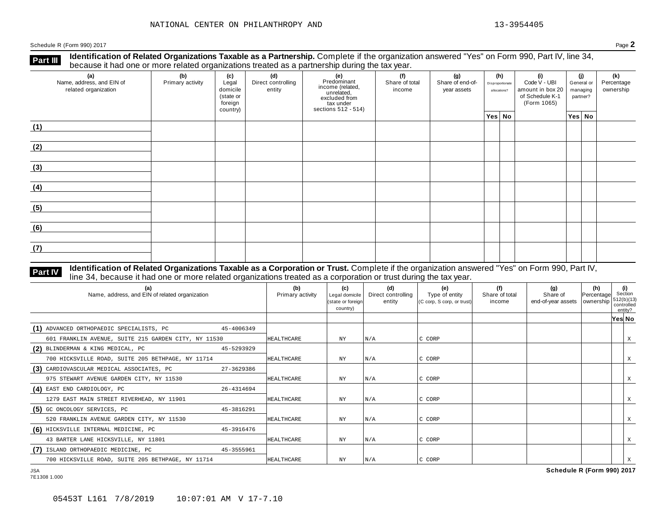**Identification of Related Organizations Taxable as a Partnership.** Complete if the organization answered "Yes" on Form 990, Part IV, line 34, **because it had one or more related organizations Taxable as a Partnership.** Complete if the organization of Related organizations treated as a partnership during the tax year.

| (a)<br>Name, address, and EIN of<br>related organization | ັ<br>(b)<br>Primary activity | (c)<br>Legal<br>domicile<br>(state or<br>foreign<br>country) | (d)<br>Direct controlling<br>entity | ັ<br>(e)<br>Predominant<br>income (related,<br>unrelated,<br>excluded from<br>$\frac{3}{10}$ tax under<br>sections 512 - 514) | (f)<br>Share of total<br>income | (g)<br>Share of end-of-<br>year assets | (h)<br>Disproportionate<br>allocations? | (i)<br>Code V - UBI<br>amount in box 20<br>of Schedule K-1<br>(Form 1065) | (i)<br>General or<br>managing<br>partner? | (k)<br>Percentage<br>ownership |
|----------------------------------------------------------|------------------------------|--------------------------------------------------------------|-------------------------------------|-------------------------------------------------------------------------------------------------------------------------------|---------------------------------|----------------------------------------|-----------------------------------------|---------------------------------------------------------------------------|-------------------------------------------|--------------------------------|
|                                                          |                              |                                                              |                                     |                                                                                                                               |                                 |                                        | Yes No                                  |                                                                           | Yes No                                    |                                |
| (1)                                                      |                              |                                                              |                                     |                                                                                                                               |                                 |                                        |                                         |                                                                           |                                           |                                |
| (2)                                                      |                              |                                                              |                                     |                                                                                                                               |                                 |                                        |                                         |                                                                           |                                           |                                |
| (3)                                                      |                              |                                                              |                                     |                                                                                                                               |                                 |                                        |                                         |                                                                           |                                           |                                |
| (4)                                                      |                              |                                                              |                                     |                                                                                                                               |                                 |                                        |                                         |                                                                           |                                           |                                |
| (5)                                                      |                              |                                                              |                                     |                                                                                                                               |                                 |                                        |                                         |                                                                           |                                           |                                |
| (6)                                                      |                              |                                                              |                                     |                                                                                                                               |                                 |                                        |                                         |                                                                           |                                           |                                |
| (7)                                                      |                              |                                                              |                                     |                                                                                                                               |                                 |                                        |                                         |                                                                           |                                           |                                |

#### **Identification of Related Organizations Taxable as a Corporation or Trust.** Complete if the organization answered "Yes" on Form 990, Part IV, **Part IV** dentification of Related Organizations Taxable as a Corporation or Trust. Complete if the organization answer line 34, because it had one or more related organizations treated as a corporation or trust during the

| (a)<br>Name, address, and EIN of related organization |            | (b)<br>Primary activity | (c)<br>Legal domicile<br>(state or foreign<br>country) | (d)<br>Direct controlling<br>entity | (e)<br>Type of entity<br>$(C \text{ comp}, S \text{ comp}, or trust)$ | (f)<br>Share of total<br>income | (g)<br>Share of<br>end-of-year assets   ownership | (h)<br>Percentage | (i)<br>Section<br>512(b)(13)<br>controlled<br>entity? |   |
|-------------------------------------------------------|------------|-------------------------|--------------------------------------------------------|-------------------------------------|-----------------------------------------------------------------------|---------------------------------|---------------------------------------------------|-------------------|-------------------------------------------------------|---|
|                                                       |            |                         |                                                        |                                     |                                                                       |                                 |                                                   |                   | Yes No                                                |   |
| (1) ADVANCED ORTHOPAEDIC SPECIALISTS, PC              | 45-4006349 |                         |                                                        |                                     |                                                                       |                                 |                                                   |                   |                                                       |   |
| 601 FRANKLIN AVENUE, SUITE 215 GARDEN CITY, NY 11530  |            | <b>HEALTHCARE</b>       | ΝY                                                     | N/A                                 | C CORP                                                                |                                 |                                                   |                   |                                                       | X |
| (2) BLINDERMAN & KING MEDICAL, PC                     | 45-5293929 |                         |                                                        |                                     |                                                                       |                                 |                                                   |                   |                                                       |   |
| 700 HICKSVILLE ROAD, SUITE 205 BETHPAGE, NY 11714     |            | <b>HEALTHCARE</b>       | NY                                                     | N/A                                 | C CORP                                                                |                                 |                                                   |                   |                                                       | X |
| (3) CARDIOVASCULAR MEDICAL ASSOCIATES, PC             | 27-3629386 |                         |                                                        |                                     |                                                                       |                                 |                                                   |                   |                                                       |   |
| 975 STEWART AVENUE GARDEN CITY, NY 11530              |            | HEALTHCARE              | ΝY                                                     | N/A                                 | C CORP                                                                |                                 |                                                   |                   |                                                       |   |
| (4) EAST END CARDIOLOGY, PC                           | 26-4314694 |                         |                                                        |                                     |                                                                       |                                 |                                                   |                   |                                                       |   |
| 1279 EAST MAIN STREET RIVERHEAD, NY 11901             |            | <b>HEALTHCARE</b>       | ΝY                                                     | N/A                                 | C CORP                                                                |                                 |                                                   |                   |                                                       |   |
| (5) GC ONCOLOGY SERVICES, PC                          | 45-3816291 |                         |                                                        |                                     |                                                                       |                                 |                                                   |                   |                                                       |   |
| 520 FRANKLIN AVENUE GARDEN CITY, NY 11530             |            | <b>HEALTHCARE</b>       | NY                                                     | N/A                                 | C CORP                                                                |                                 |                                                   |                   |                                                       |   |
| (6) HICKSVILLE INTERNAL MEDICINE, PC                  | 45-3916476 |                         |                                                        |                                     |                                                                       |                                 |                                                   |                   |                                                       |   |
| 43 BARTER LANE HICKSVILLE, NY 11801                   |            | <b>HEALTHCARE</b>       | ΝY                                                     | N/A                                 | C CORP                                                                |                                 |                                                   |                   |                                                       | X |
| (7) ISLAND ORTHOPAEDIC MEDICINE, PC                   | 45-3555961 |                         |                                                        |                                     |                                                                       |                                 |                                                   |                   |                                                       |   |
| 700 HICKSVILLE ROAD, SUITE 205 BETHPAGE, NY 11714     |            | <b>HEALTHCARE</b>       | NY                                                     | N/A                                 | C CORP                                                                |                                 |                                                   |                   |                                                       |   |

7E1308 1.000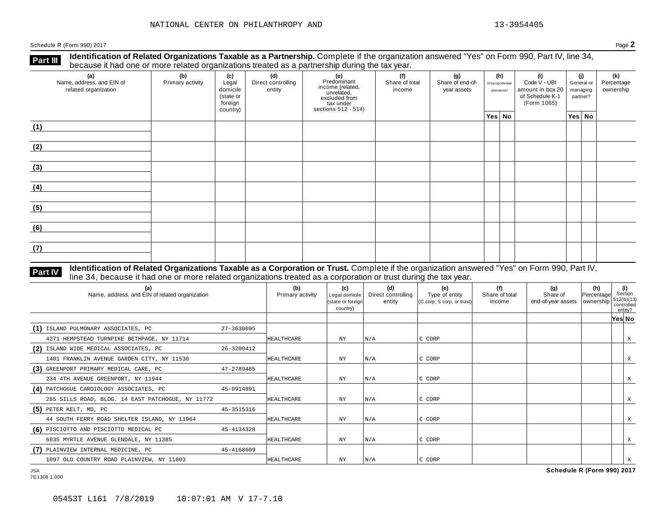**Identification of Related Organizations Taxable as a Partnership.** Complete if the organization answered "Yes" on Form 990, Part IV, line 34, **because it had one or more related organizations Taxable as a Partnership.** Complete if the organizations treated as a partnership during the tax year.

| (a)<br>Name, address, and EIN of<br>related organization | (b)<br>Primary activity | (c)<br>Legal<br>domicile<br>(state or<br>foreign<br>country) | (d)<br>Direct controlling<br>entity | (e)<br>Predominant<br>income (related,<br>unrelated,<br>excluded from<br>tax under<br>sections 512 - 514) | (f)<br>Share of total<br>income | (g)<br>Share of end-of-<br>year assets | (h)<br>Disproportionate<br>allocations? | (i)<br>Code V - UBI<br>amount in box 20<br>of Schedule K-1<br>(Form 1065) | (i)<br>General or<br>managing<br>partner? | (k)<br>Percentage<br>ownership |
|----------------------------------------------------------|-------------------------|--------------------------------------------------------------|-------------------------------------|-----------------------------------------------------------------------------------------------------------|---------------------------------|----------------------------------------|-----------------------------------------|---------------------------------------------------------------------------|-------------------------------------------|--------------------------------|
|                                                          |                         |                                                              |                                     |                                                                                                           |                                 |                                        | Yes No                                  |                                                                           | Yes No                                    |                                |
| (1)                                                      |                         |                                                              |                                     |                                                                                                           |                                 |                                        |                                         |                                                                           |                                           |                                |
| (2)                                                      |                         |                                                              |                                     |                                                                                                           |                                 |                                        |                                         |                                                                           |                                           |                                |
| (3)                                                      |                         |                                                              |                                     |                                                                                                           |                                 |                                        |                                         |                                                                           |                                           |                                |
| (4)                                                      |                         |                                                              |                                     |                                                                                                           |                                 |                                        |                                         |                                                                           |                                           |                                |
| (5)                                                      |                         |                                                              |                                     |                                                                                                           |                                 |                                        |                                         |                                                                           |                                           |                                |
| (6)                                                      |                         |                                                              |                                     |                                                                                                           |                                 |                                        |                                         |                                                                           |                                           |                                |
| (7)                                                      |                         |                                                              |                                     |                                                                                                           |                                 |                                        |                                         |                                                                           |                                           |                                |

## **Part IV** Identification of Related Organizations Taxable as a Corporation or Trust. Complete if the organization answered "Yes" on Form 990, Part IV,<br>line 34, because it had one or more related organizations treated as a

| (a)<br>Name, address, and EIN of related organization |            | (b)<br>Primary activity | (c)<br>Legal domicile<br>(state or foreign<br>country) | (d)<br>Direct controlling<br>entity | (e)<br>Type of entity<br>$(C \text{ comp}, S \text{ comp}, \text{ or trust})$ | (f)<br>Share of total<br>income | (g)<br>Share of<br>end-of-year assets   ownership | (h)<br>Percentage | (i)<br>Section<br>1512(b)(13)<br>controlled<br>entity? |   |
|-------------------------------------------------------|------------|-------------------------|--------------------------------------------------------|-------------------------------------|-------------------------------------------------------------------------------|---------------------------------|---------------------------------------------------|-------------------|--------------------------------------------------------|---|
|                                                       |            |                         |                                                        |                                     |                                                                               |                                 |                                                   |                   | Yes No                                                 |   |
| (1) ISLAND PULMONARY ASSOCIATES, PC                   | 27-3630095 |                         |                                                        |                                     |                                                                               |                                 |                                                   |                   |                                                        |   |
| 4271 HEMPSTEAD TURNPIKE BETHPAGE, NY 11714            |            | HEALTHCARE              | ΝY                                                     | N/A                                 | C CORP                                                                        |                                 |                                                   |                   |                                                        | X |
| (2) ISLAND WIDE MEDICAL ASSOCIATES, PC                | 26-3200412 |                         |                                                        |                                     |                                                                               |                                 |                                                   |                   |                                                        |   |
| 1401 FRANKLIN AVENUE GARDEN CITY, NY 11530            |            | HEALTHCARE              | NY                                                     | N/A                                 | C CORP                                                                        |                                 |                                                   |                   |                                                        | X |
| (3) GREENPORT PRIMARY MEDICAL CARE, PC                | 47-2789485 |                         |                                                        |                                     |                                                                               |                                 |                                                   |                   |                                                        |   |
| 234 4TH AVENUE GREENPORT, NY 11944                    |            | <b>HEALTHCARE</b>       | ΝY                                                     | N/A                                 | C CORP                                                                        |                                 |                                                   |                   |                                                        | X |
| (4) PATCHOGUE CARDIOLOGY ASSOCIATES, PC               | 45-0914891 |                         |                                                        |                                     |                                                                               |                                 |                                                   |                   |                                                        |   |
| 285 SILLS ROAD, BLDG. 14 EAST PATCHOGUE, NY 11772     |            | HEALTHCARE              | NY                                                     | N/A                                 | C CORP                                                                        |                                 |                                                   |                   |                                                        |   |
| $(5)$ PETER KELT, MD, PC                              | 45-3515316 |                         |                                                        |                                     |                                                                               |                                 |                                                   |                   |                                                        |   |
| 44 SOUTH FERRY ROAD SHELTER ISLAND, NY 11964          |            | HEALTHCARE              | NY.                                                    | N/A                                 | C CORP                                                                        |                                 |                                                   |                   |                                                        | X |
| (6) PISCIOTTO AND PISCIOTTO MEDICAL PC                | 45-4134328 |                         |                                                        |                                     |                                                                               |                                 |                                                   |                   |                                                        |   |
| 6835 MYRTLE AVENUE GLENDALE, NY 11385                 |            | HEALTHCARE              | NY.                                                    | N/A                                 | C CORP                                                                        |                                 |                                                   |                   |                                                        | X |
| (7) PLAINVIEW INTERNAL MEDICINE, PC                   | 45-4168609 |                         |                                                        |                                     |                                                                               |                                 |                                                   |                   |                                                        |   |
| 1097 OLD COUNTRY ROAD PLAINVIEW, NY 11803             |            | <b>HEALTHCARE</b>       | NY                                                     | N/A                                 | C CORP                                                                        |                                 |                                                   |                   |                                                        | X |

7E1308 1.000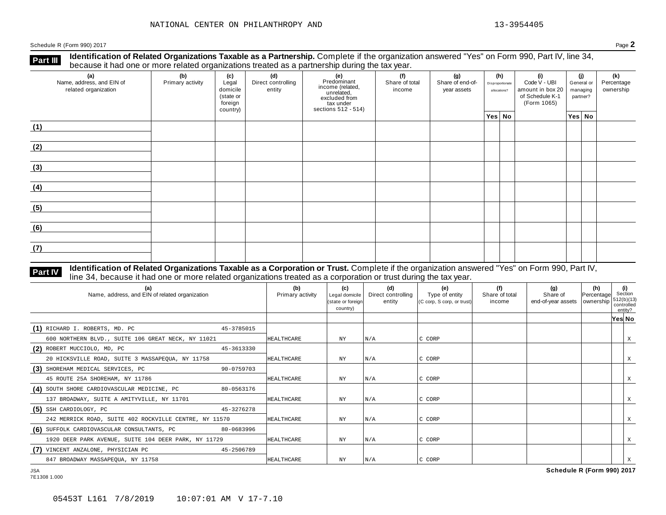**Identification of Related Organizations Taxable as a Partnership.** Complete if the organization answered "Yes" on Form 990, Part IV, line 34, **because it had one or more related organizations Taxable as a Partnership.** Complete if the organization of Related organizations treated as a partnership during the tax year.

| (a)<br>Name, address, and EIN of<br>related organization | (b)<br>Primary activity | (c)<br>Legal<br>domicile<br>(state or<br>foreign<br>country) | (d)<br>Direct controlling<br>entity | (e)<br>Predominant<br>income (related,<br>unrelated,<br>excluded from<br>$\frac{3}{10}$ tax under<br>sections 512 - 514) | (f)<br>Share of total<br>income | (g)<br>Share of end-of-<br>year assets | (h)<br>Disproportionate<br>allocations? | (i)<br>Code V - UBI<br>amount in box 20<br>of Schedule K-1<br>(Form 1065) | (i)<br>General or<br>managing<br>partner? | (k)<br>Percentage<br>ownership |
|----------------------------------------------------------|-------------------------|--------------------------------------------------------------|-------------------------------------|--------------------------------------------------------------------------------------------------------------------------|---------------------------------|----------------------------------------|-----------------------------------------|---------------------------------------------------------------------------|-------------------------------------------|--------------------------------|
|                                                          |                         |                                                              |                                     |                                                                                                                          |                                 |                                        | Yes No                                  |                                                                           | Yes No                                    |                                |
| (1)                                                      |                         |                                                              |                                     |                                                                                                                          |                                 |                                        |                                         |                                                                           |                                           |                                |
| (2)                                                      |                         |                                                              |                                     |                                                                                                                          |                                 |                                        |                                         |                                                                           |                                           |                                |
| (3)                                                      |                         |                                                              |                                     |                                                                                                                          |                                 |                                        |                                         |                                                                           |                                           |                                |
| (4)                                                      |                         |                                                              |                                     |                                                                                                                          |                                 |                                        |                                         |                                                                           |                                           |                                |
| (5)                                                      |                         |                                                              |                                     |                                                                                                                          |                                 |                                        |                                         |                                                                           |                                           |                                |
| (6)                                                      |                         |                                                              |                                     |                                                                                                                          |                                 |                                        |                                         |                                                                           |                                           |                                |
| (7)                                                      |                         |                                                              |                                     |                                                                                                                          |                                 |                                        |                                         |                                                                           |                                           |                                |

## **Part IV** Identification of Related Organizations Taxable as a Corporation or Trust. Complete if the organization answered "Yes" on Form 990, Part IV,<br>line 34, because it had one or more related organizations treated as a

| (a)<br>Name, address, and EIN of related organization  |            | (b)<br>Primary activity | (c)<br>Legal domicile<br>(state or foreign<br>country) | (d)<br>Direct controlling<br>entity | (e)<br>Type of entity<br>(C corp, S corp, or trust) | (f)<br>Share of total<br>income | (g)<br>Share of<br>end-of-year assets   ownership | (h)<br>Percentage | (i)<br>Section<br>512(b)(13)<br>controlled<br>entity? |   |
|--------------------------------------------------------|------------|-------------------------|--------------------------------------------------------|-------------------------------------|-----------------------------------------------------|---------------------------------|---------------------------------------------------|-------------------|-------------------------------------------------------|---|
|                                                        |            |                         |                                                        |                                     |                                                     |                                 |                                                   |                   | Yes No                                                |   |
| (1) RICHARD I. ROBERTS, MD. PC                         | 45-3785015 |                         |                                                        |                                     |                                                     |                                 |                                                   |                   |                                                       |   |
| 600 NORTHERN BLVD., SUITE 106 GREAT NECK, NY 11021     |            | HEALTHCARE              | NY                                                     | N/A                                 | C CORP                                              |                                 |                                                   |                   |                                                       | Χ |
| (2) ROBERT MUCCIOLO, MD, PC                            | 45-3613330 |                         |                                                        |                                     |                                                     |                                 |                                                   |                   |                                                       |   |
| 20 HICKSVILLE ROAD, SUITE 3 MASSAPEQUA, NY 11758       |            | HEALTHCARE              | NY.                                                    | N/A                                 | C CORP                                              |                                 |                                                   |                   |                                                       | Χ |
| (3) SHOREHAM MEDICAL SERVICES, PC                      | 90-0759703 |                         |                                                        |                                     |                                                     |                                 |                                                   |                   |                                                       |   |
| 45 ROUTE 25A SHOREHAM, NY 11786                        |            | HEALTHCARE              | NY                                                     | N/A                                 | C CORP                                              |                                 |                                                   |                   |                                                       | X |
| (4) SOUTH SHORE CARDIOVASCULAR MEDICINE, PC            | 80-0563176 |                         |                                                        |                                     |                                                     |                                 |                                                   |                   |                                                       |   |
| 137 BROADWAY, SUITE A AMITYVILLE, NY 11701             |            | HEALTHCARE              | ΝY                                                     | N/A                                 | C CORP                                              |                                 |                                                   |                   |                                                       | X |
| $(5)$ SSH CARDIOLOGY, PC                               | 45-3276278 |                         |                                                        |                                     |                                                     |                                 |                                                   |                   |                                                       |   |
| 242 MERRICK ROAD, SUITE 402 ROCKVILLE CENTRE, NY 11570 |            | <b>HEALTHCARE</b>       | ΝY                                                     | N/A                                 | C CORP                                              |                                 |                                                   |                   |                                                       | X |
| (6) SUFFOLK CARDIOVASCULAR CONSULTANTS, PC             | 80-0683996 |                         |                                                        |                                     |                                                     |                                 |                                                   |                   |                                                       |   |
| 1920 DEER PARK AVENUE, SUITE 104 DEER PARK, NY 11729   |            | HEALTHCARE              | ΝY                                                     | N/A                                 | C CORP                                              |                                 |                                                   |                   |                                                       | X |
| (7) VINCENT ANZALONE, PHYSICIAN PC                     | 45-2506789 |                         |                                                        |                                     |                                                     |                                 |                                                   |                   |                                                       |   |
| 847 BROADWAY MASSAPEQUA, NY 11758                      |            | HEALTHCARE              | NY                                                     | N/A                                 | C CORP                                              |                                 |                                                   |                   |                                                       |   |
| <b>JSA</b>                                             |            |                         |                                                        |                                     |                                                     |                                 | Schedule R (Form 990) 2017                        |                   |                                                       |   |

7E1308 1.000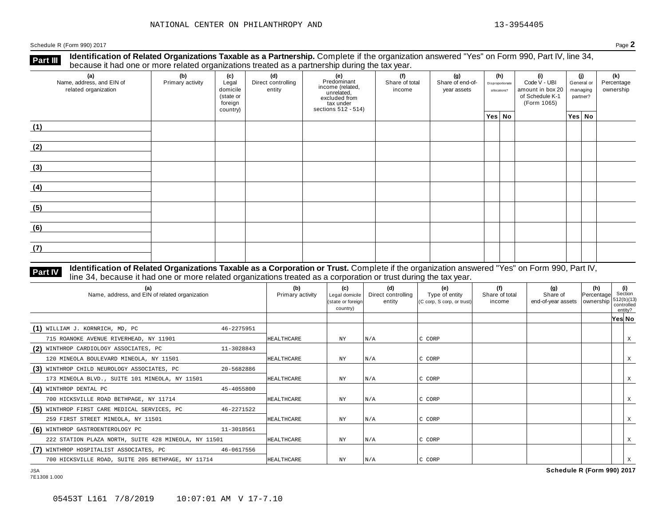**Identification of Related Organizations Taxable as a Partnership.** Complete if the organization answered "Yes" on Form 990, Part IV, line 34, **because it had one or more related organizations Taxable as a Partnership.** Complete if the organization of Related organizations treated as a partnership during the tax year.

| (a)<br>Name, address, and EIN of<br>related organization | (b)<br>Primary activity | (c)<br>Legal<br>domicile<br>(state or<br>foreign<br>country) | (d)<br>Direct controlling<br>entity | (e)<br>Predominant<br>income (related,<br>unrelated,<br>excluded from<br>$\frac{3}{10}$ tax under<br>sections 512 - 514) | (f)<br>Share of total<br>income | (g)<br>Share of end-of-<br>year assets | (h)<br>Disproportionate<br>allocations? | (i)<br>Code V - UBI<br>amount in box 20<br>of Schedule K-1<br>(Form 1065) | (i)<br>General or<br>managing<br>partner? | (k)<br>Percentage<br>ownership |
|----------------------------------------------------------|-------------------------|--------------------------------------------------------------|-------------------------------------|--------------------------------------------------------------------------------------------------------------------------|---------------------------------|----------------------------------------|-----------------------------------------|---------------------------------------------------------------------------|-------------------------------------------|--------------------------------|
|                                                          |                         |                                                              |                                     |                                                                                                                          |                                 |                                        | Yes No                                  |                                                                           | Yes No                                    |                                |
| (1)                                                      |                         |                                                              |                                     |                                                                                                                          |                                 |                                        |                                         |                                                                           |                                           |                                |
| (2)                                                      |                         |                                                              |                                     |                                                                                                                          |                                 |                                        |                                         |                                                                           |                                           |                                |
| (3)                                                      |                         |                                                              |                                     |                                                                                                                          |                                 |                                        |                                         |                                                                           |                                           |                                |
| (4)                                                      |                         |                                                              |                                     |                                                                                                                          |                                 |                                        |                                         |                                                                           |                                           |                                |
| (5)                                                      |                         |                                                              |                                     |                                                                                                                          |                                 |                                        |                                         |                                                                           |                                           |                                |
| (6)                                                      |                         |                                                              |                                     |                                                                                                                          |                                 |                                        |                                         |                                                                           |                                           |                                |
| (7)                                                      |                         |                                                              |                                     |                                                                                                                          |                                 |                                        |                                         |                                                                           |                                           |                                |

#### **Identification of Related Organizations Taxable as a Corporation or Trust.** Complete if the organization answered "Yes" on Form 990, Part IV, **Part IV** dentification of Related Organizations Taxable as a Corporation or Trust. Complete if the organization answer line 34, because it had one or more related organizations treated as a corporation or trust during the

| (a)<br>Name, address, and EIN of related organization |            | (b)<br>Primary activity | (c)<br>Legal domicile<br>(state or foreign<br>country) | (d)<br>Direct controlling<br>entity | (e)<br>Type of entity<br>(C corp, S corp, or trust) | (f)<br>Share of total<br>income | (g)<br>Share of<br>end-of-year assets   ownership | (h)<br>Percentage | (i)<br>Section<br> 512(b)(13) <br>controlled<br>entity? |   |
|-------------------------------------------------------|------------|-------------------------|--------------------------------------------------------|-------------------------------------|-----------------------------------------------------|---------------------------------|---------------------------------------------------|-------------------|---------------------------------------------------------|---|
|                                                       |            |                         |                                                        |                                     |                                                     |                                 |                                                   |                   | Yes No                                                  |   |
| $(1)$ WILLIAM J. KORNRICH, MD, PC                     | 46-2275951 |                         |                                                        |                                     |                                                     |                                 |                                                   |                   |                                                         |   |
| 715 ROANOKE AVENUE RIVERHEAD, NY 11901                |            | HEALTHCARE              | NY                                                     | N/A                                 | C CORP                                              |                                 |                                                   |                   |                                                         | X |
| (2) WINTHROP CARDIOLOGY ASSOCIATES, PC                | 11-3028843 |                         |                                                        |                                     |                                                     |                                 |                                                   |                   |                                                         |   |
| 120 MINEOLA BOULEVARD MINEOLA, NY 11501               |            | <b>HEALTHCARE</b>       | NY.                                                    | N/A                                 | C CORP                                              |                                 |                                                   |                   |                                                         | X |
| (3) WINTHROP CHILD NEUROLOGY ASSOCIATES, PC           | 20-5682886 |                         |                                                        |                                     |                                                     |                                 |                                                   |                   |                                                         |   |
| 173 MINEOLA BLVD., SUITE 101 MINEOLA, NY 11501        |            | HEALTHCARE              | ΝY                                                     | N/A                                 | C CORP                                              |                                 |                                                   |                   |                                                         | Х |
| (4) WINTHROP DENTAL PC                                | 45-4055800 |                         |                                                        |                                     |                                                     |                                 |                                                   |                   |                                                         |   |
| 700 HICKSVILLE ROAD BETHPAGE, NY 11714                |            | HEALTHCARE              | NY.                                                    | N/A                                 | C CORP                                              |                                 |                                                   |                   |                                                         |   |
| (5) WINTHROP FIRST CARE MEDICAL SERVICES, PC          | 46-2271522 |                         |                                                        |                                     |                                                     |                                 |                                                   |                   |                                                         |   |
| 259 FIRST STREET MINEOLA, NY 11501                    |            | HEALTHCARE              | NY.                                                    | N/A                                 | C CORP                                              |                                 |                                                   |                   |                                                         |   |
| (6) WINTHROP GASTROENTEROLOGY PC                      | 11-3018561 |                         |                                                        |                                     |                                                     |                                 |                                                   |                   |                                                         |   |
| 222 STATION PLAZA NORTH, SUITE 428 MINEOLA, NY 11501  |            | HEALTHCARE              | ΝY                                                     | N/A                                 | C CORP                                              |                                 |                                                   |                   |                                                         | X |
| (7) WINTHROP HOSPITALIST ASSOCIATES, PC               | 46-0617556 |                         |                                                        |                                     |                                                     |                                 |                                                   |                   |                                                         |   |
| 700 HICKSVILLE ROAD, SUITE 205 BETHPAGE, NY 11714     |            | HEALTHCARE              | ΝY                                                     | N/A                                 | C CORP                                              |                                 |                                                   |                   |                                                         |   |

7E1308 1.000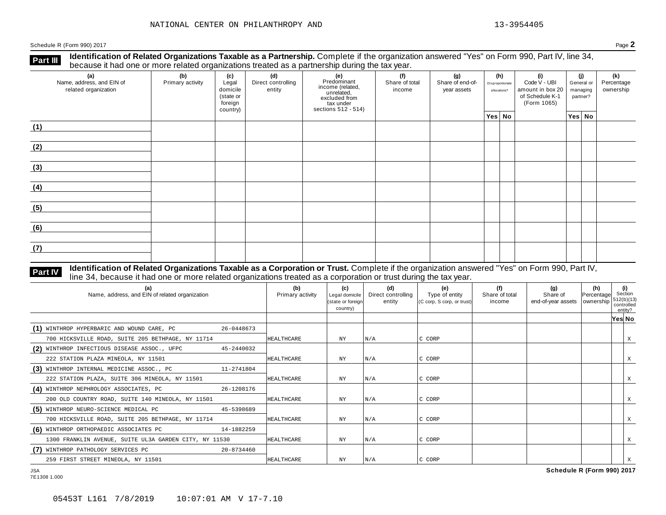**Identification of Related Organizations Taxable as a Partnership.** Complete if the organization answered "Yes" on Form 990, Part IV, line 34, **because it had one or more related organizations Taxable as a Partnership.** Complete if the organization of Related organizations treated as a partnership during the tax year.

| (a)<br>Name, address, and EIN of<br>related organization | (b)<br>Primary activity | (c)<br>Legal<br>domicile<br>(state or<br>foreign<br>country) | (d)<br>Direct controlling<br>entity | (e)<br>Predominant<br>income (related,<br>unrelated,<br>excluded from<br>$\frac{3}{10}$ tax under<br>sections 512 - 514) | (f)<br>Share of total<br>income | (g)<br>Share of end-of-<br>year assets | (h)<br>Disproportionate<br>allocations? | (i)<br>Code V - UBI<br>amount in box 20<br>of Schedule K-1<br>(Form 1065) | (i)<br>General or<br>managing<br>partner? | (k)<br>Percentage<br>ownership |
|----------------------------------------------------------|-------------------------|--------------------------------------------------------------|-------------------------------------|--------------------------------------------------------------------------------------------------------------------------|---------------------------------|----------------------------------------|-----------------------------------------|---------------------------------------------------------------------------|-------------------------------------------|--------------------------------|
|                                                          |                         |                                                              |                                     |                                                                                                                          |                                 |                                        | Yes No                                  |                                                                           | Yes No                                    |                                |
| (1)                                                      |                         |                                                              |                                     |                                                                                                                          |                                 |                                        |                                         |                                                                           |                                           |                                |
| (2)                                                      |                         |                                                              |                                     |                                                                                                                          |                                 |                                        |                                         |                                                                           |                                           |                                |
| (3)                                                      |                         |                                                              |                                     |                                                                                                                          |                                 |                                        |                                         |                                                                           |                                           |                                |
| (4)                                                      |                         |                                                              |                                     |                                                                                                                          |                                 |                                        |                                         |                                                                           |                                           |                                |
| (5)                                                      |                         |                                                              |                                     |                                                                                                                          |                                 |                                        |                                         |                                                                           |                                           |                                |
| (6)                                                      |                         |                                                              |                                     |                                                                                                                          |                                 |                                        |                                         |                                                                           |                                           |                                |
| (7)                                                      |                         |                                                              |                                     |                                                                                                                          |                                 |                                        |                                         |                                                                           |                                           |                                |

#### **Identification of Related Organizations Taxable as a Corporation or Trust.** Complete if the organization answered "Yes" on Form 990, Part IV, **Part IV** dentification of Related Organizations Taxable as a Corporation or Trust. Complete if the organization answer line 34, because it had one or more related organizations treated as a corporation or trust during the

| (a)<br>Name, address, and EIN of related organization  |            | (b)<br>Primary activity | (c)<br>Legal domicile<br>(state or foreign<br>country) | (d)<br>Direct controlling<br>entity | (e)<br>Type of entity<br>$(C \text{ comp}, S \text{ comp}, \text{ or trust})$ | (f)<br>Share of total<br>income | (g)<br>Share of<br>end-of-year assets   ownership | (h)<br>Percentage | (i)<br>Section<br>512(b)(13)<br>controlled<br>entity? |   |
|--------------------------------------------------------|------------|-------------------------|--------------------------------------------------------|-------------------------------------|-------------------------------------------------------------------------------|---------------------------------|---------------------------------------------------|-------------------|-------------------------------------------------------|---|
|                                                        |            |                         |                                                        |                                     |                                                                               |                                 |                                                   |                   | Yes No                                                |   |
| (1) WINTHROP HYPERBARIC AND WOUND CARE, PC             | 26-0448673 |                         |                                                        |                                     |                                                                               |                                 |                                                   |                   |                                                       |   |
| 700 HICKSVILLE ROAD, SUITE 205 BETHPAGE, NY 11714      |            | <b>HEALTHCARE</b>       | NY                                                     | N/A                                 | C CORP                                                                        |                                 |                                                   |                   |                                                       | Χ |
| (2) WINTHROP INFECTIOUS DISEASE ASSOC., UFPC           | 45-2440032 |                         |                                                        |                                     |                                                                               |                                 |                                                   |                   |                                                       |   |
| 222 STATION PLAZA MINEOLA, NY 11501                    |            | HEALTHCARE              | NY                                                     | N/A                                 | C CORP                                                                        |                                 |                                                   |                   |                                                       |   |
| (3) WINTHROP INTERNAL MEDICINE ASSOC., PC              | 11-2741804 |                         |                                                        |                                     |                                                                               |                                 |                                                   |                   |                                                       |   |
| 222 STATION PLAZA, SUITE 306 MINEOLA, NY 11501         |            | HEALTHCARE              | ΝY                                                     | N/A                                 | C CORP                                                                        |                                 |                                                   |                   |                                                       |   |
| (4) WINTHROP NEPHROLOGY ASSOCIATES, PC                 | 26-1208176 |                         |                                                        |                                     |                                                                               |                                 |                                                   |                   |                                                       |   |
| 200 OLD COUNTRY ROAD, SUITE 140 MINEOLA, NY 11501      |            | HEALTHCARE              | ΝY                                                     | N/A                                 | C CORP                                                                        |                                 |                                                   |                   |                                                       |   |
| (5) WINTHROP NEURO-SCIENCE MEDICAL PC                  | 45-5398689 |                         |                                                        |                                     |                                                                               |                                 |                                                   |                   |                                                       |   |
| 700 HICKSVILLE ROAD, SUITE 205 BETHPAGE, NY 11714      |            | <b>HEALTHCARE</b>       | NY                                                     | $\vert N/A \vert$                   | C CORP                                                                        |                                 |                                                   |                   |                                                       |   |
| (6) WINTHROP ORTHOPAEDIC ASSOCIATES PC                 | 14-1882259 |                         |                                                        |                                     |                                                                               |                                 |                                                   |                   |                                                       |   |
| 1300 FRANKLIN AVENUE, SUITE UL3A GARDEN CITY, NY 11530 |            | HEALTHCARE              | ΝY                                                     | N/A                                 | C CORP                                                                        |                                 |                                                   |                   |                                                       | X |
| (7) WINTHROP PATHOLOGY SERVICES PC                     | 20-8734460 |                         |                                                        |                                     |                                                                               |                                 |                                                   |                   |                                                       |   |
| 259 FIRST STREET MINEOLA, NY 11501                     |            | HEALTHCARE              | NY.                                                    | N/A                                 | C CORP                                                                        |                                 |                                                   |                   |                                                       |   |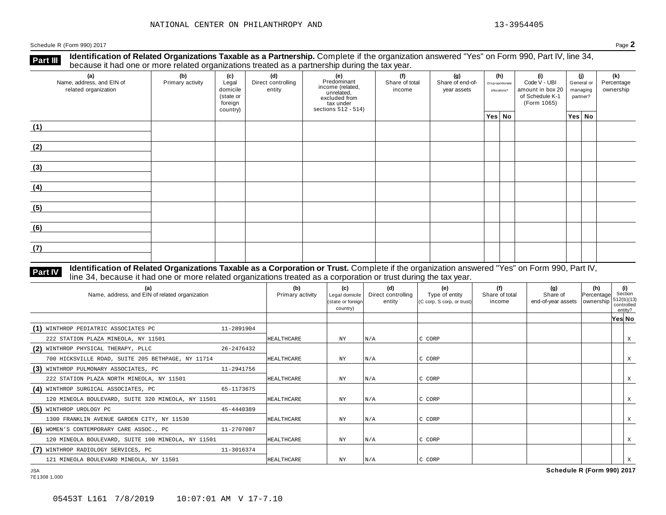**Identification of Related Organizations Taxable as a Partnership.** Complete if the organization answered "Yes" on Form 990, Part IV, line 34, **because it had one or more related organizations Taxable as a Partnership.** Complete if the organization of Related organizations treated as a partnership during the tax year.

| (a)<br>Name, address, and EIN of<br>related organization | ັັັ<br>(b)<br>Primary activity | (c)<br>Legal<br>domicile<br>(state or<br>foreign<br>country) | (d)<br>Direct controlling<br>entity | .<br>ັ<br>(e)<br>Predominant<br>Frecomman<br>income (related,<br>unrelated,<br>sccluded from<br>sections 512 - 514) | $\overline{\phantom{0}}$<br>(f)<br>Share of total<br>income | (g)<br>Share of end-of-<br>year assets | (h)<br>Disproportionate<br>allocations? |  | (i)<br>Code V - UBI<br>amount in box 20<br>of Schedule K-1<br>(Form 1065) | (i)<br>General or<br>managing<br>partner? |        | (k)<br>Percentage<br>ownership |
|----------------------------------------------------------|--------------------------------|--------------------------------------------------------------|-------------------------------------|---------------------------------------------------------------------------------------------------------------------|-------------------------------------------------------------|----------------------------------------|-----------------------------------------|--|---------------------------------------------------------------------------|-------------------------------------------|--------|--------------------------------|
|                                                          |                                |                                                              |                                     |                                                                                                                     |                                                             |                                        | Yes No                                  |  |                                                                           |                                           | Yes No |                                |
| (1)                                                      |                                |                                                              |                                     |                                                                                                                     |                                                             |                                        |                                         |  |                                                                           |                                           |        |                                |
| (2)                                                      |                                |                                                              |                                     |                                                                                                                     |                                                             |                                        |                                         |  |                                                                           |                                           |        |                                |
| (3)                                                      |                                |                                                              |                                     |                                                                                                                     |                                                             |                                        |                                         |  |                                                                           |                                           |        |                                |
| (4)                                                      |                                |                                                              |                                     |                                                                                                                     |                                                             |                                        |                                         |  |                                                                           |                                           |        |                                |
| (5)                                                      |                                |                                                              |                                     |                                                                                                                     |                                                             |                                        |                                         |  |                                                                           |                                           |        |                                |
| (6)                                                      |                                |                                                              |                                     |                                                                                                                     |                                                             |                                        |                                         |  |                                                                           |                                           |        |                                |
| (7)                                                      |                                |                                                              |                                     |                                                                                                                     |                                                             |                                        |                                         |  |                                                                           |                                           |        |                                |

#### **Identification of Related Organizations Taxable as a Corporation or Trust.** Complete if the organization answered "Yes" on Form 990, Part IV, **Part IV** dentification of Related Organizations Taxable as a Corporation or Trust. Complete if the organization answer line 34, because it had one or more related organizations treated as a corporation or trust during the

| (a)<br>Name, address, and EIN of related organization |            | (b)<br>Primary activity | (c)<br>Legal domicile<br>(state or foreign)<br>country) | (d)<br>Direct controlling<br>entity | (e)<br>Type of entity<br>(C corp, S corp, or trust) | (f)<br>Share of total<br>income | (g)<br>Share of<br>end-of-year assets   ownership | (h)<br>Percentage | (i)<br>Section<br> 512(b)(13) <br>controlled<br>entity? |   |
|-------------------------------------------------------|------------|-------------------------|---------------------------------------------------------|-------------------------------------|-----------------------------------------------------|---------------------------------|---------------------------------------------------|-------------------|---------------------------------------------------------|---|
|                                                       |            |                         |                                                         |                                     |                                                     |                                 |                                                   |                   | Yes No                                                  |   |
| (1) WINTHROP PEDIATRIC ASSOCIATES PC                  | 11-2891904 |                         |                                                         |                                     |                                                     |                                 |                                                   |                   |                                                         |   |
| 222 STATION PLAZA MINEOLA, NY 11501                   |            | <b>HEALTHCARE</b>       | NY.                                                     | N/A                                 | C CORP                                              |                                 |                                                   |                   |                                                         | X |
| (2) WINTHROP PHYSICAL THERAPY, PLLC                   | 26-2476432 |                         |                                                         |                                     |                                                     |                                 |                                                   |                   |                                                         |   |
| 700 HICKSVILLE ROAD, SUITE 205 BETHPAGE, NY 11714     |            | HEALTHCARE              | ΝY                                                      | N/A                                 | C CORP                                              |                                 |                                                   |                   |                                                         | X |
| (3) WINTHROP PULMONARY ASSOCIATES, PC                 | 11-2941756 |                         |                                                         |                                     |                                                     |                                 |                                                   |                   |                                                         |   |
| 222 STATION PLAZA NORTH MINEOLA, NY 11501             |            | <b>HEALTHCARE</b>       | ΝY                                                      | N/A                                 | C CORP                                              |                                 |                                                   |                   |                                                         | Χ |
| (4) WINTHROP SURGICAL ASSOCIATES, PC                  | 65-1173675 |                         |                                                         |                                     |                                                     |                                 |                                                   |                   |                                                         |   |
| 120 MINEOLA BOULEVARD, SUITE 320 MINEOLA, NY 11501    |            | HEALTHCARE              | ΝY                                                      | N/A                                 | C CORP                                              |                                 |                                                   |                   |                                                         |   |
| (5) WINTHROP UROLOGY PC                               | 45-4440389 |                         |                                                         |                                     |                                                     |                                 |                                                   |                   |                                                         |   |
| 1300 FRANKLIN AVENUE GARDEN CITY, NY 11530            |            | <b>HEALTHCARE</b>       | ΝY                                                      | N/A                                 | C CORP                                              |                                 |                                                   |                   |                                                         | Χ |
| (6) WOMEN'S CONTEMPORARY CARE ASSOC., PC              | 11-2707087 |                         |                                                         |                                     |                                                     |                                 |                                                   |                   |                                                         |   |
| 120 MINEOLA BOULEVARD, SUITE 100 MINEOLA, NY 11501    |            | <b>HEALTHCARE</b>       | ΝY                                                      | N/A                                 | C CORP                                              |                                 |                                                   |                   |                                                         | X |
| (7) WINTHROP RADIOLOGY SERVICES, PC                   | 11-3016374 |                         |                                                         |                                     |                                                     |                                 |                                                   |                   |                                                         |   |
| 121 MINEOLA BOULEVARD MINEOLA, NY 11501               |            | <b>HEALTHCARE</b>       | NY.                                                     | N/A                                 | C CORP                                              |                                 |                                                   |                   |                                                         |   |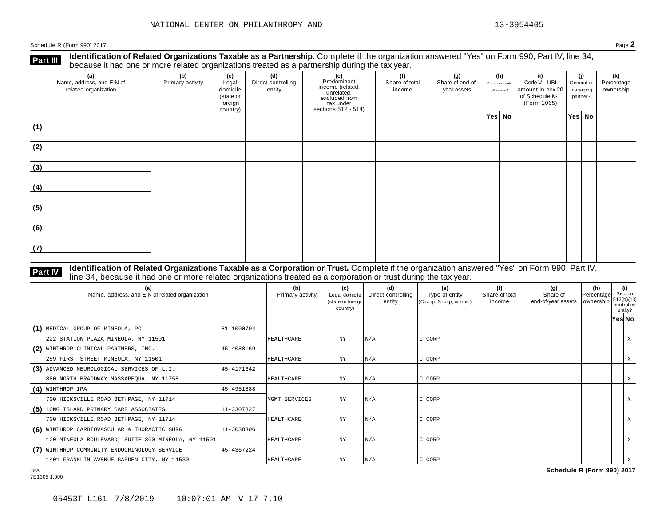**Identification of Related Organizations Taxable as a Partnership.** Complete if the organization answered "Yes" on Form 990, Part IV, line 34, **because it had one or more related organizations Taxable as a Partnership.** Complete if the organization of Related organizations treated as a partnership during the tax year.

| (a)<br>Name, address, and EIN of<br>related organization | ັ<br>(b)<br>Primary activity | (c)<br>Legal<br>domicile<br>(state or<br>foreign<br>country) | .<br>(d)<br>Direct controlling<br>entity | ັ<br>(e)<br>Predominant<br>Frecommant<br>income (related,<br>unrelated,<br>excluded from<br>sections 512 - 514) | (f)<br>Share of total<br>income | (g)<br>Share of end-of-<br>year assets | (h)<br>Disproportionate<br>allocations? | (i)<br>Code V - UBI<br>amount in box 20<br>of Schedule K-1<br>(Form 1065) | (j)<br>General or<br>managing<br>partner? | (k)<br>Percentage<br>ownership |
|----------------------------------------------------------|------------------------------|--------------------------------------------------------------|------------------------------------------|-----------------------------------------------------------------------------------------------------------------|---------------------------------|----------------------------------------|-----------------------------------------|---------------------------------------------------------------------------|-------------------------------------------|--------------------------------|
|                                                          |                              |                                                              |                                          |                                                                                                                 |                                 |                                        | Yes No                                  |                                                                           | Yes No                                    |                                |
| (1)                                                      |                              |                                                              |                                          |                                                                                                                 |                                 |                                        |                                         |                                                                           |                                           |                                |
| (2)                                                      |                              |                                                              |                                          |                                                                                                                 |                                 |                                        |                                         |                                                                           |                                           |                                |
| (3)                                                      |                              |                                                              |                                          |                                                                                                                 |                                 |                                        |                                         |                                                                           |                                           |                                |
| (4)                                                      |                              |                                                              |                                          |                                                                                                                 |                                 |                                        |                                         |                                                                           |                                           |                                |
| (5)                                                      |                              |                                                              |                                          |                                                                                                                 |                                 |                                        |                                         |                                                                           |                                           |                                |
| (6)                                                      |                              |                                                              |                                          |                                                                                                                 |                                 |                                        |                                         |                                                                           |                                           |                                |
| (7)                                                      |                              |                                                              |                                          |                                                                                                                 |                                 |                                        |                                         |                                                                           |                                           |                                |

## **Part IV** Identification of Related Organizations Taxable as a Corporation or Trust. Complete if the organization answered "Yes" on Form 990, Part IV,<br>line 34, because it had one or more related organizations treated as a

| (a)<br>Name, address, and EIN of related organization |            | (b)<br>Primary activity | (c)<br>Legal domicile<br>(state or foreign<br>country) | (d)<br>Direct controlling<br>entity | (e)<br>Type of entity<br>(C corp, S corp, or trust) | (f)<br>Share of total<br>income | (g)<br>Share of<br>end-of-year assets   ownership | (h)<br>Percentage | Section<br>512(b)(13)<br>controlled<br>entity? | (i) |
|-------------------------------------------------------|------------|-------------------------|--------------------------------------------------------|-------------------------------------|-----------------------------------------------------|---------------------------------|---------------------------------------------------|-------------------|------------------------------------------------|-----|
|                                                       |            |                         |                                                        |                                     |                                                     |                                 |                                                   |                   | Yes No                                         |     |
| (1) MEDICAL GROUP OF MINEOLA, PC                      | 81-1000704 |                         |                                                        |                                     |                                                     |                                 |                                                   |                   |                                                |     |
| 222 STATION PLAZA MINEOLA, NY 11501                   |            | HEALTHCARE              | NY                                                     | N/A                                 | C CORP                                              |                                 |                                                   |                   |                                                | Χ   |
| (2) WINTHROP CLINICAL PARTNERS, INC.                  | 45-4088169 |                         |                                                        |                                     |                                                     |                                 |                                                   |                   |                                                |     |
| 259 FIRST STREET MINEOLA, NY 11501                    |            | HEALTHCARE              | NY.                                                    | N/A                                 | C CORP                                              |                                 |                                                   |                   |                                                | Χ   |
| (3) ADVANCED NEUROLOGICAL SERVICES OF L.I.            | 45-4171642 |                         |                                                        |                                     |                                                     |                                 |                                                   |                   |                                                |     |
| 880 NORTH BRAODWAY MASSAPEOUA, NY 11758               |            | HEALTHCARE              | <b>NY</b>                                              | N/A                                 | C CORP                                              |                                 |                                                   |                   |                                                | X   |
| $(4)$ WINTHROP IPA                                    | 45-4951888 |                         |                                                        |                                     |                                                     |                                 |                                                   |                   |                                                |     |
| 700 HICKSVILLE ROAD BETHPAGE, NY 11714                |            | MGMT SERVICES           | ΝY                                                     | N/A                                 | C CORP                                              |                                 |                                                   |                   |                                                | X   |
| (5) LONG ISLAND PRIMARY CARE ASSOCIATES               | 11-3307827 |                         |                                                        |                                     |                                                     |                                 |                                                   |                   |                                                |     |
| 700 HICKSVILLE ROAD BETHPAGE, NY 11714                |            | <b>HEALTHCARE</b>       | ΝY                                                     | N/A                                 | C CORP                                              |                                 |                                                   |                   |                                                | X   |
| (6) WINTHROP CARDIOVASCULAR & THORACTIC SURG          | 11-3038306 |                         |                                                        |                                     |                                                     |                                 |                                                   |                   |                                                |     |
| 120 MINEOLA BOULEVARD, SUITE 300 MINEOLA, NY 11501    |            | HEALTHCARE              | ΝY                                                     | N/A                                 | C CORP                                              |                                 |                                                   |                   |                                                | X   |
| (7) WINTHROP COMMUNITY ENDOCRINOLOGY SERVICE          | 45-4367224 |                         |                                                        |                                     |                                                     |                                 |                                                   |                   |                                                |     |
| 1401 FRANKLIN AVENUE GARDEN CITY, NY 11530            |            | HEALTHCARE              | NY                                                     | N/A                                 | C CORP                                              |                                 |                                                   |                   |                                                |     |
| <b>JSA</b>                                            |            |                         |                                                        |                                     |                                                     |                                 | Schedule R (Form 990) 2017                        |                   |                                                |     |

7E1308 1.000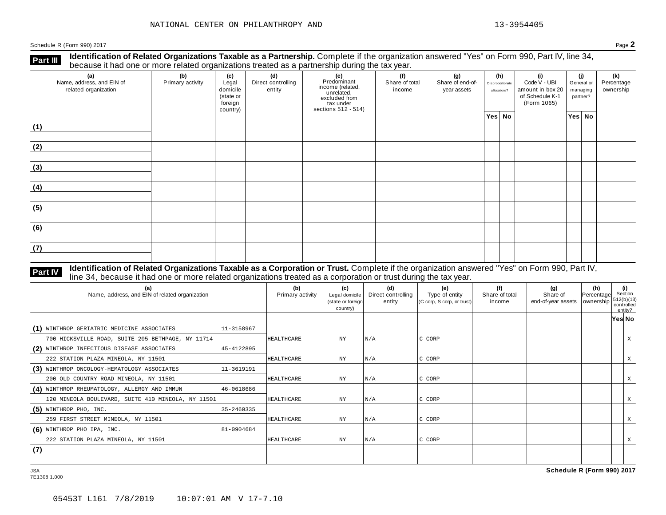**Identification of Related Organizations Taxable as a Partnership.** Complete if the organization answered "Yes" on Form 990, Part IV, line 34, **because it had one or more related organizations Taxable as a Partnership.** Complete if the organization of Related organizations treated as a partnership during the tax year.

| (a)<br>Name, address, and EIN of<br>related organization | ັ<br>(b)<br>Primary activity | (c)<br>Legal<br>domicile<br>(state or<br>foreign<br>country) | .<br>(d)<br>Direct controlling<br>entity | ັ<br>(e)<br>Predominant<br>Frecommant<br>income (related,<br>unrelated,<br>excluded from<br>sections 512 - 514) | (f)<br>Share of total<br>income | (g)<br>Share of end-of-<br>year assets | (h)<br>Disproportionate<br>allocations? | (i)<br>Code V - UBI<br>amount in box 20<br>of Schedule K-1<br>(Form 1065) | (j)<br>General or<br>managing<br>partner? | (k)<br>Percentage<br>ownership |
|----------------------------------------------------------|------------------------------|--------------------------------------------------------------|------------------------------------------|-----------------------------------------------------------------------------------------------------------------|---------------------------------|----------------------------------------|-----------------------------------------|---------------------------------------------------------------------------|-------------------------------------------|--------------------------------|
|                                                          |                              |                                                              |                                          |                                                                                                                 |                                 |                                        | Yes No                                  |                                                                           | Yes No                                    |                                |
| (1)                                                      |                              |                                                              |                                          |                                                                                                                 |                                 |                                        |                                         |                                                                           |                                           |                                |
| (2)                                                      |                              |                                                              |                                          |                                                                                                                 |                                 |                                        |                                         |                                                                           |                                           |                                |
| (3)                                                      |                              |                                                              |                                          |                                                                                                                 |                                 |                                        |                                         |                                                                           |                                           |                                |
| (4)                                                      |                              |                                                              |                                          |                                                                                                                 |                                 |                                        |                                         |                                                                           |                                           |                                |
| (5)                                                      |                              |                                                              |                                          |                                                                                                                 |                                 |                                        |                                         |                                                                           |                                           |                                |
| (6)                                                      |                              |                                                              |                                          |                                                                                                                 |                                 |                                        |                                         |                                                                           |                                           |                                |
| (7)                                                      |                              |                                                              |                                          |                                                                                                                 |                                 |                                        |                                         |                                                                           |                                           |                                |

#### **Identification of Related Organizations Taxable as a Corporation or Trust.** Complete if the organization answered "Yes" on Form 990, Part IV, **Part IV** dentification of Related Organizations Taxable as a Corporation or Trust. Complete if the organization answer line 34, because it had one or more related organizations treated as a corporation or trust during the

| (a)<br>Name, address, and EIN of related organization      | (b)<br>Primary activity | (c)<br>Legal domicile<br>(state or foreign<br>country) | (d)<br>Direct controlling<br>entity | (e)<br>Type of entity<br>(C corp, S corp, or trust) | (f)<br>Share of total<br>income | (g)<br>Share of<br>end-of-year assets   ownership | (h)<br>Percentage | (i)<br>Section<br>512(b)(13)<br>controlled<br>entity? |   |
|------------------------------------------------------------|-------------------------|--------------------------------------------------------|-------------------------------------|-----------------------------------------------------|---------------------------------|---------------------------------------------------|-------------------|-------------------------------------------------------|---|
|                                                            |                         |                                                        |                                     |                                                     |                                 |                                                   |                   | Yes∣ No                                               |   |
| (1) WINTHROP GERIATRIC MEDICINE ASSOCIATES<br>11-3158967   |                         |                                                        |                                     |                                                     |                                 |                                                   |                   |                                                       |   |
| 700 HICKSVILLE ROAD, SUITE 205 BETHPAGE, NY 11714          | HEALTHCARE              | ΝY                                                     | N/A                                 | C CORP                                              |                                 |                                                   |                   |                                                       | X |
| (2) WINTHROP INFECTIOUS DISEASE ASSOCIATES<br>45-4122895   |                         |                                                        |                                     |                                                     |                                 |                                                   |                   |                                                       |   |
| 222 STATION PLAZA MINEOLA, NY 11501                        | <b>HEALTHCARE</b>       | $_{\rm NY}$                                            | N/A                                 | C CORP                                              |                                 |                                                   |                   |                                                       | X |
| (3) WINTHROP ONCOLOGY-HEMATOLOGY ASSOCIATES<br>11-3619191  |                         |                                                        |                                     |                                                     |                                 |                                                   |                   |                                                       |   |
| 200 OLD COUNTRY ROAD MINEOLA, NY 11501                     | HEALTHCARE              | <b>NY</b>                                              | N/A                                 | C CORP                                              |                                 |                                                   |                   |                                                       |   |
| (4) WINTHROP RHEUMATOLOGY, ALLERGY AND IMMUN<br>46-0618686 |                         |                                                        |                                     |                                                     |                                 |                                                   |                   |                                                       |   |
| 120 MINEOLA BOULEVARD, SUITE 410 MINEOLA, NY 11501         | <b>HEALTHCARE</b>       | ΝY                                                     | N/A                                 | C CORP                                              |                                 |                                                   |                   |                                                       | Χ |
| $(5)$ WINTHROP PHO, INC.<br>35-2460335                     |                         |                                                        |                                     |                                                     |                                 |                                                   |                   |                                                       |   |
| 259 FIRST STREET MINEOLA, NY 11501                         | HEALTHCARE              | $_{\rm NY}$                                            | N/A                                 | C CORP                                              |                                 |                                                   |                   |                                                       | X |
| $(6)$ WINTHROP PHO IPA, INC.<br>81-0904684                 |                         |                                                        |                                     |                                                     |                                 |                                                   |                   |                                                       |   |
| 222 STATION PLAZA MINEOLA, NY 11501                        | <b>HEALTHCARE</b>       | $_{\rm NY}$                                            | N/A                                 | C CORP                                              |                                 |                                                   |                   |                                                       | X |
| (7)                                                        |                         |                                                        |                                     |                                                     |                                 |                                                   |                   |                                                       |   |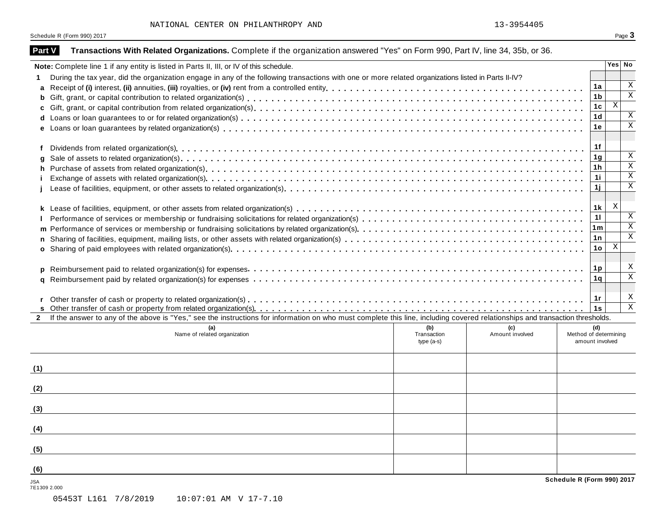| Part V              | Transactions With Related Organizations. Complete if the organization answered "Yes" on Form 990, Part IV, line 34, 35b, or 36.                                              |              |                 |                            |                           |                         |
|---------------------|------------------------------------------------------------------------------------------------------------------------------------------------------------------------------|--------------|-----------------|----------------------------|---------------------------|-------------------------|
|                     | Note: Complete line 1 if any entity is listed in Parts II, III, or IV of this schedule.                                                                                      |              |                 |                            | Yes No                    |                         |
| 1.                  | During the tax year, did the organization engage in any of the following transactions with one or more related organizations listed in Parts II-IV?                          |              |                 |                            |                           |                         |
| a                   |                                                                                                                                                                              |              |                 | 1a                         |                           | Χ                       |
| b                   |                                                                                                                                                                              |              |                 | 1 <sub>b</sub>             |                           | $\overline{\mathbf{x}}$ |
| C                   |                                                                                                                                                                              |              |                 | 1c                         | $\boldsymbol{\mathrm{X}}$ |                         |
|                     |                                                                                                                                                                              |              |                 | 1 <sub>d</sub>             |                           | Χ                       |
|                     |                                                                                                                                                                              |              |                 | 1е                         |                           | $\mathbf X$             |
|                     |                                                                                                                                                                              |              |                 |                            |                           |                         |
| f                   |                                                                                                                                                                              |              |                 | 1f                         |                           |                         |
| q                   |                                                                                                                                                                              |              |                 | 1 <sub>g</sub>             |                           | X                       |
| h                   |                                                                                                                                                                              |              |                 | 1 <sub>h</sub>             |                           | $\overline{\mathbf{x}}$ |
|                     |                                                                                                                                                                              |              |                 | 11                         |                           | $\overline{\mathbf{x}}$ |
|                     |                                                                                                                                                                              |              |                 | 1j                         |                           | $\mathbf X$             |
|                     |                                                                                                                                                                              |              |                 |                            |                           |                         |
|                     |                                                                                                                                                                              |              |                 | 1 k                        | $\boldsymbol{\mathrm{X}}$ |                         |
|                     |                                                                                                                                                                              |              |                 | 11                         |                           | X                       |
|                     |                                                                                                                                                                              |              |                 | 1 <sub>m</sub>             |                           | $\mathbf X$             |
| n                   |                                                                                                                                                                              |              |                 | 1 n                        |                           | $\mathbf X$             |
|                     |                                                                                                                                                                              |              |                 | 1o                         | X                         |                         |
|                     |                                                                                                                                                                              |              |                 |                            |                           |                         |
| <b>D</b>            |                                                                                                                                                                              |              |                 | 1p                         |                           | X                       |
| a                   |                                                                                                                                                                              |              |                 | 1q                         |                           | $\overline{\mathbf{x}}$ |
|                     |                                                                                                                                                                              |              |                 |                            |                           |                         |
|                     |                                                                                                                                                                              |              |                 | 1r                         |                           | X                       |
|                     |                                                                                                                                                                              |              |                 | 1s                         |                           | $\overline{\mathbf{x}}$ |
| $\mathbf{2}$        | If the answer to any of the above is "Yes," see the instructions for information on who must complete this line, including covered relationships and transaction thresholds. |              |                 |                            |                           |                         |
|                     |                                                                                                                                                                              | (b)          | (c)             | (d)                        |                           |                         |
|                     | Name of related organization                                                                                                                                                 | Transaction  | Amount involved | Method of determining      |                           |                         |
|                     |                                                                                                                                                                              | type $(a-s)$ |                 | amount involved            |                           |                         |
|                     |                                                                                                                                                                              |              |                 |                            |                           |                         |
| (1)                 |                                                                                                                                                                              |              |                 |                            |                           |                         |
|                     |                                                                                                                                                                              |              |                 |                            |                           |                         |
| (2)                 |                                                                                                                                                                              |              |                 |                            |                           |                         |
|                     |                                                                                                                                                                              |              |                 |                            |                           |                         |
| (3)                 |                                                                                                                                                                              |              |                 |                            |                           |                         |
|                     |                                                                                                                                                                              |              |                 |                            |                           |                         |
| (4)                 |                                                                                                                                                                              |              |                 |                            |                           |                         |
|                     |                                                                                                                                                                              |              |                 |                            |                           |                         |
|                     |                                                                                                                                                                              |              |                 |                            |                           |                         |
| (5)                 |                                                                                                                                                                              |              |                 |                            |                           |                         |
|                     |                                                                                                                                                                              |              |                 |                            |                           |                         |
| (6)                 |                                                                                                                                                                              |              |                 | Schedule R (Form 990) 2017 |                           |                         |
| JSA<br>7E1309 2.000 |                                                                                                                                                                              |              |                 |                            |                           |                         |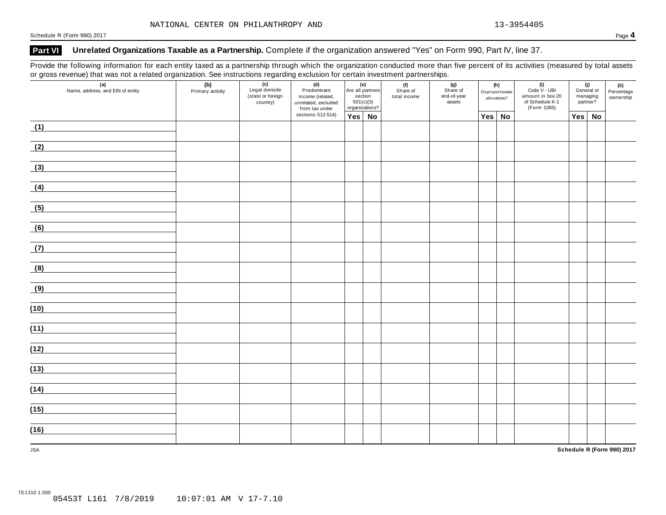### **Part VI Unrelated Organizations Taxable as a Partnership.** Complete if the organization answered "Yes" on Form 990, Part IV, line 37.

Provide the following information for each entity taxed as a partnership through which the organization conducted more than five percent of its activities (measured by total assets or gross revenue) that was not a related organization. See instructions regarding exclusion for certain investment partnerships.

| $\mathbf{v}$<br>$\sim$ $\sim$ $\sim$<br>(a)<br>Name, address, and EIN of entity | (b)<br>Primary activity | ໍ້<br>$\overline{(c)}$<br>Legal domicile<br>(state or foreign<br>country) | (d)<br>Predominant<br>income (related,<br>unrelated, excluded<br>from tax under | (e)<br>Are all partners<br>section<br>501(c)(3)<br>organizations? | (f)<br>Share of<br>total income | (g)<br>Share of<br>end-of-year<br>assets | (h)<br>Disproportionate<br>allocations? |        | $(i)$<br>Code $\vee$ - UBI<br>amount in box 20<br>of Schedule K-1<br>(Form 1065) | General or<br>managing | (j)<br>partner? | (k)<br>Percentage<br>ownership |
|---------------------------------------------------------------------------------|-------------------------|---------------------------------------------------------------------------|---------------------------------------------------------------------------------|-------------------------------------------------------------------|---------------------------------|------------------------------------------|-----------------------------------------|--------|----------------------------------------------------------------------------------|------------------------|-----------------|--------------------------------|
|                                                                                 |                         |                                                                           | sections 512-514)                                                               | Yes No                                                            |                                 |                                          |                                         | Yes No |                                                                                  | Yes                    | No              |                                |
| (1)                                                                             |                         |                                                                           |                                                                                 |                                                                   |                                 |                                          |                                         |        |                                                                                  |                        |                 |                                |
| (2)                                                                             |                         |                                                                           |                                                                                 |                                                                   |                                 |                                          |                                         |        |                                                                                  |                        |                 |                                |
| (3)                                                                             |                         |                                                                           |                                                                                 |                                                                   |                                 |                                          |                                         |        |                                                                                  |                        |                 |                                |
| (4)                                                                             |                         |                                                                           |                                                                                 |                                                                   |                                 |                                          |                                         |        |                                                                                  |                        |                 |                                |
| (5)                                                                             |                         |                                                                           |                                                                                 |                                                                   |                                 |                                          |                                         |        |                                                                                  |                        |                 |                                |
| (6)                                                                             |                         |                                                                           |                                                                                 |                                                                   |                                 |                                          |                                         |        |                                                                                  |                        |                 |                                |
| (7)                                                                             |                         |                                                                           |                                                                                 |                                                                   |                                 |                                          |                                         |        |                                                                                  |                        |                 |                                |
| (8)                                                                             |                         |                                                                           |                                                                                 |                                                                   |                                 |                                          |                                         |        |                                                                                  |                        |                 |                                |
| (9)                                                                             |                         |                                                                           |                                                                                 |                                                                   |                                 |                                          |                                         |        |                                                                                  |                        |                 |                                |
| (10)                                                                            |                         |                                                                           |                                                                                 |                                                                   |                                 |                                          |                                         |        |                                                                                  |                        |                 |                                |
| (11)                                                                            |                         |                                                                           |                                                                                 |                                                                   |                                 |                                          |                                         |        |                                                                                  |                        |                 |                                |
| (12)                                                                            |                         |                                                                           |                                                                                 |                                                                   |                                 |                                          |                                         |        |                                                                                  |                        |                 |                                |
| (13)                                                                            |                         |                                                                           |                                                                                 |                                                                   |                                 |                                          |                                         |        |                                                                                  |                        |                 |                                |
| (14)                                                                            |                         |                                                                           |                                                                                 |                                                                   |                                 |                                          |                                         |        |                                                                                  |                        |                 |                                |
| (15)                                                                            |                         |                                                                           |                                                                                 |                                                                   |                                 |                                          |                                         |        |                                                                                  |                        |                 |                                |
| (16)                                                                            |                         |                                                                           |                                                                                 |                                                                   |                                 |                                          |                                         |        |                                                                                  |                        |                 |                                |
| <b>JSA</b>                                                                      |                         |                                                                           |                                                                                 |                                                                   |                                 |                                          |                                         |        |                                                                                  |                        |                 | Schedule R (Form 990) 2017     |